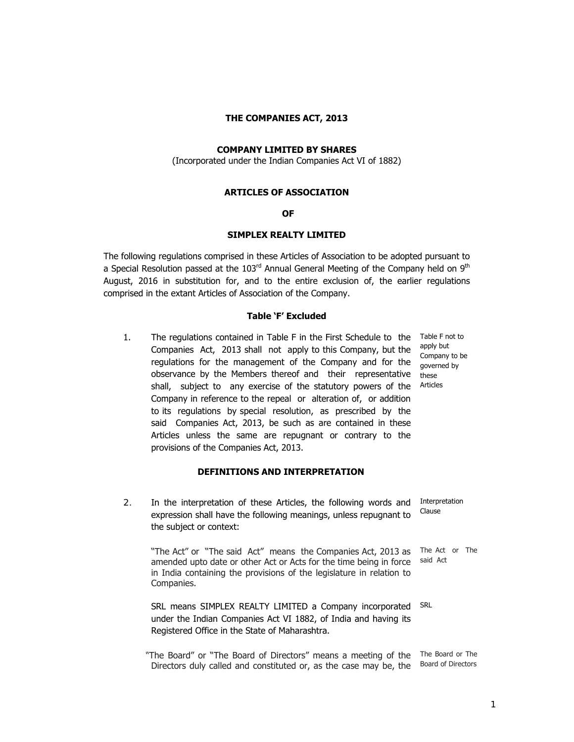## **THE COMPANIES ACT, 2013**

# **COMPANY LIMITED BY SHARES**

(Incorporated under the Indian Companies Act VI of 1882)

### **ARTICLES OF ASSOCIATION**

# **OF**

## **SIMPLEX REALTY LIMITED**

The following regulations comprised in these Articles of Association to be adopted pursuant to a Special Resolution passed at the  $103<sup>rd</sup>$  Annual General Meeting of the Company held on  $9<sup>th</sup>$ August, 2016 in substitution for, and to the entire exclusion of, the earlier regulations comprised in the extant Articles of Association of the Company.

## **Table 'F' Excluded**

1. The regulations contained in Table F in the First Schedule to the Table F not to Companies Act, 2013 shall not apply to this Company, but the regulations for the management of the Company and for the observance by the Members thereof and their representative shall, subject to any exercise of the statutory powers of the Company in reference to the repeal or alteration of, or addition to its regulations by special resolution, as prescribed by the said Companies Act, 2013, be such as are contained in these Articles unless the same are repugnant or contrary to the provisions of the Companies Act, 2013.

# **DEFINITIONS AND INTERPRETATION**

 2. In the interpretation of these Articles, the following words and expression shall have the following meanings, unless repugnant to the subject or context: Interpretation Clause

 "The Act" or "The said Act" means the Companies Act, 2013 as The Act or The amended upto date or other Act or Acts for the time being in force in India containing the provisions of the legislature in relation to Companies. said Act

> SRL means SIMPLEX REALTY LIMITED a Company incorporated under the Indian Companies Act VI 1882, of India and having its Registered Office in the State of Maharashtra. SRL

 "The Board" or "The Board of Directors" means a meeting of the The Board or The Directors duly called and constituted or, as the case may be, the Board of Directors

apply but Company to be governed by these Articles

<u>1</u> and the contract of the contract of the contract of the contract of the contract of the contract of the contract of the contract of the contract of the contract of the contract of the contract of the contract of the co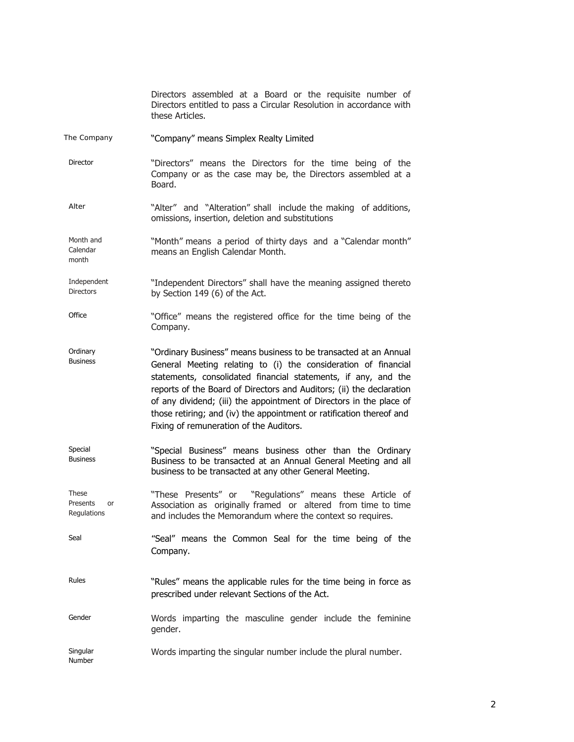|                                     | Directors assembled at a Board or the requisite number of<br>Directors entitled to pass a Circular Resolution in accordance with<br>these Articles.                                                                                                                                                                                                                                                                                                                    |
|-------------------------------------|------------------------------------------------------------------------------------------------------------------------------------------------------------------------------------------------------------------------------------------------------------------------------------------------------------------------------------------------------------------------------------------------------------------------------------------------------------------------|
| The Company                         | "Company" means Simplex Realty Limited                                                                                                                                                                                                                                                                                                                                                                                                                                 |
| Director                            | "Directors" means the Directors for the time being of the<br>Company or as the case may be, the Directors assembled at a<br>Board.                                                                                                                                                                                                                                                                                                                                     |
| Alter                               | "Alter" and "Alteration" shall include the making of additions,<br>omissions, insertion, deletion and substitutions                                                                                                                                                                                                                                                                                                                                                    |
| Month and<br>Calendar<br>month      | "Month" means a period of thirty days and a "Calendar month"<br>means an English Calendar Month.                                                                                                                                                                                                                                                                                                                                                                       |
| Independent<br><b>Directors</b>     | "Independent Directors" shall have the meaning assigned thereto<br>by Section 149 (6) of the Act.                                                                                                                                                                                                                                                                                                                                                                      |
| Office                              | "Office" means the registered office for the time being of the<br>Company.                                                                                                                                                                                                                                                                                                                                                                                             |
| Ordinary<br><b>Business</b>         | "Ordinary Business" means business to be transacted at an Annual<br>General Meeting relating to (i) the consideration of financial<br>statements, consolidated financial statements, if any, and the<br>reports of the Board of Directors and Auditors; (ii) the declaration<br>of any dividend; (iii) the appointment of Directors in the place of<br>those retiring; and (iv) the appointment or ratification thereof and<br>Fixing of remuneration of the Auditors. |
| Special<br><b>Business</b>          | "Special Business" means business other than the Ordinary<br>Business to be transacted at an Annual General Meeting and all<br>business to be transacted at any other General Meeting.                                                                                                                                                                                                                                                                                 |
| These<br>Presents or<br>Regulations | "These Presents" or "Regulations" means these Article of<br>Association as originally framed or altered from time to time<br>and includes the Memorandum where the context so requires.                                                                                                                                                                                                                                                                                |
| Seal                                | "Seal" means the Common Seal for the time being of the<br>Company.                                                                                                                                                                                                                                                                                                                                                                                                     |
| Rules                               | "Rules" means the applicable rules for the time being in force as<br>prescribed under relevant Sections of the Act.                                                                                                                                                                                                                                                                                                                                                    |
| Gender                              | Words imparting the masculine gender include the feminine<br>gender.                                                                                                                                                                                                                                                                                                                                                                                                   |
| Singular<br>Number                  | Words imparting the singular number include the plural number.                                                                                                                                                                                                                                                                                                                                                                                                         |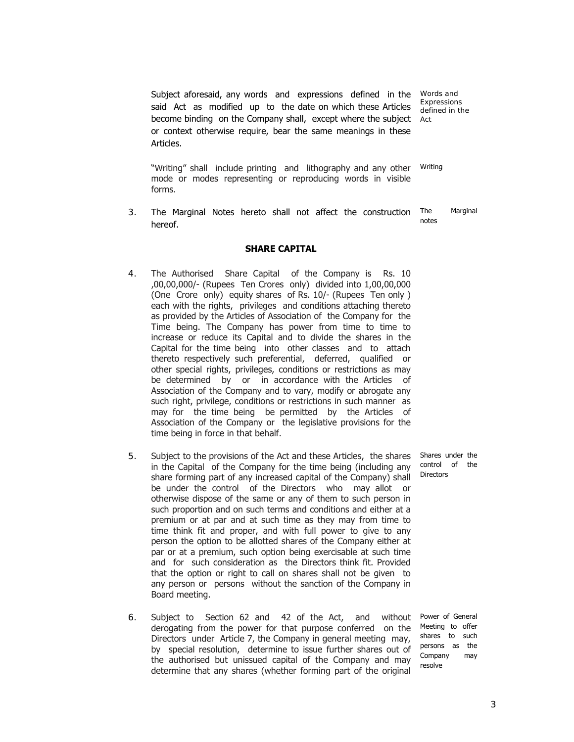Subject aforesaid, any words and expressions defined in the said Act as modified up to the date on which these Articles become binding on the Company shall, except where the subject or context otherwise require, bear the same meanings in these Articles.

Words and Expressions defined in the Act

 "Writing" shall include printing and lithography and any other mode or modes representing or reproducing words in visible forms. Writing

 3. The Marginal Notes hereto shall not affect the construction hereof. The Marginal notes

## **SHARE CAPITAL**

- 4. The Authorised Share Capital of the Company is Rs. 10 ,00,00,000/- (Rupees Ten Crores only) divided into 1,00,00,000 (One Crore only) equity shares of Rs. 10/- (Rupees Ten only ) each with the rights, privileges and conditions attaching thereto as provided by the Articles of Association of the Company for the Time being. The Company has power from time to time to increase or reduce its Capital and to divide the shares in the Capital for the time being into other classes and to attach thereto respectively such preferential, deferred, qualified or other special rights, privileges, conditions or restrictions as may be determined by or in accordance with the Articles of Association of the Company and to vary, modify or abrogate any such right, privilege, conditions or restrictions in such manner as may for the time being be permitted by the Articles of Association of the Company or the legislative provisions for the time being in force in that behalf.
- 5. Subject to the provisions of the Act and these Articles, the shares in the Capital of the Company for the time being (including any share forming part of any increased capital of the Company) shall be under the control of the Directors who may allot or otherwise dispose of the same or any of them to such person in such proportion and on such terms and conditions and either at a premium or at par and at such time as they may from time to time think fit and proper, and with full power to give to any person the option to be allotted shares of the Company either at par or at a premium, such option being exercisable at such time and for such consideration as the Directors think fit. Provided that the option or right to call on shares shall not be given to any person or persons without the sanction of the Company in Board meeting.
- 6. Subject to Section 62 and 42 of the Act, and without derogating from the power for that purpose conferred on the Directors under Article 7, the Company in general meeting may, by special resolution, determine to issue further shares out of the authorised but unissued capital of the Company and may determine that any shares (whether forming part of the original

Shares under the control of the Directors

Power of General Meeting to offer shares to such persons as the Company may resolve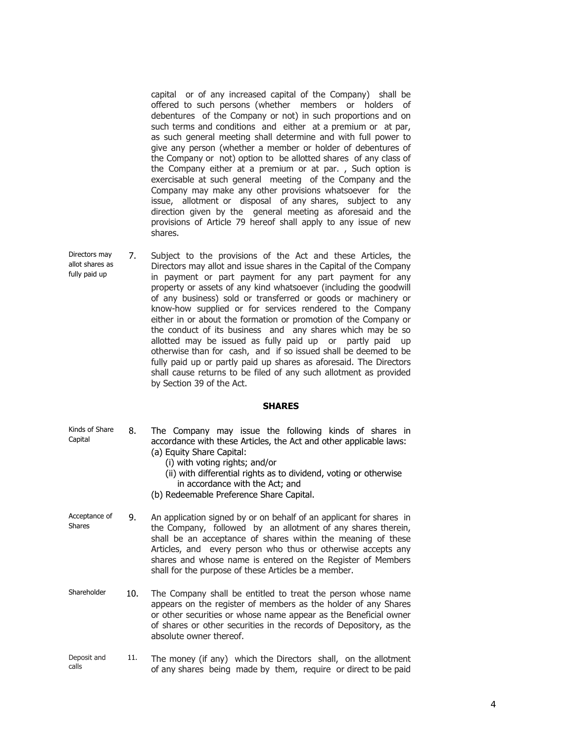capital or of any increased capital of the Company) shall be offered to such persons (whether members or holders of debentures of the Company or not) in such proportions and on such terms and conditions and either at a premium or at par, as such general meeting shall determine and with full power to give any person (whether a member or holder of debentures of the Company or not) option to be allotted shares of any class of the Company either at a premium or at par. , Such option is exercisable at such general meeting of the Company and the Company may make any other provisions whatsoever for the issue, allotment or disposal of any shares, subject to any direction given by the general meeting as aforesaid and the provisions of Article 79 hereof shall apply to any issue of new shares.

Directors may allot shares as fully paid up 7. Subject to the provisions of the Act and these Articles, the Directors may allot and issue shares in the Capital of the Company in payment or part payment for any part payment for any property or assets of any kind whatsoever (including the goodwill of any business) sold or transferred or goods or machinery or know-how supplied or for services rendered to the Company either in or about the formation or promotion of the Company or the conduct of its business and any shares which may be so allotted may be issued as fully paid up or partly paid up otherwise than for cash, and if so issued shall be deemed to be fully paid up or partly paid up shares as aforesaid. The Directors shall cause returns to be filed of any such allotment as provided by Section 39 of the Act.

# **SHARES**

| Kinds of Share<br>Capital      | 8.  | The Company may issue the following kinds of shares in<br>accordance with these Articles, the Act and other applicable laws:<br>(a) Equity Share Capital:<br>(i) with voting rights; and/or<br>(ii) with differential rights as to dividend, voting or otherwise<br>in accordance with the Act; and<br>(b) Redeemable Preference Share Capital.                                            |
|--------------------------------|-----|--------------------------------------------------------------------------------------------------------------------------------------------------------------------------------------------------------------------------------------------------------------------------------------------------------------------------------------------------------------------------------------------|
| Acceptance of<br><b>Shares</b> | 9.  | An application signed by or on behalf of an applicant for shares in<br>the Company, followed by an allotment of any shares therein,<br>shall be an acceptance of shares within the meaning of these<br>Articles, and every person who thus or otherwise accepts any<br>shares and whose name is entered on the Register of Members<br>shall for the purpose of these Articles be a member. |
| Shareholder                    | 10. | The Company shall be entitled to treat the person whose name<br>appears on the register of members as the holder of any Shares<br>or other securities or whose name appear as the Beneficial owner<br>of shares or other securities in the records of Depository, as the<br>absolute owner thereof.                                                                                        |
| Deposit and<br>calls           | 11. | The money (if any) which the Directors shall, on the allotment<br>of any shares being made by them, require or direct to be paid                                                                                                                                                                                                                                                           |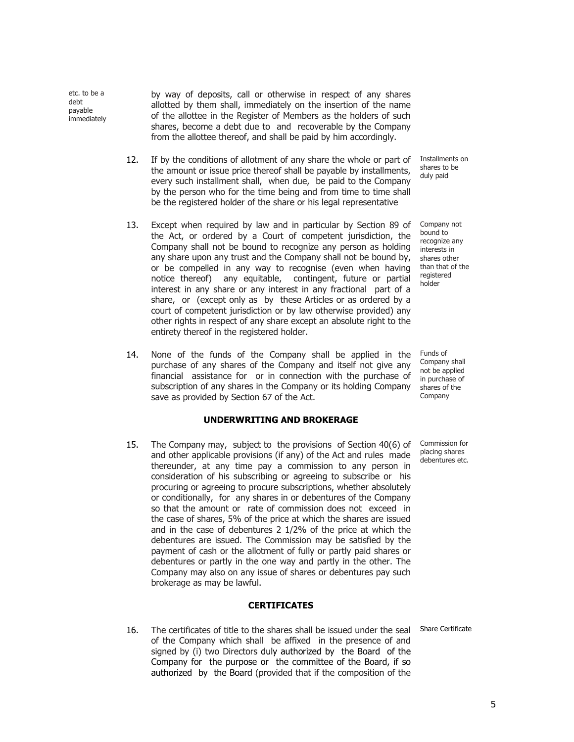etc. to be a debt payable immediately by way of deposits, call or otherwise in respect of any shares allotted by them shall, immediately on the insertion of the name of the allottee in the Register of Members as the holders of such shares, become a debt due to and recoverable by the Company from the allottee thereof, and shall be paid by him accordingly.

- 12. If by the conditions of allotment of any share the whole or part of the amount or issue price thereof shall be payable by installments, every such installment shall, when due, be paid to the Company by the person who for the time being and from time to time shall be the registered holder of the share or his legal representative
- 13. Except when required by law and in particular by Section 89 of the Act, or ordered by a Court of competent jurisdiction, the Company shall not be bound to recognize any person as holding any share upon any trust and the Company shall not be bound by, or be compelled in any way to recognise (even when having notice thereof) any equitable, contingent, future or partial interest in any share or any interest in any fractional part of a share, or (except only as by these Articles or as ordered by a court of competent jurisdiction or by law otherwise provided) any other rights in respect of any share except an absolute right to the entirety thereof in the registered holder.
- 14. None of the funds of the Company shall be applied in the purchase of any shares of the Company and itself not give any financial assistance for or in connection with the purchase of subscription of any shares in the Company or its holding Company save as provided by Section 67 of the Act.

# **UNDERWRITING AND BROKERAGE**

15. The Company may, subject to the provisions of Section 40(6) of and other applicable provisions (if any) of the Act and rules made thereunder, at any time pay a commission to any person in consideration of his subscribing or agreeing to subscribe or his procuring or agreeing to procure subscriptions, whether absolutely or conditionally, for any shares in or debentures of the Company so that the amount or rate of commission does not exceed in the case of shares, 5% of the price at which the shares are issued and in the case of debentures 2 1/2% of the price at which the debentures are issued. The Commission may be satisfied by the payment of cash or the allotment of fully or partly paid shares or debentures or partly in the one way and partly in the other. The Company may also on any issue of shares or debentures pay such brokerage as may be lawful.

#### **CERTIFICATES**

16. The certificates of title to the shares shall be issued under the seal Share Certificate of the Company which shall be affixed in the presence of and signed by (i) two Directors duly authorized by the Board of the Company for the purpose or the committee of the Board, if so authorized by the Board (provided that if the composition of the

Installments on shares to be duly paid

Company not bound to recognize any interests in shares other than that of the registered holder

Funds of Company shall not be applied in purchase of shares of the Company

Commission for placing shares debentures etc.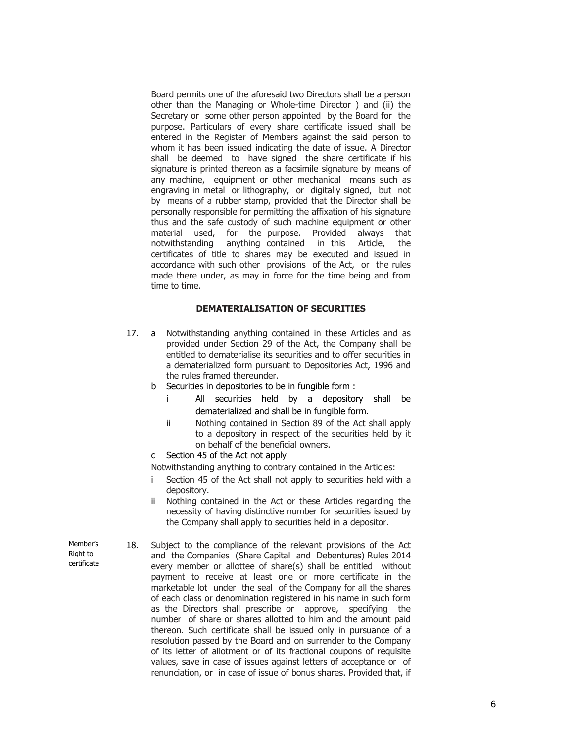Board permits one of the aforesaid two Directors shall be a person other than the Managing or Whole-time Director ) and (ii) the Secretary or some other person appointed by the Board for the purpose. Particulars of every share certificate issued shall be entered in the Register of Members against the said person to whom it has been issued indicating the date of issue. A Director shall be deemed to have signed the share certificate if his signature is printed thereon as a facsimile signature by means of any machine, equipment or other mechanical means such as engraving in metal or lithography, or digitally signed, but not by means of a rubber stamp, provided that the Director shall be personally responsible for permitting the affixation of his signature thus and the safe custody of such machine equipment or other material used, for the purpose. Provided always that notwithstanding anything contained in this Article, the certificates of title to shares may be executed and issued in accordance with such other provisions of the Act, or the rules made there under, as may in force for the time being and from time to time.

# **DEMATERIALISATION OF SECURITIES**

- 17. a Notwithstanding anything contained in these Articles and as provided under Section 29 of the Act, the Company shall be entitled to dematerialise its securities and to offer securities in a dematerialized form pursuant to Depositories Act, 1996 and the rules framed thereunder.
	- b Securities in depositories to be in fungible form :
		- i All securities held by a depository shall be dematerialized and shall be in fungible form.
		- ii Nothing contained in Section 89 of the Act shall apply to a depository in respect of the securities held by it on behalf of the beneficial owners.
	- c Section 45 of the Act not apply

Notwithstanding anything to contrary contained in the Articles:

- **i** Section 45 of the Act shall not apply to securities held with a depository.
- ii Nothing contained in the Act or these Articles regarding the necessity of having distinctive number for securities issued by the Company shall apply to securities held in a depositor.

Member's Right to certificate 18. Subject to the compliance of the relevant provisions of the Act and the Companies (Share Capital and Debentures) Rules 2014 every member or allottee of share(s) shall be entitled without payment to receive at least one or more certificate in the marketable lot under the seal of the Company for all the shares of each class or denomination registered in his name in such form as the Directors shall prescribe or approve, specifying the number of share or shares allotted to him and the amount paid thereon. Such certificate shall be issued only in pursuance of a resolution passed by the Board and on surrender to the Company of its letter of allotment or of its fractional coupons of requisite values, save in case of issues against letters of acceptance or of renunciation, or in case of issue of bonus shares. Provided that, if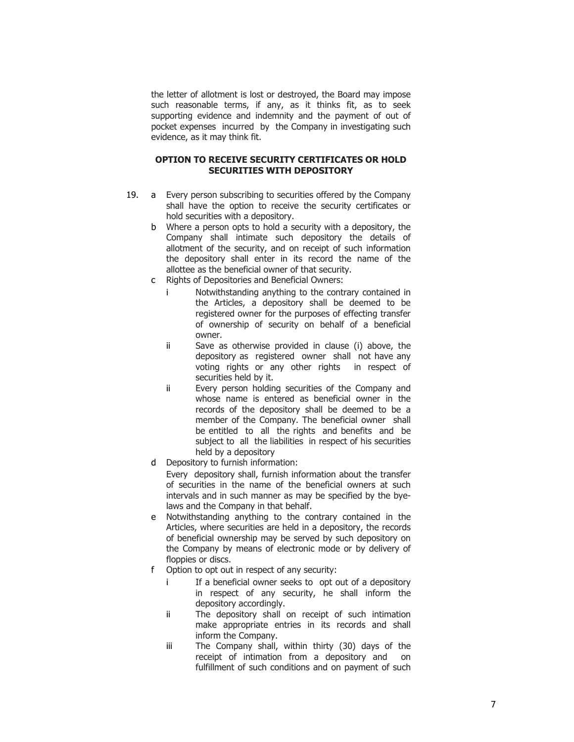the letter of allotment is lost or destroyed, the Board may impose such reasonable terms, if any, as it thinks fit, as to seek supporting evidence and indemnity and the payment of out of pocket expenses incurred by the Company in investigating such evidence, as it may think fit.

# **OPTION TO RECEIVE SECURITY CERTIFICATES OR HOLD SECURITIES WITH DEPOSITORY**

- 19. a Every person subscribing to securities offered by the Company shall have the option to receive the security certificates or hold securities with a depository.
	- b Where a person opts to hold a security with a depository, the Company shall intimate such depository the details of allotment of the security, and on receipt of such information the depository shall enter in its record the name of the allottee as the beneficial owner of that security.
	- c Rights of Depositories and Beneficial Owners:
		- i Notwithstanding anything to the contrary contained in the Articles, a depository shall be deemed to be registered owner for the purposes of effecting transfer of ownership of security on behalf of a beneficial owner.
		- ii Save as otherwise provided in clause (i) above, the depository as registered owner shall not have any voting rights or any other rights in respect of securities held by it.
		- ii Every person holding securities of the Company and whose name is entered as beneficial owner in the records of the depository shall be deemed to be a member of the Company. The beneficial owner shall be entitled to all the rights and benefits and be subject to all the liabilities in respect of his securities held by a depository
	- d Depository to furnish information:

Every depository shall, furnish information about the transfer of securities in the name of the beneficial owners at such intervals and in such manner as may be specified by the byelaws and the Company in that behalf.

- e Notwithstanding anything to the contrary contained in the Articles, where securities are held in a depository, the records of beneficial ownership may be served by such depository on the Company by means of electronic mode or by delivery of floppies or discs.
- f Option to opt out in respect of any security:
	- i If a beneficial owner seeks to opt out of a depository in respect of any security, he shall inform the depository accordingly.
	- ii The depository shall on receipt of such intimation make appropriate entries in its records and shall inform the Company.
	- iii The Company shall, within thirty (30) days of the receipt of intimation from a depository and on fulfillment of such conditions and on payment of such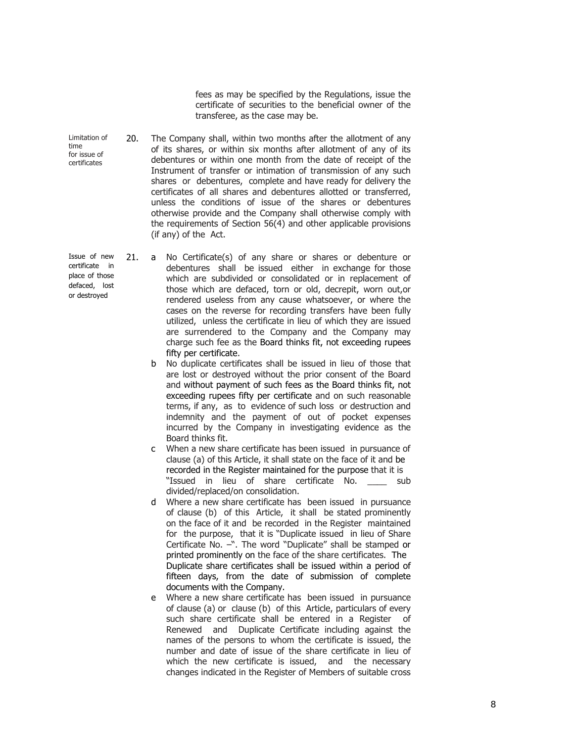fees as may be specified by the Regulations, issue the certificate of securities to the beneficial owner of the transferee, as the case may be.

- Limitation of time for issue of certificates 20. The Company shall, within two months after the allotment of any of its shares, or within six months after allotment of any of its debentures or within one month from the date of receipt of the Instrument of transfer or intimation of transmission of any such shares or debentures, complete and have ready for delivery the certificates of all shares and debentures allotted or transferred, unless the conditions of issue of the shares or debentures otherwise provide and the Company shall otherwise comply with the requirements of Section 56(4) and other applicable provisions (if any) of the Act.
- or destroyed 21. a No Certificate(s) of any share or shares or debenture or debentures shall be issued either in exchange for those which are subdivided or consolidated or in replacement of those which are defaced, torn or old, decrepit, worn out,or rendered useless from any cause whatsoever, or where the cases on the reverse for recording transfers have been fully utilized, unless the certificate in lieu of which they are issued are surrendered to the Company and the Company may charge such fee as the Board thinks fit, not exceeding rupees fifty per certificate.
	- b No duplicate certificates shall be issued in lieu of those that are lost or destroyed without the prior consent of the Board and without payment of such fees as the Board thinks fit, not exceeding rupees fifty per certificate and on such reasonable terms, if any, as to evidence of such loss or destruction and indemnity and the payment of out of pocket expenses incurred by the Company in investigating evidence as the Board thinks fit.
	- c When a new share certificate has been issued in pursuance of clause (a) of this Article, it shall state on the face of it and be recorded in the Register maintained for the purpose that it is "Issued in lieu of share certificate No. \_\_\_\_ sub divided/replaced/on consolidation.
	- d Where a new share certificate has been issued in pursuance of clause (b) of this Article, it shall be stated prominently on the face of it and be recorded in the Register maintained for the purpose, that it is "Duplicate issued in lieu of Share Certificate No. –". The word "Duplicate" shall be stamped or printed prominently on the face of the share certificates. The Duplicate share certificates shall be issued within a period of fifteen days, from the date of submission of complete documents with the Company.
	- e Where a new share certificate has been issued in pursuance of clause (a) or clause (b) of this Article, particulars of every such share certificate shall be entered in a Register of Renewed and Duplicate Certificate including against the names of the persons to whom the certificate is issued, the number and date of issue of the share certificate in lieu of which the new certificate is issued, and the necessary changes indicated in the Register of Members of suitable cross

Issue of new certificate in place of those defaced, lost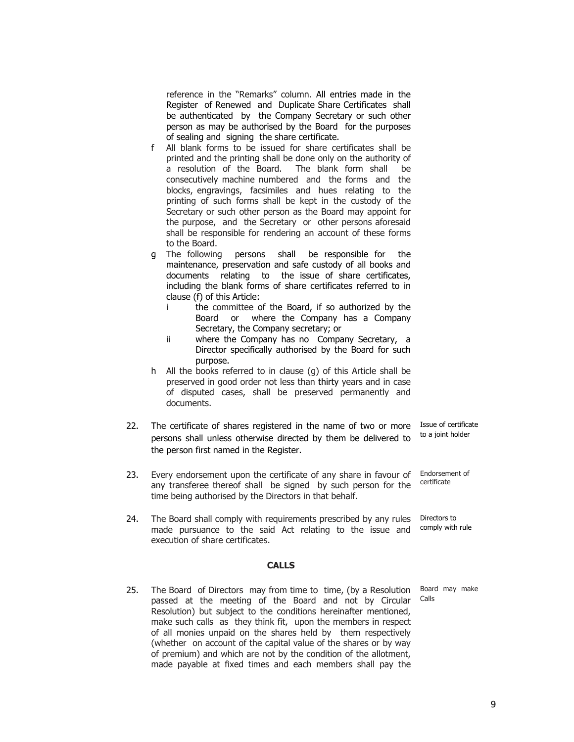reference in the "Remarks" column. All entries made in the Register of Renewed and Duplicate Share Certificates shall be authenticated by the Company Secretary or such other person as may be authorised by the Board for the purposes of sealing and signing the share certificate.

- f All blank forms to be issued for share certificates shall be printed and the printing shall be done only on the authority of a resolution of the Board. The blank form shall be consecutively machine numbered and the forms and the blocks, engravings, facsimiles and hues relating to the printing of such forms shall be kept in the custody of the Secretary or such other person as the Board may appoint for the purpose, and the Secretary or other persons aforesaid shall be responsible for rendering an account of these forms to the Board.
- g The following persons shall be responsible for the maintenance, preservation and safe custody of all books and documents relating to the issue of share certificates, including the blank forms of share certificates referred to in clause (f) of this Article:
	- i the committee of the Board, if so authorized by the Board or where the Company has a Company Secretary, the Company secretary; or
	- ii where the Company has no Company Secretary, a Director specifically authorised by the Board for such purpose.
- h All the books referred to in clause (g) of this Article shall be preserved in good order not less than thirty years and in case of disputed cases, shall be preserved permanently and documents.
- 22. The certificate of shares registered in the name of two or more persons shall unless otherwise directed by them be delivered to the person first named in the Register. Issue of certificate to a joint holder
- 23. Every endorsement upon the certificate of any share in favour of any transferee thereof shall be signed by such person for the time being authorised by the Directors in that behalf. Endorsement of certificate
- 24. The Board shall comply with requirements prescribed by any rules made pursuance to the said Act relating to the issue and execution of share certificates. Directors to comply with rule

### **CALLS**

25. The Board of Directors may from time to time, (by a Resolution passed at the meeting of the Board and not by Circular Resolution) but subject to the conditions hereinafter mentioned, make such calls as they think fit, upon the members in respect of all monies unpaid on the shares held by them respectively (whether on account of the capital value of the shares or by way of premium) and which are not by the condition of the allotment, made payable at fixed times and each members shall pay the

Board may make Calls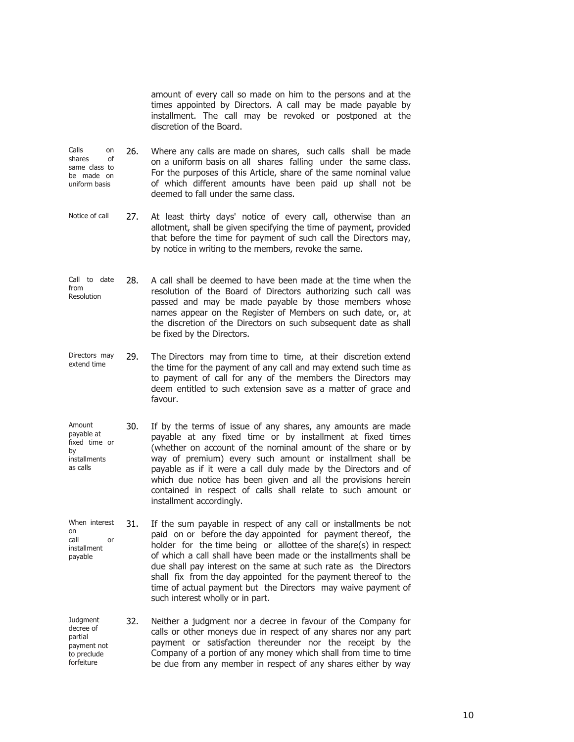amount of every call so made on him to the persons and at the times appointed by Directors. A call may be made payable by installment. The call may be revoked or postponed at the discretion of the Board.

- Calls on shares of same class to be made on uniform basis 26. Where any calls are made on shares, such calls shall be made on a uniform basis on all shares falling under the same class. For the purposes of this Article, share of the same nominal value of which different amounts have been paid up shall not be deemed to fall under the same class.
- Notice of call 27. At least thirty days' notice of every call, otherwise than an allotment, shall be given specifying the time of payment, provided that before the time for payment of such call the Directors may, by notice in writing to the members, revoke the same.
- Call to date from Resolution 28. A call shall be deemed to have been made at the time when the resolution of the Board of Directors authorizing such call was passed and may be made payable by those members whose names appear on the Register of Members on such date, or, at the discretion of the Directors on such subsequent date as shall be fixed by the Directors.
- Directors may extend time 29. The Directors may from time to time, at their discretion extend the time for the payment of any call and may extend such time as to payment of call for any of the members the Directors may deem entitled to such extension save as a matter of grace and favour.
- Amount payable at fixed time or by installments as calls 30. If by the terms of issue of any shares, any amounts are made payable at any fixed time or by installment at fixed times (whether on account of the nominal amount of the share or by way of premium) every such amount or installment shall be payable as if it were a call duly made by the Directors and of which due notice has been given and all the provisions herein contained in respect of calls shall relate to such amount or installment accordingly.
- When interest on call or installment payable 31. If the sum payable in respect of any call or installments be not paid on or before the day appointed for payment thereof, the holder for the time being or allottee of the share(s) in respect of which a call shall have been made or the installments shall be due shall pay interest on the same at such rate as the Directors shall fix from the day appointed for the payment thereof to the time of actual payment but the Directors may waive payment of such interest wholly or in part.
- **Judgment** decree of partial payment not to preclude forfeiture 32. Neither a judgment nor a decree in favour of the Company for calls or other moneys due in respect of any shares nor any part payment or satisfaction thereunder nor the receipt by the Company of a portion of any money which shall from time to time be due from any member in respect of any shares either by way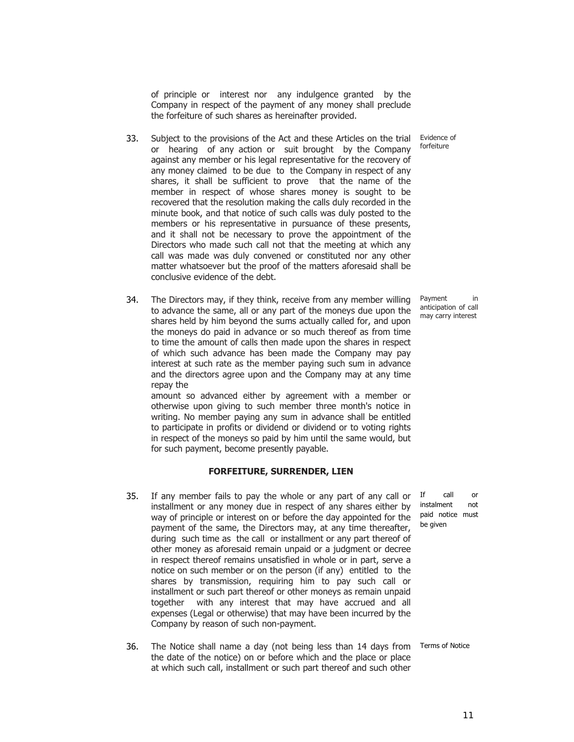of principle or interest nor any indulgence granted by the Company in respect of the payment of any money shall preclude the forfeiture of such shares as hereinafter provided.

33. Subject to the provisions of the Act and these Articles on the trial or hearing of any action or suit brought by the Company against any member or his legal representative for the recovery of any money claimed to be due to the Company in respect of any shares, it shall be sufficient to prove that the name of the member in respect of whose shares money is sought to be recovered that the resolution making the calls duly recorded in the minute book, and that notice of such calls was duly posted to the members or his representative in pursuance of these presents, and it shall not be necessary to prove the appointment of the Directors who made such call not that the meeting at which any call was made was duly convened or constituted nor any other matter whatsoever but the proof of the matters aforesaid shall be conclusive evidence of the debt.

34. The Directors may, if they think, receive from any member willing to advance the same, all or any part of the moneys due upon the shares held by him beyond the sums actually called for, and upon the moneys do paid in advance or so much thereof as from time to time the amount of calls then made upon the shares in respect of which such advance has been made the Company may pay interest at such rate as the member paying such sum in advance and the directors agree upon and the Company may at any time repay the

amount so advanced either by agreement with a member or otherwise upon giving to such member three month's notice in writing. No member paying any sum in advance shall be entitled to participate in profits or dividend or dividend or to voting rights in respect of the moneys so paid by him until the same would, but for such payment, become presently payable.

# **FORFEITURE, SURRENDER, LIEN**

- 35. If any member fails to pay the whole or any part of any call or installment or any money due in respect of any shares either by way of principle or interest on or before the day appointed for the payment of the same, the Directors may, at any time thereafter, during such time as the call or installment or any part thereof of other money as aforesaid remain unpaid or a judgment or decree in respect thereof remains unsatisfied in whole or in part, serve a notice on such member or on the person (if any) entitled to the shares by transmission, requiring him to pay such call or installment or such part thereof or other moneys as remain unpaid together with any interest that may have accrued and all expenses (Legal or otherwise) that may have been incurred by the Company by reason of such non-payment.
- 36. The Notice shall name a day (not being less than 14 days from Terms of Notice the date of the notice) on or before which and the place or place at which such call, installment or such part thereof and such other

Evidence of forfeiture

Payment in anticipation of call may carry interest

If call or instalment not paid notice must be given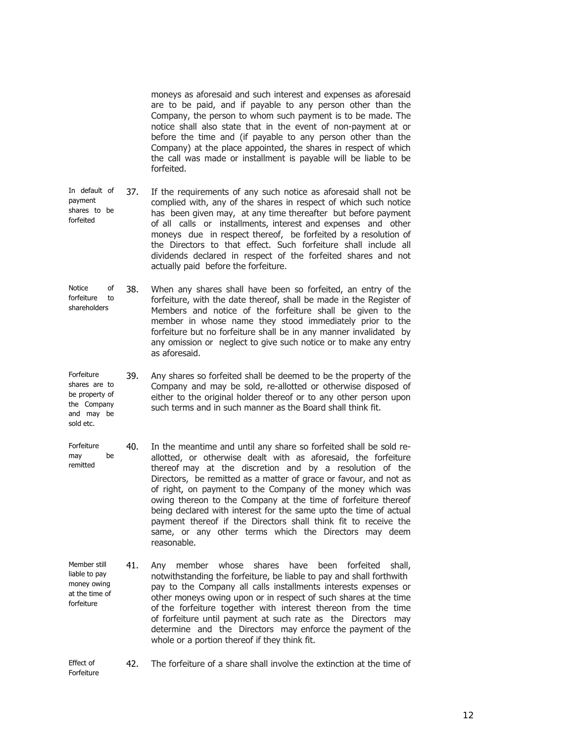moneys as aforesaid and such interest and expenses as aforesaid are to be paid, and if payable to any person other than the Company, the person to whom such payment is to be made. The notice shall also state that in the event of non-payment at or before the time and (if payable to any person other than the Company) at the place appointed, the shares in respect of which the call was made or installment is payable will be liable to be forfeited.

- In default of payment shares to be forfeited 37. If the requirements of any such notice as aforesaid shall not be complied with, any of the shares in respect of which such notice has been given may, at any time thereafter but before payment of all calls or installments, interest and expenses and other moneys due in respect thereof, be forfeited by a resolution of the Directors to that effect. Such forfeiture shall include all dividends declared in respect of the forfeited shares and not actually paid before the forfeiture.
- Notice of forfeiture to shareholders 38. When any shares shall have been so forfeited, an entry of the forfeiture, with the date thereof, shall be made in the Register of Members and notice of the forfeiture shall be given to the member in whose name they stood immediately prior to the forfeiture but no forfeiture shall be in any manner invalidated by any omission or neglect to give such notice or to make any entry as aforesaid.
- **Forfeiture** shares are to be property of the Company and may be 39. Any shares so forfeited shall be deemed to be the property of the Company and may be sold, re-allotted or otherwise disposed of either to the original holder thereof or to any other person upon such terms and in such manner as the Board shall think fit.
- Forfeiture may be remitted 40. In the meantime and until any share so forfeited shall be sold reallotted, or otherwise dealt with as aforesaid, the forfeiture thereof may at the discretion and by a resolution of the Directors, be remitted as a matter of grace or favour, and not as of right, on payment to the Company of the money which was owing thereon to the Company at the time of forfeiture thereof being declared with interest for the same upto the time of actual payment thereof if the Directors shall think fit to receive the same, or any other terms which the Directors may deem reasonable.
- Member still liable to pay money owing at the time of forfeiture 41. Any member whose shares have been forfeited shall, notwithstanding the forfeiture, be liable to pay and shall forthwith pay to the Company all calls installments interests expenses or other moneys owing upon or in respect of such shares at the time of the forfeiture together with interest thereon from the time of forfeiture until payment at such rate as the Directors may determine and the Directors may enforce the payment of the whole or a portion thereof if they think fit.

sold etc.

42. The forfeiture of a share shall involve the extinction at the time of

Effect of Forfeiture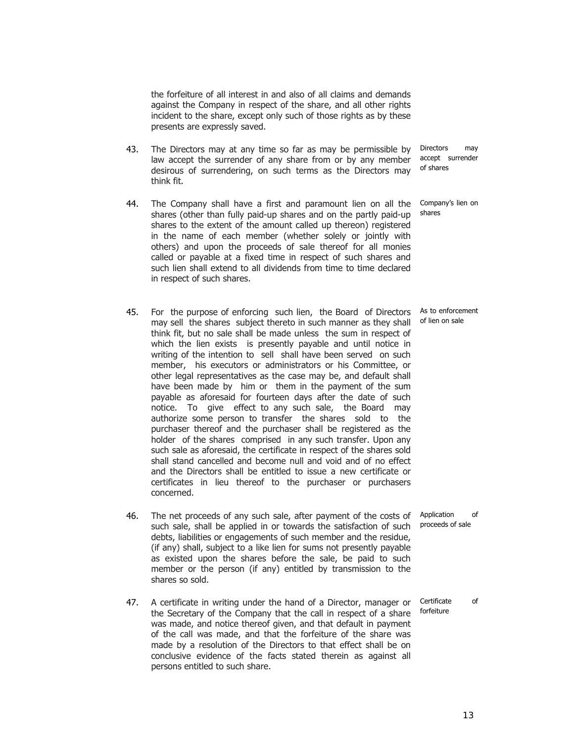the forfeiture of all interest in and also of all claims and demands against the Company in respect of the share, and all other rights incident to the share, except only such of those rights as by these presents are expressly saved.

- 43. The Directors may at any time so far as may be permissible by law accept the surrender of any share from or by any member desirous of surrendering, on such terms as the Directors may think fit.
- 44. The Company shall have a first and paramount lien on all the shares (other than fully paid-up shares and on the partly paid-up shares to the extent of the amount called up thereon) registered in the name of each member (whether solely or jointly with others) and upon the proceeds of sale thereof for all monies called or payable at a fixed time in respect of such shares and such lien shall extend to all dividends from time to time declared in respect of such shares.
- 45. For the purpose of enforcing such lien, the Board of Directors may sell the shares subject thereto in such manner as they shall think fit, but no sale shall be made unless the sum in respect of which the lien exists is presently payable and until notice in writing of the intention to sell shall have been served on such member, his executors or administrators or his Committee, or other legal representatives as the case may be, and default shall have been made by him or them in the payment of the sum payable as aforesaid for fourteen days after the date of such notice. To give effect to any such sale, the Board may authorize some person to transfer the shares sold to the purchaser thereof and the purchaser shall be registered as the holder of the shares comprised in any such transfer. Upon any such sale as aforesaid, the certificate in respect of the shares sold shall stand cancelled and become null and void and of no effect and the Directors shall be entitled to issue a new certificate or certificates in lieu thereof to the purchaser or purchasers concerned.
- 46. The net proceeds of any such sale, after payment of the costs of such sale, shall be applied in or towards the satisfaction of such debts, liabilities or engagements of such member and the residue, (if any) shall, subject to a like lien for sums not presently payable as existed upon the shares before the sale, be paid to such member or the person (if any) entitled by transmission to the shares so sold.
- 47. A certificate in writing under the hand of a Director, manager or the Secretary of the Company that the call in respect of a share was made, and notice thereof given, and that default in payment of the call was made, and that the forfeiture of the share was made by a resolution of the Directors to that effect shall be on conclusive evidence of the facts stated therein as against all persons entitled to such share. forfeiture

Directors may accept surrender of shares

Company's lien on shares

As to enforcement of lien on sale

Application of proceeds of sale

Certificate of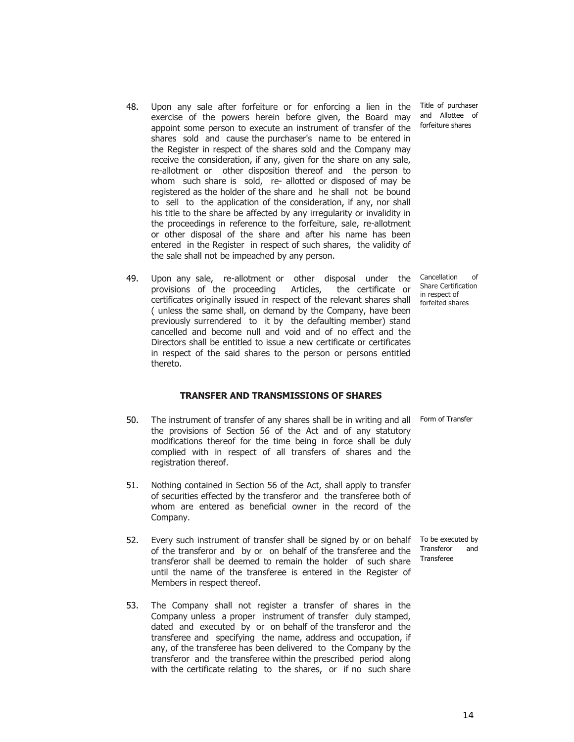14

- 48. Upon any sale after forfeiture or for enforcing a lien in the exercise of the powers herein before given, the Board may appoint some person to execute an instrument of transfer of the shares sold and cause the purchaser's name to be entered in the Register in respect of the shares sold and the Company may receive the consideration, if any, given for the share on any sale, re-allotment or other disposition thereof and the person to whom such share is sold, re- allotted or disposed of may be registered as the holder of the share and he shall not be bound to sell to the application of the consideration, if any, nor shall his title to the share be affected by any irregularity or invalidity in the proceedings in reference to the forfeiture, sale, re-allotment or other disposal of the share and after his name has been entered in the Register in respect of such shares, the validity of the sale shall not be impeached by any person.
- 49. Upon any sale, re-allotment or other disposal under the provisions of the proceeding Articles, the certificate or certificates originally issued in respect of the relevant shares shall ( unless the same shall, on demand by the Company, have been previously surrendered to it by the defaulting member) stand cancelled and become null and void and of no effect and the Directors shall be entitled to issue a new certificate or certificates in respect of the said shares to the person or persons entitled thereto.

# **TRANSFER AND TRANSMISSIONS OF SHARES**

- 50. The instrument of transfer of any shares shall be in writing and all Form of Transfer the provisions of Section 56 of the Act and of any statutory modifications thereof for the time being in force shall be duly complied with in respect of all transfers of shares and the registration thereof.
- 51. Nothing contained in Section 56 of the Act, shall apply to transfer of securities effected by the transferor and the transferee both of whom are entered as beneficial owner in the record of the Company.
- 52. Every such instrument of transfer shall be signed by or on behalf To be executed by of the transferor and by or on behalf of the transferee and the transferor shall be deemed to remain the holder of such share until the name of the transferee is entered in the Register of Members in respect thereof.
- 53. The Company shall not register a transfer of shares in the Company unless a proper instrument of transfer duly stamped, dated and executed by or on behalf of the transferor and the transferee and specifying the name, address and occupation, if any, of the transferee has been delivered to the Company by the transferor and the transferee within the prescribed period along with the certificate relating to the shares, or if no such share

Cancellation of Share Certification in respect of forfeited shares

Title of purchaser and Allottee of forfeiture shares

Transferor and Transferee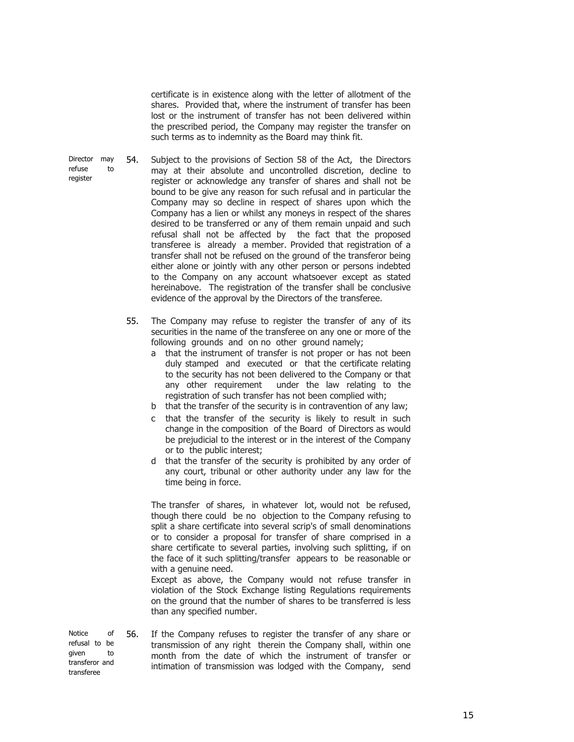certificate is in existence along with the letter of allotment of the shares. Provided that, where the instrument of transfer has been lost or the instrument of transfer has not been delivered within the prescribed period, the Company may register the transfer on such terms as to indemnity as the Board may think fit.

Director may refuse to register 54. Subject to the provisions of Section 58 of the Act, the Directors may at their absolute and uncontrolled discretion, decline to register or acknowledge any transfer of shares and shall not be bound to be give any reason for such refusal and in particular the Company may so decline in respect of shares upon which the Company has a lien or whilst any moneys in respect of the shares desired to be transferred or any of them remain unpaid and such refusal shall not be affected by the fact that the proposed transferee is already a member. Provided that registration of a transfer shall not be refused on the ground of the transferor being either alone or jointly with any other person or persons indebted to the Company on any account whatsoever except as stated hereinabove. The registration of the transfer shall be conclusive evidence of the approval by the Directors of the transferee.

> 55. The Company may refuse to register the transfer of any of its securities in the name of the transferee on any one or more of the following grounds and on no other ground namely;

- a that the instrument of transfer is not proper or has not been duly stamped and executed or that the certificate relating to the security has not been delivered to the Company or that any other requirement under the law relating to the registration of such transfer has not been complied with;
- b that the transfer of the security is in contravention of any law;
- c that the transfer of the security is likely to result in such change in the composition of the Board of Directors as would be prejudicial to the interest or in the interest of the Company or to the public interest;
- d that the transfer of the security is prohibited by any order of any court, tribunal or other authority under any law for the time being in force.

The transfer of shares, in whatever lot, would not be refused, though there could be no objection to the Company refusing to split a share certificate into several scrip's of small denominations or to consider a proposal for transfer of share comprised in a share certificate to several parties, involving such splitting, if on the face of it such splitting/transfer appears to be reasonable or with a genuine need.

Except as above, the Company would not refuse transfer in violation of the Stock Exchange listing Regulations requirements on the ground that the number of shares to be transferred is less than any specified number.

Notice of refusal to be given to transferor and transferee 56. If the Company refuses to register the transfer of any share or transmission of any right therein the Company shall, within one month from the date of which the instrument of transfer or intimation of transmission was lodged with the Company, send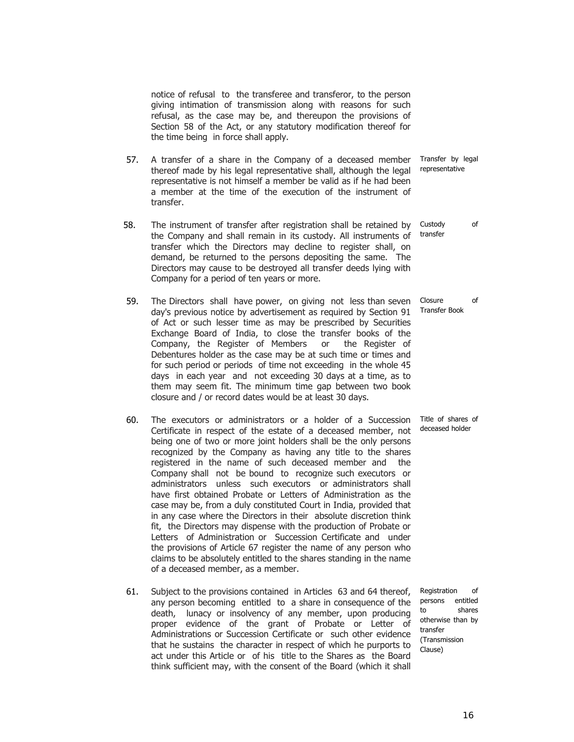notice of refusal to the transferee and transferor, to the person giving intimation of transmission along with reasons for such refusal, as the case may be, and thereupon the provisions of Section 58 of the Act, or any statutory modification thereof for the time being in force shall apply.

- 57. A transfer of a share in the Company of a deceased member thereof made by his legal representative shall, although the legal representative is not himself a member be valid as if he had been a member at the time of the execution of the instrument of transfer.
- 58. The instrument of transfer after registration shall be retained by the Company and shall remain in its custody. All instruments of transfer which the Directors may decline to register shall, on demand, be returned to the persons depositing the same. The Directors may cause to be destroyed all transfer deeds lying with Company for a period of ten years or more.
- 59. The Directors shall have power, on giving not less than seven day's previous notice by advertisement as required by Section 91 of Act or such lesser time as may be prescribed by Securities Exchange Board of India, to close the transfer books of the Company, the Register of Members or the Register of Debentures holder as the case may be at such time or times and for such period or periods of time not exceeding in the whole 45 days in each year and not exceeding 30 days at a time, as to them may seem fit. The minimum time gap between two book closure and / or record dates would be at least 30 days.
- 60. The executors or administrators or a holder of a Succession Certificate in respect of the estate of a deceased member, not being one of two or more joint holders shall be the only persons recognized by the Company as having any title to the shares registered in the name of such deceased member and the Company shall not be bound to recognize such executors or administrators unless such executors or administrators shall have first obtained Probate or Letters of Administration as the case may be, from a duly constituted Court in India, provided that in any case where the Directors in their absolute discretion think fit, the Directors may dispense with the production of Probate or Letters of Administration or Succession Certificate and under the provisions of Article 67 register the name of any person who claims to be absolutely entitled to the shares standing in the name of a deceased member, as a member.
- 61. Subject to the provisions contained in Articles 63 and 64 thereof, any person becoming entitled to a share in consequence of the death, lunacy or insolvency of any member, upon producing proper evidence of the grant of Probate or Letter of Administrations or Succession Certificate or such other evidence that he sustains the character in respect of which he purports to act under this Article or of his title to the Shares as the Board think sufficient may, with the consent of the Board (which it shall

Transfer by legal representative

transfer

Custody of

Closure of Transfer Book

Title of shares of deceased holder

Registration of persons entitled to shares otherwise than by transfer (Transmission Clause)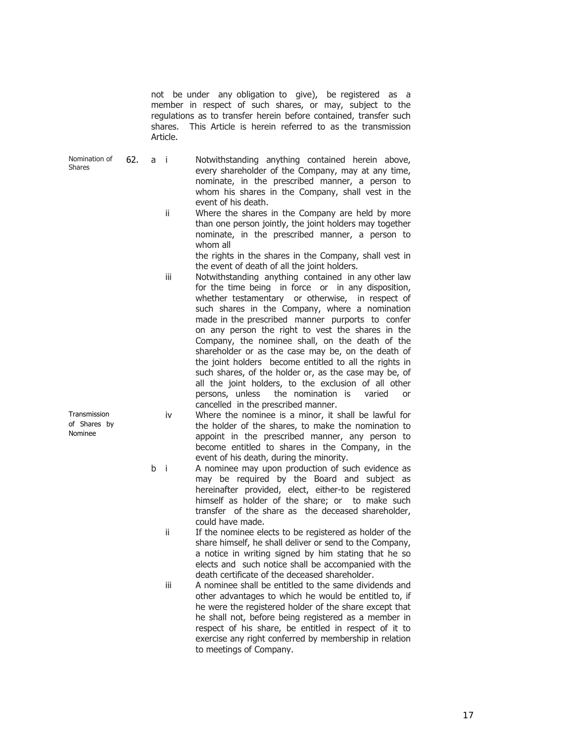not be under any obligation to give), be registered as a member in respect of such shares, or may, subject to the regulations as to transfer herein before contained, transfer such shares. This Article is herein referred to as the transmission Article.

- Nomination of Shares
- 62. a i Notwithstanding anything contained herein above, every shareholder of the Company, may at any time, nominate, in the prescribed manner, a person to whom his shares in the Company, shall vest in the event of his death.
	- ii Where the shares in the Company are held by more than one person jointly, the joint holders may together nominate, in the prescribed manner, a person to whom all

the rights in the shares in the Company, shall vest in the event of death of all the joint holders.

- iii Notwithstanding anything contained in any other law for the time being in force or in any disposition, whether testamentary or otherwise, in respect of such shares in the Company, where a nomination made in the prescribed manner purports to confer on any person the right to vest the shares in the Company, the nominee shall, on the death of the shareholder or as the case may be, on the death of the joint holders become entitled to all the rights in such shares, of the holder or, as the case may be, of all the joint holders, to the exclusion of all other persons, unless the nomination is varied or cancelled in the prescribed manner.
- iv Where the nominee is a minor, it shall be lawful for the holder of the shares, to make the nomination to appoint in the prescribed manner, any person to become entitled to shares in the Company, in the event of his death, during the minority.
- b i A nominee may upon production of such evidence as may be required by the Board and subject as hereinafter provided, elect, either-to be registered himself as holder of the share; or to make such transfer of the share as the deceased shareholder, could have made.

ii If the nominee elects to be registered as holder of the share himself, he shall deliver or send to the Company, a notice in writing signed by him stating that he so elects and such notice shall be accompanied with the death certificate of the deceased shareholder.

 iii A nominee shall be entitled to the same dividends and other advantages to which he would be entitled to, if he were the registered holder of the share except that he shall not, before being registered as a member in respect of his share, be entitled in respect of it to exercise any right conferred by membership in relation to meetings of Company.

Transmission of Shares by Nominee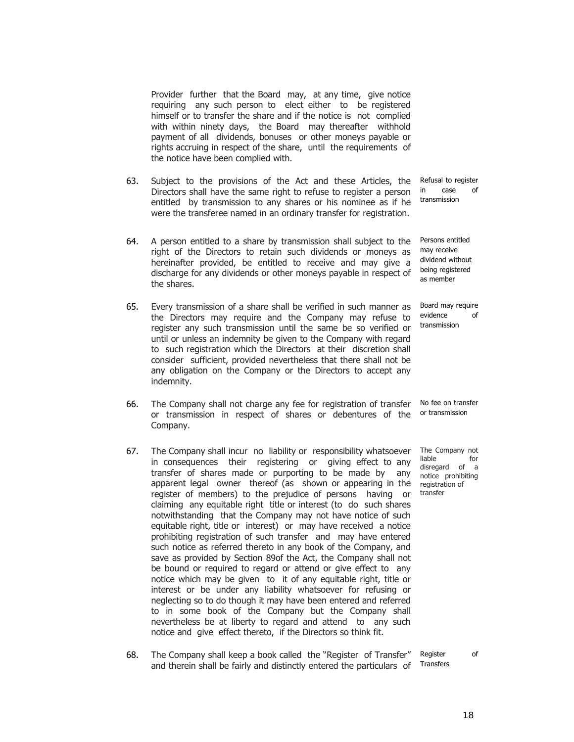Provider further that the Board may, at any time, give notice requiring any such person to elect either to be registered himself or to transfer the share and if the notice is not complied with within ninety days, the Board may thereafter withhold payment of all dividends, bonuses or other moneys payable or rights accruing in respect of the share, until the requirements of the notice have been complied with.

- 63. Subject to the provisions of the Act and these Articles, the Directors shall have the same right to refuse to register a person entitled by transmission to any shares or his nominee as if he were the transferee named in an ordinary transfer for registration.
- 64. A person entitled to a share by transmission shall subject to the right of the Directors to retain such dividends or moneys as hereinafter provided, be entitled to receive and may give a discharge for any dividends or other moneys payable in respect of the shares.
- 65. Every transmission of a share shall be verified in such manner as the Directors may require and the Company may refuse to register any such transmission until the same be so verified or until or unless an indemnity be given to the Company with regard to such registration which the Directors at their discretion shall consider sufficient, provided nevertheless that there shall not be any obligation on the Company or the Directors to accept any indemnity.
- 66. The Company shall not charge any fee for registration of transfer or transmission in respect of shares or debentures of the Company.
- 67. The Company shall incur no liability or responsibility whatsoever in consequences their registering or giving effect to any transfer of shares made or purporting to be made by any apparent legal owner thereof (as shown or appearing in the register of members) to the prejudice of persons having or claiming any equitable right title or interest (to do such shares notwithstanding that the Company may not have notice of such equitable right, title or interest) or may have received a notice prohibiting registration of such transfer and may have entered such notice as referred thereto in any book of the Company, and save as provided by Section 89of the Act, the Company shall not be bound or required to regard or attend or give effect to any notice which may be given to it of any equitable right, title or interest or be under any liability whatsoever for refusing or neglecting so to do though it may have been entered and referred to in some book of the Company but the Company shall nevertheless be at liberty to regard and attend to any such notice and give effect thereto, if the Directors so think fit.
- 68. The Company shall keep a book called the "Register of Transfer" and therein shall be fairly and distinctly entered the particulars of Register of Transfers

Refusal to register in case of transmission

Persons entitled may receive dividend without being registered as member

Board may require evidence of transmission

No fee on transfer or transmission

The Company not liable for disregard of a notice prohibiting registration of transfer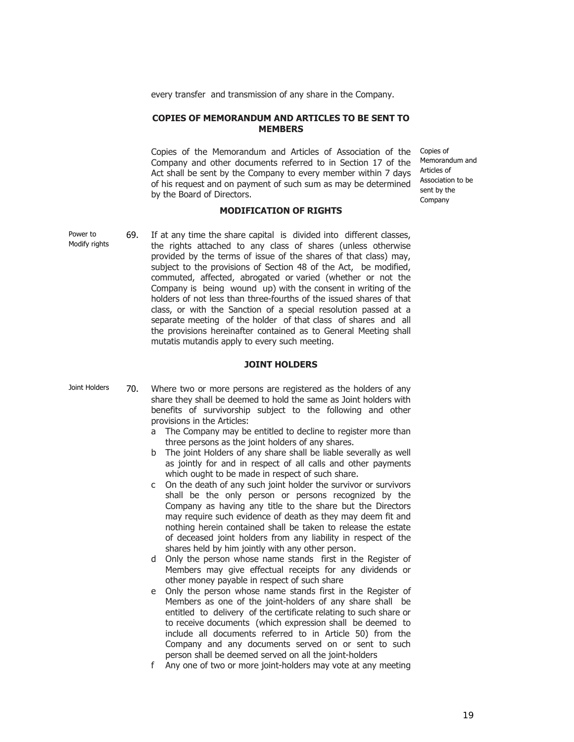every transfer and transmission of any share in the Company.

## **COPIES OF MEMORANDUM AND ARTICLES TO BE SENT TO MEMBERS**

Copies of the Memorandum and Articles of Association of the Company and other documents referred to in Section 17 of the Act shall be sent by the Company to every member within 7 days of his request and on payment of such sum as may be determined by the Board of Directors.

#### **MODIFICATION OF RIGHTS**

Power to Modify rights 69. If at any time the share capital is divided into different classes, the rights attached to any class of shares (unless otherwise provided by the terms of issue of the shares of that class) may, subject to the provisions of Section 48 of the Act, be modified, commuted, affected, abrogated or varied (whether or not the Company is being wound up) with the consent in writing of the holders of not less than three-fourths of the issued shares of that class, or with the Sanction of a special resolution passed at a separate meeting of the holder of that class of shares and all the provisions hereinafter contained as to General Meeting shall mutatis mutandis apply to every such meeting.

#### **JOINT HOLDERS**

Joint Holders 70. Where two or more persons are registered as the holders of any share they shall be deemed to hold the same as Joint holders with benefits of survivorship subject to the following and other provisions in the Articles:

- a The Company may be entitled to decline to register more than three persons as the joint holders of any shares.
- b The joint Holders of any share shall be liable severally as well as jointly for and in respect of all calls and other payments which ought to be made in respect of such share.
- c On the death of any such joint holder the survivor or survivors shall be the only person or persons recognized by the Company as having any title to the share but the Directors may require such evidence of death as they may deem fit and nothing herein contained shall be taken to release the estate of deceased joint holders from any liability in respect of the shares held by him jointly with any other person.
- d Only the person whose name stands first in the Register of Members may give effectual receipts for any dividends or other money payable in respect of such share
- e Only the person whose name stands first in the Register of Members as one of the joint-holders of any share shall be entitled to delivery of the certificate relating to such share or to receive documents (which expression shall be deemed to include all documents referred to in Article 50) from the Company and any documents served on or sent to such person shall be deemed served on all the joint-holders
- f Any one of two or more joint-holders may vote at any meeting

Memorandum and Articles of Association to be sent by the Company

Copies of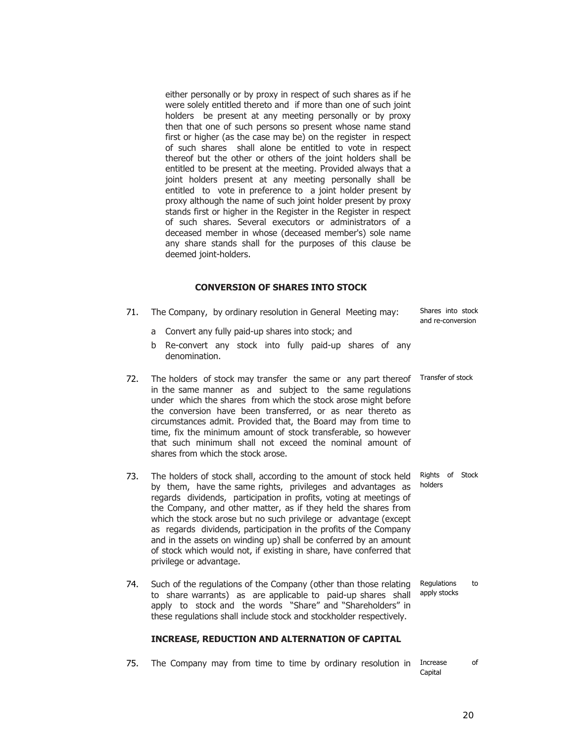either personally or by proxy in respect of such shares as if he were solely entitled thereto and if more than one of such joint holders be present at any meeting personally or by proxy then that one of such persons so present whose name stand first or higher (as the case may be) on the register in respect of such shares shall alone be entitled to vote in respect thereof but the other or others of the joint holders shall be entitled to be present at the meeting. Provided always that a joint holders present at any meeting personally shall be entitled to vote in preference to a joint holder present by proxy although the name of such joint holder present by proxy stands first or higher in the Register in the Register in respect of such shares. Several executors or administrators of a deceased member in whose (deceased member's) sole name any share stands shall for the purposes of this clause be deemed joint-holders.

## **CONVERSION OF SHARES INTO STOCK**

| 71. | The Company, by ordinary resolution in General Meeting may:<br>Convert any fully paid-up shares into stock; and<br>a<br>Re-convert any stock into fully paid-up shares of any<br>b                                                                                                                                                                                                                                                                                                                                  | Shares into stock<br>and re-conversion |
|-----|---------------------------------------------------------------------------------------------------------------------------------------------------------------------------------------------------------------------------------------------------------------------------------------------------------------------------------------------------------------------------------------------------------------------------------------------------------------------------------------------------------------------|----------------------------------------|
| 72. | denomination.<br>The holders of stock may transfer the same or any part thereof<br>in the same manner as and subject to the same regulations<br>under which the shares from which the stock arose might before<br>the conversion have been transferred, or as near thereto as<br>circumstances admit. Provided that, the Board may from time to<br>time, fix the minimum amount of stock transferable, so however<br>that such minimum shall not exceed the nominal amount of<br>shares from which the stock arose. | Transfer of stock                      |
| 73. | The holders of stock shall, according to the amount of stock held<br>by them, have the same rights, privileges and advantages as<br>regards dividends, participation in profits, voting at meetings of<br>the Company and other matter as if they hold the charge from                                                                                                                                                                                                                                              | Rights of<br>Stock<br>holders          |

- the Company, and other matter, as if they held the shares from which the stock arose but no such privilege or advantage (except as regards dividends, participation in the profits of the Company and in the assets on winding up) shall be conferred by an amount of stock which would not, if existing in share, have conferred that privilege or advantage.
- 74. Such of the regulations of the Company (other than those relating to share warrants) as are applicable to paid-up shares shall apply to stock and the words "Share" and "Shareholders" in these regulations shall include stock and stockholder respectively. Regulations to apply stocks

## **INCREASE, REDUCTION AND ALTERNATION OF CAPITAL**

75. The Company may from time to time by ordinary resolution in Increase of Capital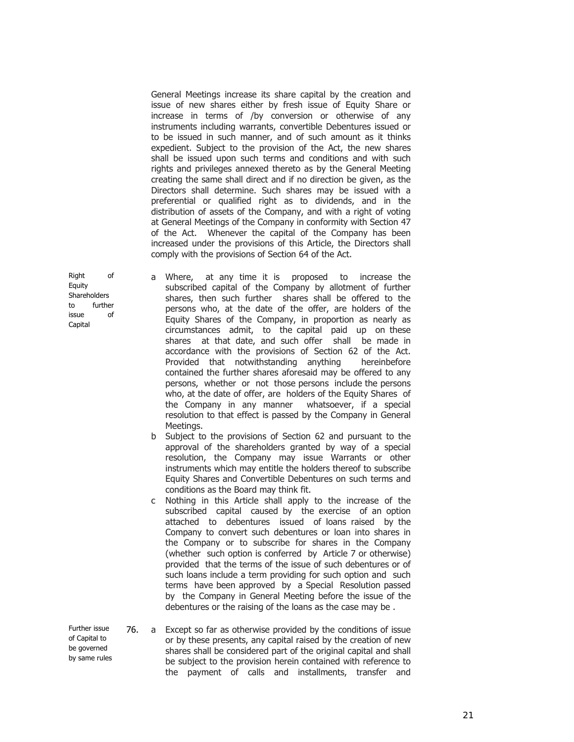General Meetings increase its share capital by the creation and issue of new shares either by fresh issue of Equity Share or increase in terms of /by conversion or otherwise of any instruments including warrants, convertible Debentures issued or to be issued in such manner, and of such amount as it thinks expedient. Subject to the provision of the Act, the new shares shall be issued upon such terms and conditions and with such rights and privileges annexed thereto as by the General Meeting creating the same shall direct and if no direction be given, as the Directors shall determine. Such shares may be issued with a preferential or qualified right as to dividends, and in the distribution of assets of the Company, and with a right of voting at General Meetings of the Company in conformity with Section 47 of the Act. Whenever the capital of the Company has been increased under the provisions of this Article, the Directors shall comply with the provisions of Section 64 of the Act.

a Where, at any time it is proposed to increase the subscribed capital of the Company by allotment of further shares, then such further shares shall be offered to the persons who, at the date of the offer, are holders of the Equity Shares of the Company, in proportion as nearly as circumstances admit, to the capital paid up on these shares at that date, and such offer shall be made in accordance with the provisions of Section 62 of the Act. Provided that notwithstanding anything hereinbefore contained the further shares aforesaid may be offered to any persons, whether or not those persons include the persons who, at the date of offer, are holders of the Equity Shares of the Company in any manner whatsoever, if a special resolution to that effect is passed by the Company in General Meetings.

b Subject to the provisions of Section 62 and pursuant to the approval of the shareholders granted by way of a special resolution, the Company may issue Warrants or other instruments which may entitle the holders thereof to subscribe Equity Shares and Convertible Debentures on such terms and conditions as the Board may think fit.

- c Nothing in this Article shall apply to the increase of the subscribed capital caused by the exercise of an option attached to debentures issued of loans raised by the Company to convert such debentures or loan into shares in the Company or to subscribe for shares in the Company (whether such option is conferred by Article 7 or otherwise) provided that the terms of the issue of such debentures or of such loans include a term providing for such option and such terms have been approved by a Special Resolution passed by the Company in General Meeting before the issue of the debentures or the raising of the loans as the case may be .
- Further issue of Capital to be governed by same rules 76. a Except so far as otherwise provided by the conditions of issue or by these presents, any capital raised by the creation of new shares shall be considered part of the original capital and shall be subject to the provision herein contained with reference to the payment of calls and installments, transfer and

Right of **Equity** Shareholders to further issue of Capital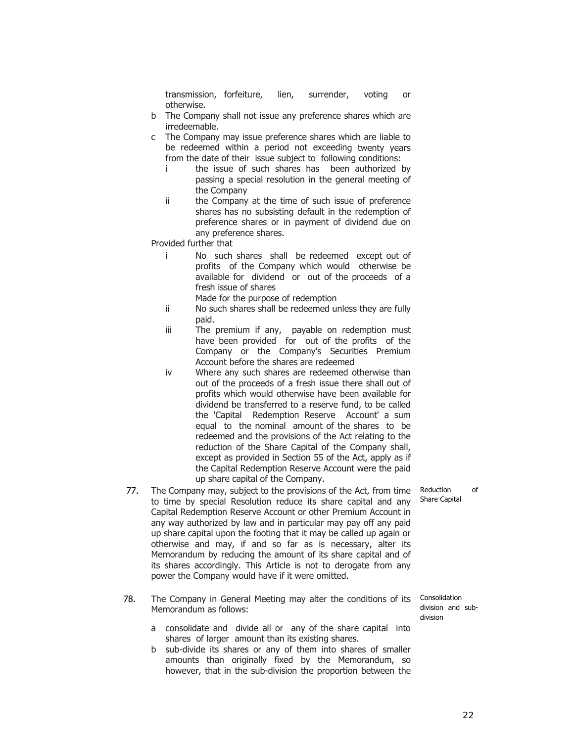transmission, forfeiture, lien, surrender, voting or otherwise.

- b The Company shall not issue any preference shares which are irredeemable.
- c The Company may issue preference shares which are liable to be redeemed within a period not exceeding twenty years from the date of their issue subject to following conditions:
	- i the issue of such shares has been authorized by passing a special resolution in the general meeting of the Company
	- ii the Company at the time of such issue of preference shares has no subsisting default in the redemption of preference shares or in payment of dividend due on any preference shares.

Provided further that

- i No such shares shall be redeemed except out of profits of the Company which would otherwise be available for dividend or out of the proceeds of a fresh issue of shares
	- Made for the purpose of redemption
- ii No such shares shall be redeemed unless they are fully paid.
- iii The premium if any, payable on redemption must have been provided for out of the profits of the Company or the Company's Securities Premium Account before the shares are redeemed
- iv Where any such shares are redeemed otherwise than out of the proceeds of a fresh issue there shall out of profits which would otherwise have been available for dividend be transferred to a reserve fund, to be called the 'Capital Redemption Reserve Account' a sum equal to the nominal amount of the shares to be redeemed and the provisions of the Act relating to the reduction of the Share Capital of the Company shall, except as provided in Section 55 of the Act, apply as if the Capital Redemption Reserve Account were the paid up share capital of the Company.
- 77. The Company may, subject to the provisions of the Act, from time to time by special Resolution reduce its share capital and any Capital Redemption Reserve Account or other Premium Account in any way authorized by law and in particular may pay off any paid up share capital upon the footing that it may be called up again or otherwise and may, if and so far as is necessary, alter its Memorandum by reducing the amount of its share capital and of its shares accordingly. This Article is not to derogate from any power the Company would have if it were omitted.
- 78. The Company in General Meeting may alter the conditions of its Memorandum as follows:
	- a consolidate and divide all or any of the share capital into shares of larger amount than its existing shares.
	- b sub-divide its shares or any of them into shares of smaller amounts than originally fixed by the Memorandum, so however, that in the sub-division the proportion between the

Consolidation division and subdivision

Reduction of Share Capital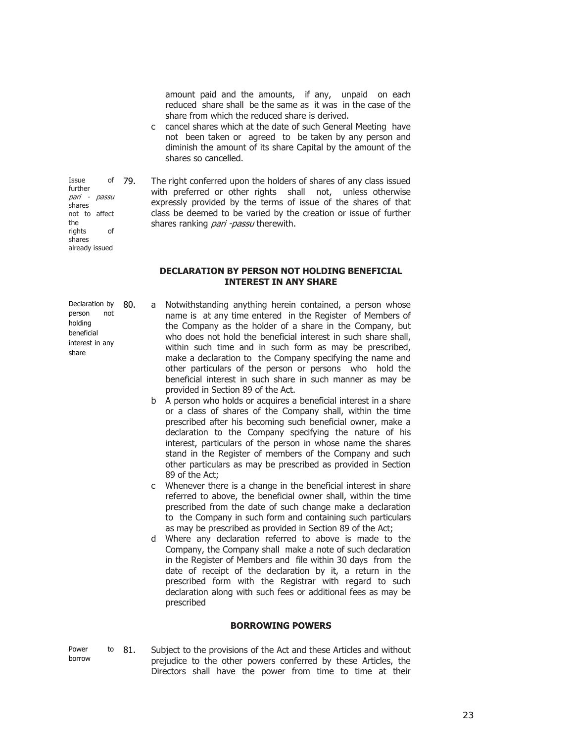amount paid and the amounts, if any, unpaid on each reduced share shall be the same as it was in the case of the share from which the reduced share is derived.

- c cancel shares which at the date of such General Meeting have not been taken or agreed to be taken by any person and diminish the amount of its share Capital by the amount of the shares so cancelled.
- 79. The right conferred upon the holders of shares of any class issued with preferred or other rights shall not, unless otherwise expressly provided by the terms of issue of the shares of that class be deemed to be varied by the creation or issue of further shares ranking *pari -passu* therewith.

## **DECLARATION BY PERSON NOT HOLDING BENEFICIAL INTEREST IN ANY SHARE**

- Declaration by person not holding beneficial interest in any share
- 80. a Notwithstanding anything herein contained, a person whose name is at any time entered in the Register of Members of the Company as the holder of a share in the Company, but who does not hold the beneficial interest in such share shall, within such time and in such form as may be prescribed, make a declaration to the Company specifying the name and other particulars of the person or persons who hold the beneficial interest in such share in such manner as may be provided in Section 89 of the Act.
	- b A person who holds or acquires a beneficial interest in a share or a class of shares of the Company shall, within the time prescribed after his becoming such beneficial owner, make a declaration to the Company specifying the nature of his interest, particulars of the person in whose name the shares stand in the Register of members of the Company and such other particulars as may be prescribed as provided in Section 89 of the Act;
	- c Whenever there is a change in the beneficial interest in share referred to above, the beneficial owner shall, within the time prescribed from the date of such change make a declaration to the Company in such form and containing such particulars as may be prescribed as provided in Section 89 of the Act;
	- d Where any declaration referred to above is made to the Company, the Company shall make a note of such declaration in the Register of Members and file within 30 days from the date of receipt of the declaration by it, a return in the prescribed form with the Registrar with regard to such declaration along with such fees or additional fees as may be prescribed

### **BORROWING POWERS**

Power to borrow 81. Subject to the provisions of the Act and these Articles and without prejudice to the other powers conferred by these Articles, the Directors shall have the power from time to time at their

further pari - passu shares not to affect the rights of shares already issued

Issue of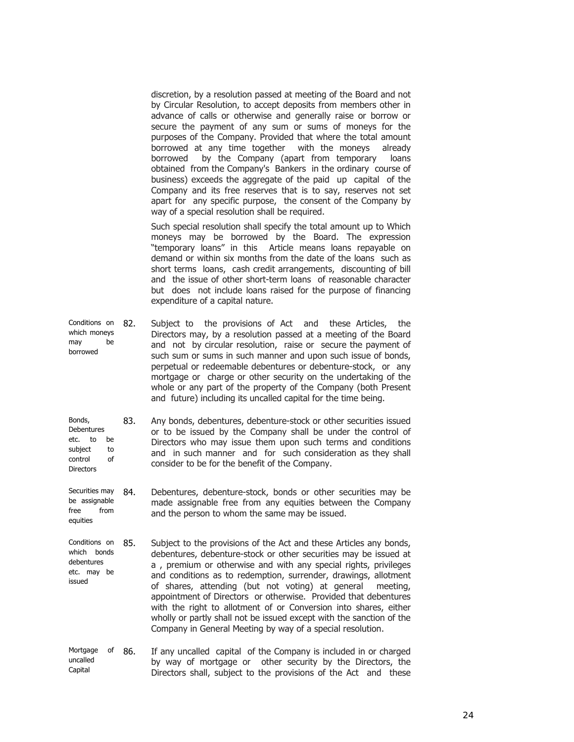discretion, by a resolution passed at meeting of the Board and not by Circular Resolution, to accept deposits from members other in advance of calls or otherwise and generally raise or borrow or secure the payment of any sum or sums of moneys for the purposes of the Company. Provided that where the total amount borrowed at any time together with the moneys already borrowed by the Company (apart from temporary loans obtained from the Company's Bankers in the ordinary course of business) exceeds the aggregate of the paid up capital of the Company and its free reserves that is to say, reserves not set apart for any specific purpose, the consent of the Company by way of a special resolution shall be required.

Such special resolution shall specify the total amount up to Which moneys may be borrowed by the Board. The expression "temporary loans" in this Article means loans repayable on demand or within six months from the date of the loans such as short terms loans, cash credit arrangements, discounting of bill and the issue of other short-term loans of reasonable character but does not include loans raised for the purpose of financing expenditure of a capital nature.

Conditions on 82. which moneys may be borrowed Subject to the provisions of Act and these Articles, the Directors may, by a resolution passed at a meeting of the Board and not by circular resolution, raise or secure the payment of such sum or sums in such manner and upon such issue of bonds, perpetual or redeemable debentures or debenture-stock, or any mortgage or charge or other security on the undertaking of the whole or any part of the property of the Company (both Present and future) including its uncalled capital for the time being.

Bonds, **Debentures** etc. to be subject to control of **Directors** 83. Any bonds, debentures, debenture-stock or other securities issued or to be issued by the Company shall be under the control of Directors who may issue them upon such terms and conditions and in such manner and for such consideration as they shall consider to be for the benefit of the Company.

- Securities may 84. be assignable free from equities Debentures, debenture-stock, bonds or other securities may be made assignable free from any equities between the Company and the person to whom the same may be issued.
- Conditions on which bonds debentures etc. may be issued 85. Subject to the provisions of the Act and these Articles any bonds, debentures, debenture-stock or other securities may be issued at a , premium or otherwise and with any special rights, privileges and conditions as to redemption, surrender, drawings, allotment of shares, attending (but not voting) at general meeting, appointment of Directors or otherwise. Provided that debentures with the right to allotment of or Conversion into shares, either wholly or partly shall not be issued except with the sanction of the Company in General Meeting by way of a special resolution.
- Mortgage of uncalled Capital 86. If any uncalled capital of the Company is included in or charged by way of mortgage or other security by the Directors, the Directors shall, subject to the provisions of the Act and these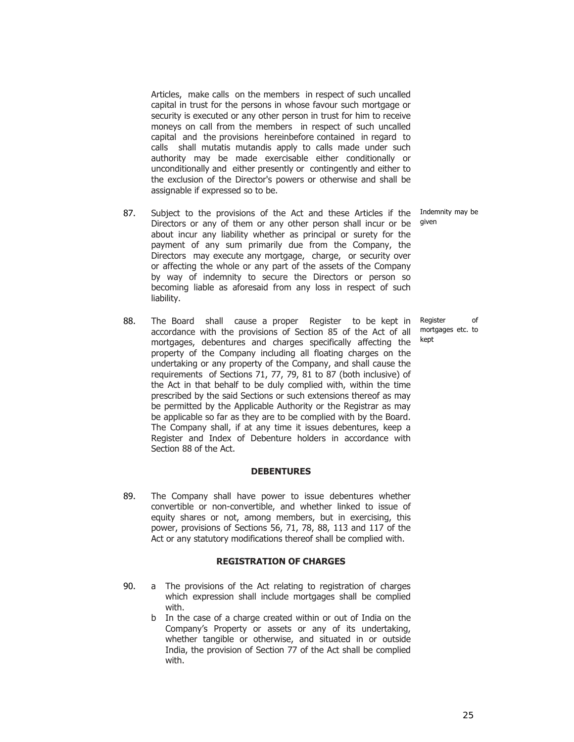Articles, make calls on the members in respect of such uncalled capital in trust for the persons in whose favour such mortgage or security is executed or any other person in trust for him to receive moneys on call from the members in respect of such uncalled capital and the provisions hereinbefore contained in regard to calls shall mutatis mutandis apply to calls made under such authority may be made exercisable either conditionally or unconditionally and either presently or contingently and either to the exclusion of the Director's powers or otherwise and shall be assignable if expressed so to be.

- 87. Subject to the provisions of the Act and these Articles if the Directors or any of them or any other person shall incur or be about incur any liability whether as principal or surety for the payment of any sum primarily due from the Company, the Directors may execute any mortgage, charge, or security over or affecting the whole or any part of the assets of the Company by way of indemnity to secure the Directors or person so becoming liable as aforesaid from any loss in respect of such liability.
- 88. The Board shall cause a proper Register to be kept in accordance with the provisions of Section 85 of the Act of all mortgages, debentures and charges specifically affecting the property of the Company including all floating charges on the undertaking or any property of the Company, and shall cause the requirements of Sections 71, 77, 79, 81 to 87 (both inclusive) of the Act in that behalf to be duly complied with, within the time prescribed by the said Sections or such extensions thereof as may be permitted by the Applicable Authority or the Registrar as may be applicable so far as they are to be complied with by the Board. The Company shall, if at any time it issues debentures, keep a Register and Index of Debenture holders in accordance with Section 88 of the Act.

### **DEBENTURES**

89. The Company shall have power to issue debentures whether convertible or non-convertible, and whether linked to issue of equity shares or not, among members, but in exercising, this power, provisions of Sections 56, 71, 78, 88, 113 and 117 of the Act or any statutory modifications thereof shall be complied with.

#### **REGISTRATION OF CHARGES**

- 90. a The provisions of the Act relating to registration of charges which expression shall include mortgages shall be complied with.
	- b In the case of a charge created within or out of India on the Company's Property or assets or any of its undertaking, whether tangible or otherwise, and situated in or outside India, the provision of Section 77 of the Act shall be complied with.

Indemnity may be given

Register of mortgages etc. to kept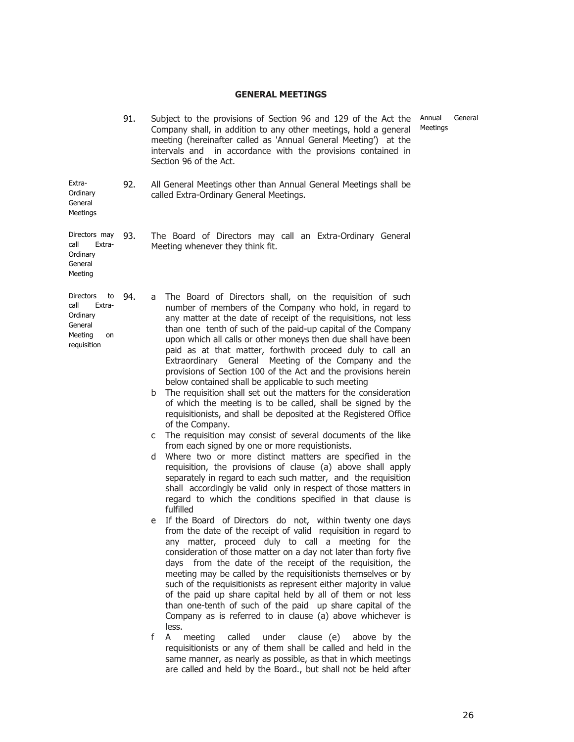# **GENERAL MEETINGS**

|                                                                                                 | 91. | An<br>Subject to the provisions of Section 96 and 129 of the Act the<br>Me<br>Company shall, in addition to any other meetings, hold a general<br>meeting (hereinafter called as 'Annual General Meeting') at the<br>intervals and in accordance with the provisions contained in<br>Section 96 of the Act.                                                                                                                                                                                                                                                                                                                                                                                                                                                                                                                                                                                                                                                                                                                                                                                                                                                                                                                                                                                                                                                                                                                                                                                                                                                                                                                                                                                                                                                                                                                                                                                                                                                                                                                                                                                                                                                                                                                    |  |  |  |  |  |  |
|-------------------------------------------------------------------------------------------------|-----|--------------------------------------------------------------------------------------------------------------------------------------------------------------------------------------------------------------------------------------------------------------------------------------------------------------------------------------------------------------------------------------------------------------------------------------------------------------------------------------------------------------------------------------------------------------------------------------------------------------------------------------------------------------------------------------------------------------------------------------------------------------------------------------------------------------------------------------------------------------------------------------------------------------------------------------------------------------------------------------------------------------------------------------------------------------------------------------------------------------------------------------------------------------------------------------------------------------------------------------------------------------------------------------------------------------------------------------------------------------------------------------------------------------------------------------------------------------------------------------------------------------------------------------------------------------------------------------------------------------------------------------------------------------------------------------------------------------------------------------------------------------------------------------------------------------------------------------------------------------------------------------------------------------------------------------------------------------------------------------------------------------------------------------------------------------------------------------------------------------------------------------------------------------------------------------------------------------------------------|--|--|--|--|--|--|
| Extra-<br>Ordinary<br>General<br>Meetings                                                       | 92. | All General Meetings other than Annual General Meetings shall be<br>called Extra-Ordinary General Meetings.                                                                                                                                                                                                                                                                                                                                                                                                                                                                                                                                                                                                                                                                                                                                                                                                                                                                                                                                                                                                                                                                                                                                                                                                                                                                                                                                                                                                                                                                                                                                                                                                                                                                                                                                                                                                                                                                                                                                                                                                                                                                                                                    |  |  |  |  |  |  |
| Directors may<br>call<br>Extra-<br>Ordinary<br>General<br>Meeting                               | 93. | The Board of Directors may call an Extra-Ordinary General<br>Meeting whenever they think fit.                                                                                                                                                                                                                                                                                                                                                                                                                                                                                                                                                                                                                                                                                                                                                                                                                                                                                                                                                                                                                                                                                                                                                                                                                                                                                                                                                                                                                                                                                                                                                                                                                                                                                                                                                                                                                                                                                                                                                                                                                                                                                                                                  |  |  |  |  |  |  |
| <b>Directors</b><br>to<br>call<br>Extra-<br>Ordinary<br>General<br>Meeting<br>on<br>requisition | 94. | The Board of Directors shall, on the requisition of such<br>a<br>number of members of the Company who hold, in regard to<br>any matter at the date of receipt of the requisitions, not less<br>than one tenth of such of the paid-up capital of the Company<br>upon which all calls or other moneys then due shall have been<br>paid as at that matter, forthwith proceed duly to call an<br>Extraordinary General Meeting of the Company and the<br>provisions of Section 100 of the Act and the provisions herein<br>below contained shall be applicable to such meeting<br>The requisition shall set out the matters for the consideration<br>b<br>of which the meeting is to be called, shall be signed by the<br>requisitionists, and shall be deposited at the Registered Office<br>of the Company.<br>The requisition may consist of several documents of the like<br>с<br>from each signed by one or more requistionists.<br>Where two or more distinct matters are specified in the<br>d<br>requisition, the provisions of clause (a) above shall apply<br>separately in regard to each such matter, and the requisition<br>shall accordingly be valid only in respect of those matters in<br>regard to which the conditions specified in that clause is<br>fulfilled<br>If the Board of Directors do not, within twenty one days<br>e<br>from the date of the receipt of valid requisition in regard to<br>any matter, proceed duly to call a meeting for the<br>consideration of those matter on a day not later than forty five<br>days from the date of the receipt of the requisition, the<br>meeting may be called by the requisitionists themselves or by<br>such of the requisitionists as represent either majority in value<br>of the paid up share capital held by all of them or not less<br>than one-tenth of such of the paid up share capital of the<br>Company as is referred to in clause (a) above whichever is<br>less.<br>f<br>A<br>meeting<br>called<br>under<br>clause (e)<br>above by the<br>requisitionists or any of them shall be called and held in the<br>same manner, as nearly as possible, as that in which meetings<br>are called and held by the Board., but shall not be held after |  |  |  |  |  |  |

nual General eetings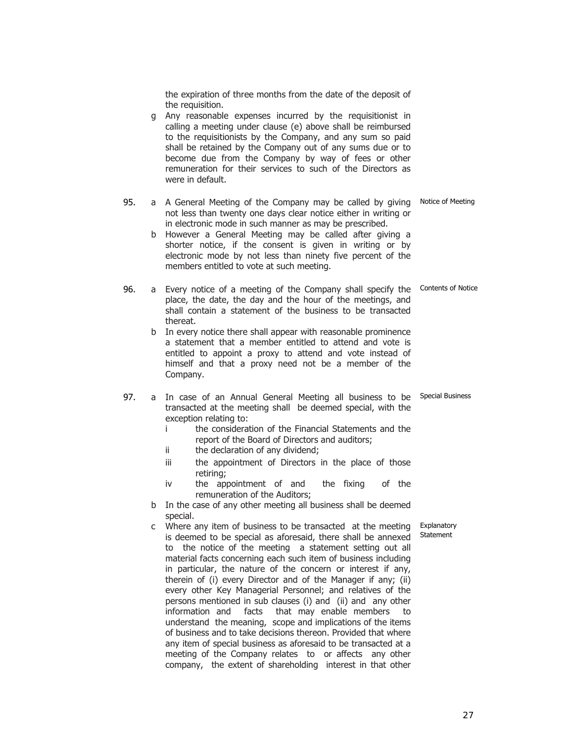the expiration of three months from the date of the deposit of the requisition. g Any reasonable expenses incurred by the requisitionist in calling a meeting under clause (e) above shall be reimbursed to the requisitionists by the Company, and any sum so paid shall be retained by the Company out of any sums due or to become due from the Company by way of fees or other remuneration for their services to such of the Directors as were in default. 95. a A General Meeting of the Company may be called by giving not less than twenty one days clear notice either in writing or in electronic mode in such manner as may be prescribed. Notice of Meeting b However a General Meeting may be called after giving a shorter notice, if the consent is given in writing or by electronic mode by not less than ninety five percent of the members entitled to vote at such meeting. 96. a Every notice of a meeting of the Company shall specify the Contents of Notice place, the date, the day and the hour of the meetings, and shall contain a statement of the business to be transacted thereat. b In every notice there shall appear with reasonable prominence a statement that a member entitled to attend and vote is entitled to appoint a proxy to attend and vote instead of himself and that a proxy need not be a member of the Company. 97. a In case of an Annual General Meeting all business to be Special Business transacted at the meeting shall be deemed special, with the exception relating to: i the consideration of the Financial Statements and the report of the Board of Directors and auditors; ii the declaration of any dividend; iii the appointment of Directors in the place of those retiring; iv the appointment of and the fixing of the remuneration of the Auditors; b In the case of any other meeting all business shall be deemed special. c Where any item of business to be transacted at the meeting is deemed to be special as aforesaid, there shall be annexed to the notice of the meeting a statement setting out all material facts concerning each such item of business including in particular, the nature of the concern or interest if any, therein of (i) every Director and of the Manager if any; (ii) every other Key Managerial Personnel; and relatives of the Explanatory Statement

> persons mentioned in sub clauses (i) and (ii) and any other information and facts that may enable members to understand the meaning, scope and implications of the items of business and to take decisions thereon. Provided that where any item of special business as aforesaid to be transacted at a meeting of the Company relates to or affects any other company, the extent of shareholding interest in that other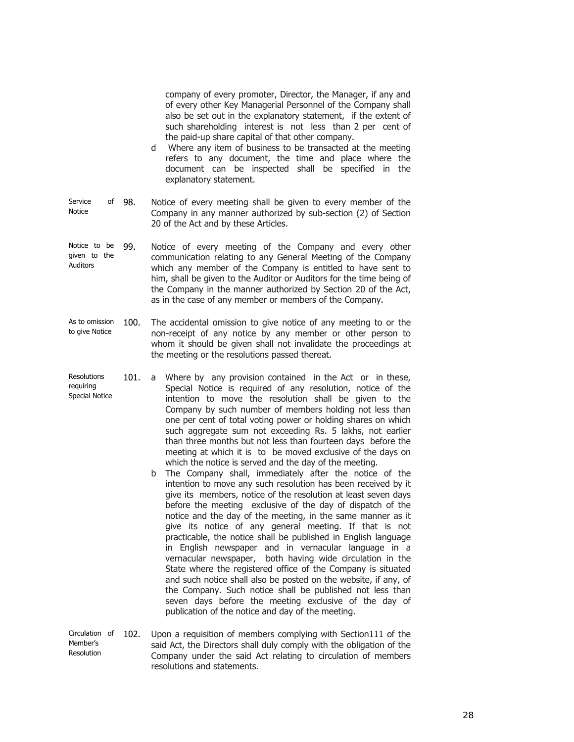company of every promoter, Director, the Manager, if any and of every other Key Managerial Personnel of the Company shall also be set out in the explanatory statement, if the extent of such shareholding interest is not less than 2 per cent of the paid-up share capital of that other company.

- d Where any item of business to be transacted at the meeting refers to any document, the time and place where the document can be inspected shall be specified in the explanatory statement.
- Service of 98. Notice Notice of every meeting shall be given to every member of the Company in any manner authorized by sub-section (2) of Section 20 of the Act and by these Articles.
- Notice to be given to the Auditors 99. Notice of every meeting of the Company and every other communication relating to any General Meeting of the Company which any member of the Company is entitled to have sent to him, shall be given to the Auditor or Auditors for the time being of the Company in the manner authorized by Section 20 of the Act, as in the case of any member or members of the Company.
- As to omission 100. to give Notice The accidental omission to give notice of any meeting to or the non-receipt of any notice by any member or other person to whom it should be given shall not invalidate the proceedings at the meeting or the resolutions passed thereat.
- Resolutions requiring Special Notice 101. a Where by any provision contained in the Act or in these, Special Notice is required of any resolution, notice of the intention to move the resolution shall be given to the Company by such number of members holding not less than one per cent of total voting power or holding shares on which such aggregate sum not exceeding Rs. 5 lakhs, not earlier than three months but not less than fourteen days before the meeting at which it is to be moved exclusive of the days on which the notice is served and the day of the meeting.
	- b The Company shall, immediately after the notice of the intention to move any such resolution has been received by it give its members, notice of the resolution at least seven days before the meeting exclusive of the day of dispatch of the notice and the day of the meeting, in the same manner as it give its notice of any general meeting. If that is not practicable, the notice shall be published in English language in English newspaper and in vernacular language in a vernacular newspaper, both having wide circulation in the State where the registered office of the Company is situated and such notice shall also be posted on the website, if any, of the Company. Such notice shall be published not less than seven days before the meeting exclusive of the day of publication of the notice and day of the meeting.
- Circulation of 102. Upon a requisition of members complying with Section111 of the Member's Resolution said Act, the Directors shall duly comply with the obligation of the Company under the said Act relating to circulation of members resolutions and statements.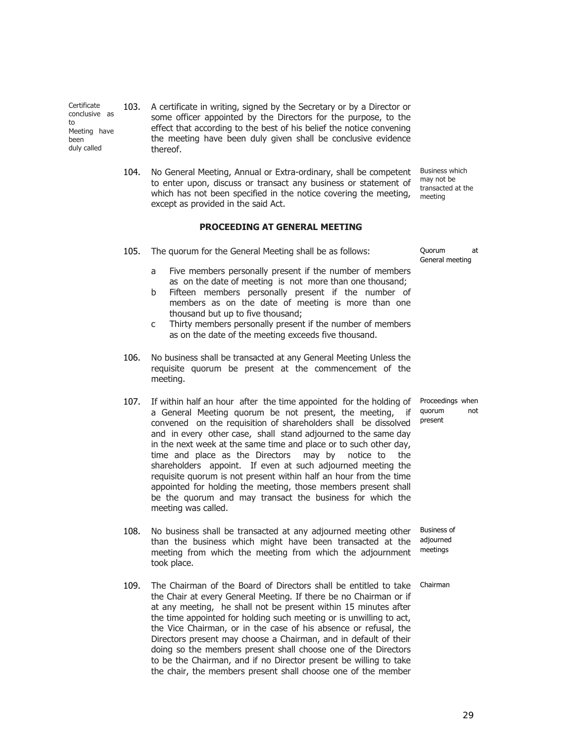**Certificate** conclusive as to Meeting have been duly called

103. A certificate in writing, signed by the Secretary or by a Director or some officer appointed by the Directors for the purpose, to the effect that according to the best of his belief the notice convening the meeting have been duly given shall be conclusive evidence thereof.

104. No General Meeting, Annual or Extra-ordinary, shall be competent to enter upon, discuss or transact any business or statement of which has not been specified in the notice covering the meeting, except as provided in the said Act. Business which may not be transacted at the meeting

## **PROCEEDING AT GENERAL MEETING**

105. The quorum for the General Meeting shall be as follows: Quorum at

- a Five members personally present if the number of members as on the date of meeting is not more than one thousand;
- b Fifteen members personally present if the number of members as on the date of meeting is more than one thousand but up to five thousand;
- c Thirty members personally present if the number of members as on the date of the meeting exceeds five thousand.
- 106. No business shall be transacted at any General Meeting Unless the requisite quorum be present at the commencement of the meeting.
- 107. If within half an hour after the time appointed for the holding of a General Meeting quorum be not present, the meeting, if convened on the requisition of shareholders shall be dissolved and in every other case, shall stand adjourned to the same day in the next week at the same time and place or to such other day, time and place as the Directors may by notice to the shareholders appoint. If even at such adjourned meeting the requisite quorum is not present within half an hour from the time appointed for holding the meeting, those members present shall be the quorum and may transact the business for which the meeting was called.
- 108. No business shall be transacted at any adjourned meeting other than the business which might have been transacted at the meeting from which the meeting from which the adjournment took place.
- 109. The Chairman of the Board of Directors shall be entitled to take the Chair at every General Meeting. If there be no Chairman or if at any meeting, he shall not be present within 15 minutes after the time appointed for holding such meeting or is unwilling to act, the Vice Chairman, or in the case of his absence or refusal, the Directors present may choose a Chairman, and in default of their doing so the members present shall choose one of the Directors to be the Chairman, and if no Director present be willing to take the chair, the members present shall choose one of the member

General meeting

Proceedings when quorum not present

Business of adjourned meetings

Chairman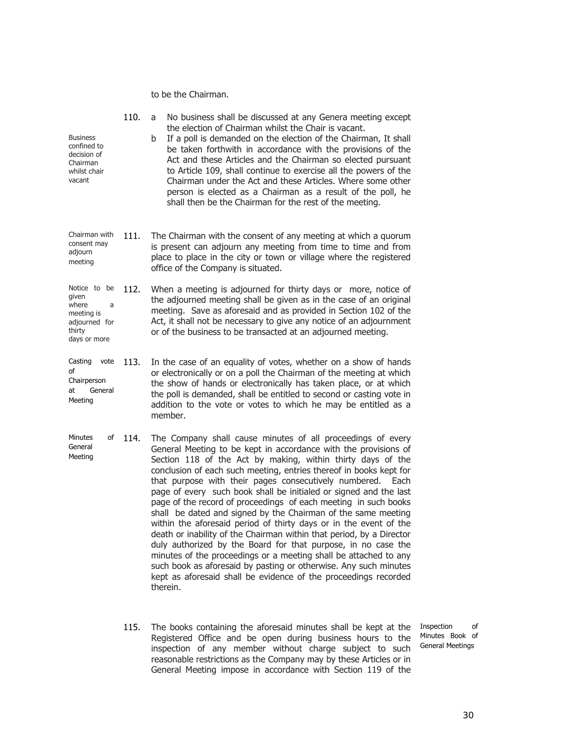to be the Chairman.

| <b>Business</b><br>confined to<br>decision of<br>Chairman<br>whilst chair<br>vacant          | 110. | No business shall be discussed at any Genera meeting except<br>a<br>the election of Chairman whilst the Chair is vacant.<br>If a poll is demanded on the election of the Chairman, It shall<br>b<br>be taken forthwith in accordance with the provisions of the<br>Act and these Articles and the Chairman so elected pursuant<br>to Article 109, shall continue to exercise all the powers of the<br>Chairman under the Act and these Articles. Where some other<br>person is elected as a Chairman as a result of the poll, he<br>shall then be the Chairman for the rest of the meeting.                                                                                                                                                                                                                                                                                                                                                                                        |
|----------------------------------------------------------------------------------------------|------|------------------------------------------------------------------------------------------------------------------------------------------------------------------------------------------------------------------------------------------------------------------------------------------------------------------------------------------------------------------------------------------------------------------------------------------------------------------------------------------------------------------------------------------------------------------------------------------------------------------------------------------------------------------------------------------------------------------------------------------------------------------------------------------------------------------------------------------------------------------------------------------------------------------------------------------------------------------------------------|
| Chairman with<br>consent may<br>adjourn<br>meeting                                           | 111. | The Chairman with the consent of any meeting at which a quorum<br>is present can adjourn any meeting from time to time and from<br>place to place in the city or town or village where the registered<br>office of the Company is situated.                                                                                                                                                                                                                                                                                                                                                                                                                                                                                                                                                                                                                                                                                                                                        |
| Notice to be<br>given<br>where<br>a<br>meeting is<br>adjourned for<br>thirty<br>days or more | 112. | When a meeting is adjourned for thirty days or more, notice of<br>the adjourned meeting shall be given as in the case of an original<br>meeting. Save as aforesaid and as provided in Section 102 of the<br>Act, it shall not be necessary to give any notice of an adjournment<br>or of the business to be transacted at an adjourned meeting.                                                                                                                                                                                                                                                                                                                                                                                                                                                                                                                                                                                                                                    |
| Casting<br>vote<br>of<br>Chairperson<br>General<br>at<br>Meeting                             | 113. | In the case of an equality of votes, whether on a show of hands<br>or electronically or on a poll the Chairman of the meeting at which<br>the show of hands or electronically has taken place, or at which<br>the poll is demanded, shall be entitled to second or casting vote in<br>addition to the vote or votes to which he may be entitled as a<br>member.                                                                                                                                                                                                                                                                                                                                                                                                                                                                                                                                                                                                                    |
| Minutes<br>of<br>General<br>Meeting                                                          | 114. | The Company shall cause minutes of all proceedings of every<br>General Meeting to be kept in accordance with the provisions of<br>Section 118 of the Act by making, within thirty days of the<br>conclusion of each such meeting, entries thereof in books kept for<br>that purpose with their pages consecutively numbered.<br>Each<br>page of every such book shall be initialed or signed and the last<br>page of the record of proceedings of each meeting in such books<br>shall be dated and signed by the Chairman of the same meeting<br>within the aforesaid period of thirty days or in the event of the<br>death or inability of the Chairman within that period, by a Director<br>duly authorized by the Board for that purpose, in no case the<br>minutes of the proceedings or a meeting shall be attached to any<br>such book as aforesaid by pasting or otherwise. Any such minutes<br>kept as aforesaid shall be evidence of the proceedings recorded<br>therein. |

115. The books containing the aforesaid minutes shall be kept at the Inspection of Registered Office and be open during business hours to the inspection of any member without charge subject to such reasonable restrictions as the Company may by these Articles or in General Meeting impose in accordance with Section 119 of the

Minutes Book of General Meetings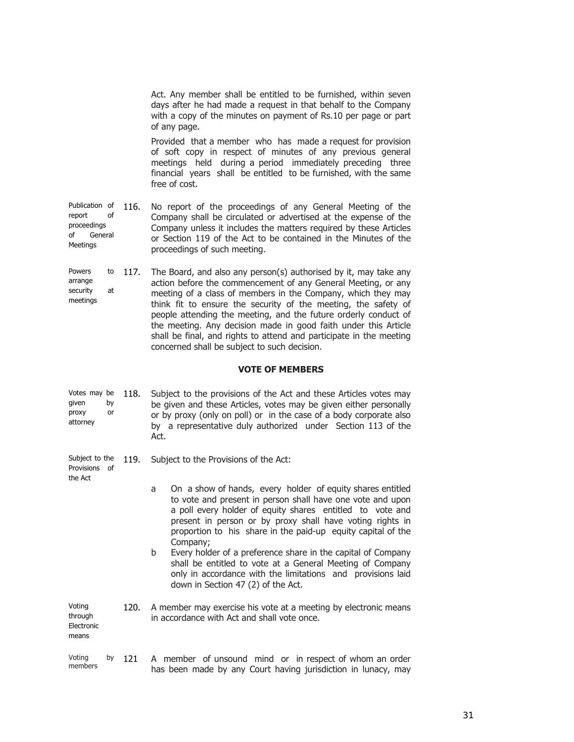|                                                                            |      | Act. Any member shall be entitled to be furnished, within seven<br>days after he had made a request in that behalf to the Company<br>with a copy of the minutes on payment of Rs.10 per page or part<br>of any page.<br>Provided that a member who has made a request for provision<br>of soft copy in respect of minutes of any previous general<br>meetings held during a period immediately preceding three<br>financial years shall be entitled to be furnished, with the same                                               |
|----------------------------------------------------------------------------|------|----------------------------------------------------------------------------------------------------------------------------------------------------------------------------------------------------------------------------------------------------------------------------------------------------------------------------------------------------------------------------------------------------------------------------------------------------------------------------------------------------------------------------------|
| Publication of<br>of<br>report<br>proceedings<br>of<br>General<br>Meetings | 116. | free of cost.<br>No report of the proceedings of any General Meeting of the<br>Company shall be circulated or advertised at the expense of the<br>Company unless it includes the matters required by these Articles<br>or Section 119 of the Act to be contained in the Minutes of the<br>proceedings of such meeting.                                                                                                                                                                                                           |
| <b>Powers</b><br>to<br>arrange<br>security<br>at<br>meetings               | 117. | The Board, and also any person(s) authorised by it, may take any<br>action before the commencement of any General Meeting, or any<br>meeting of a class of members in the Company, which they may<br>think fit to ensure the security of the meeting, the safety of<br>people attending the meeting, and the future orderly conduct of<br>the meeting. Any decision made in good faith under this Article<br>shall be final, and rights to attend and participate in the meeting<br>concerned shall be subject to such decision. |
|                                                                            |      | <b>VOTE OF MEMBERS</b>                                                                                                                                                                                                                                                                                                                                                                                                                                                                                                           |
|                                                                            |      |                                                                                                                                                                                                                                                                                                                                                                                                                                                                                                                                  |
| Votes may be<br>given<br>by<br>proxy<br>or<br>attorney                     | 118. | Subject to the provisions of the Act and these Articles votes may<br>be given and these Articles, votes may be given either personally<br>or by proxy (only on poll) or in the case of a body corporate also<br>by a representative duly authorized under Section 113 of the<br>Act.                                                                                                                                                                                                                                             |
| Subject to the<br>Provisions of                                            | 119. | Subject to the Provisions of the Act:                                                                                                                                                                                                                                                                                                                                                                                                                                                                                            |
| the Act                                                                    |      | On a show of hands, every holder of equity shares entitled<br>a<br>to vote and present in person shall have one vote and upon<br>a poll every holder of equity shares entitled to vote and<br>present in person or by proxy shall have voting rights in<br>proportion to his share in the paid-up equity capital of the                                                                                                                                                                                                          |
|                                                                            |      | Company;<br>Every holder of a preference share in the capital of Company<br>b<br>shall be entitled to vote at a General Meeting of Company<br>only in accordance with the limitations and provisions laid<br>down in Section 47 (2) of the Act.                                                                                                                                                                                                                                                                                  |
| Voting<br>through<br>Electronic<br>means                                   | 120. | A member may exercise his vote at a meeting by electronic means<br>in accordance with Act and shall vote once.                                                                                                                                                                                                                                                                                                                                                                                                                   |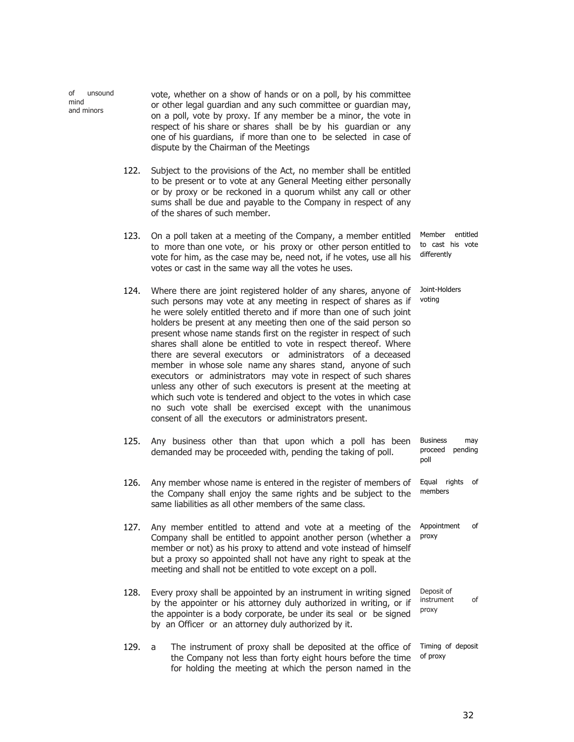of unsound mind and minors vote, whether on a show of hands or on a poll, by his committee or other legal guardian and any such committee or guardian may, on a poll, vote by proxy. If any member be a minor, the vote in respect of his share or shares shall be by his guardian or any one of his guardians, if more than one to be selected in case of dispute by the Chairman of the Meetings

- 122. Subject to the provisions of the Act, no member shall be entitled to be present or to vote at any General Meeting either personally or by proxy or be reckoned in a quorum whilst any call or other sums shall be due and payable to the Company in respect of any of the shares of such member.
- 123. On a poll taken at a meeting of the Company, a member entitled to more than one vote, or his proxy or other person entitled to vote for him, as the case may be, need not, if he votes, use all his votes or cast in the same way all the votes he uses. Member entitled to cast his vote differently
- 124. Where there are joint registered holder of any shares, anyone of such persons may vote at any meeting in respect of shares as if he were solely entitled thereto and if more than one of such joint holders be present at any meeting then one of the said person so present whose name stands first on the register in respect of such shares shall alone be entitled to vote in respect thereof. Where there are several executors or administrators of a deceased member in whose sole name any shares stand, anyone of such executors or administrators may vote in respect of such shares unless any other of such executors is present at the meeting at which such vote is tendered and object to the votes in which case no such vote shall be exercised except with the unanimous consent of all the executors or administrators present. Joint-Holders voting
- 125. Any business other than that upon which a poll has been demanded may be proceeded with, pending the taking of poll. Business may proceed pending poll
- 126. Any member whose name is entered in the register of members of the Company shall enjoy the same rights and be subject to the same liabilities as all other members of the same class. Equal rights of members
- 127. Any member entitled to attend and vote at a meeting of the Company shall be entitled to appoint another person (whether a member or not) as his proxy to attend and vote instead of himself but a proxy so appointed shall not have any right to speak at the meeting and shall not be entitled to vote except on a poll. Appointment of proxy
- 128. Every proxy shall be appointed by an instrument in writing signed by the appointer or his attorney duly authorized in writing, or if the appointer is a body corporate, be under its seal or be signed by an Officer or an attorney duly authorized by it. Deposit of instrument of proxy
- 129. a The instrument of proxy shall be deposited at the office of the Company not less than forty eight hours before the time for holding the meeting at which the person named in the Timing of deposit of proxy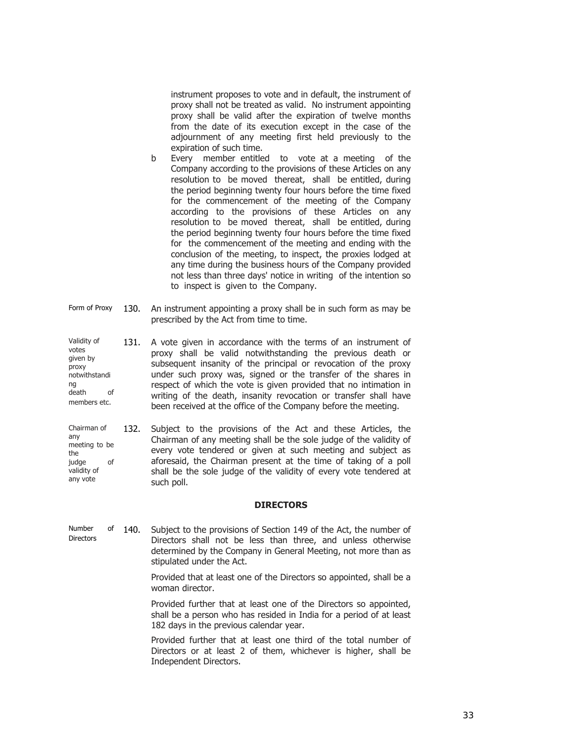instrument proposes to vote and in default, the instrument of proxy shall not be treated as valid. No instrument appointing proxy shall be valid after the expiration of twelve months from the date of its execution except in the case of the adjournment of any meeting first held previously to the expiration of such time.

- b Every member entitled to vote at a meeting of the Company according to the provisions of these Articles on any resolution to be moved thereat, shall be entitled, during the period beginning twenty four hours before the time fixed for the commencement of the meeting of the Company according to the provisions of these Articles on any resolution to be moved thereat, shall be entitled, during the period beginning twenty four hours before the time fixed for the commencement of the meeting and ending with the conclusion of the meeting, to inspect, the proxies lodged at any time during the business hours of the Company provided not less than three days' notice in writing of the intention so to inspect is given to the Company.
- Form of Proxy 130. An instrument appointing a proxy shall be in such form as may be prescribed by the Act from time to time.
- Validity of votes given by proxy notwithstandi ng death of members etc. 131. A vote given in accordance with the terms of an instrument of proxy shall be valid notwithstanding the previous death or subsequent insanity of the principal or revocation of the proxy under such proxy was, signed or the transfer of the shares in respect of which the vote is given provided that no intimation in writing of the death, insanity revocation or transfer shall have been received at the office of the Company before the meeting.
- Chairman of any meeting to be the judge of validity of any vote 132. Subject to the provisions of the Act and these Articles, the Chairman of any meeting shall be the sole judge of the validity of every vote tendered or given at such meeting and subject as aforesaid, the Chairman present at the time of taking of a poll shall be the sole judge of the validity of every vote tendered at such poll.

### **DIRECTORS**

- Number of 140. **Directors** Subject to the provisions of Section 149 of the Act, the number of Directors shall not be less than three, and unless otherwise determined by the Company in General Meeting, not more than as stipulated under the Act.
	- Provided that at least one of the Directors so appointed, shall be a woman director.

Provided further that at least one of the Directors so appointed, shall be a person who has resided in India for a period of at least 182 days in the previous calendar year.

Provided further that at least one third of the total number of Directors or at least 2 of them, whichever is higher, shall be Independent Directors.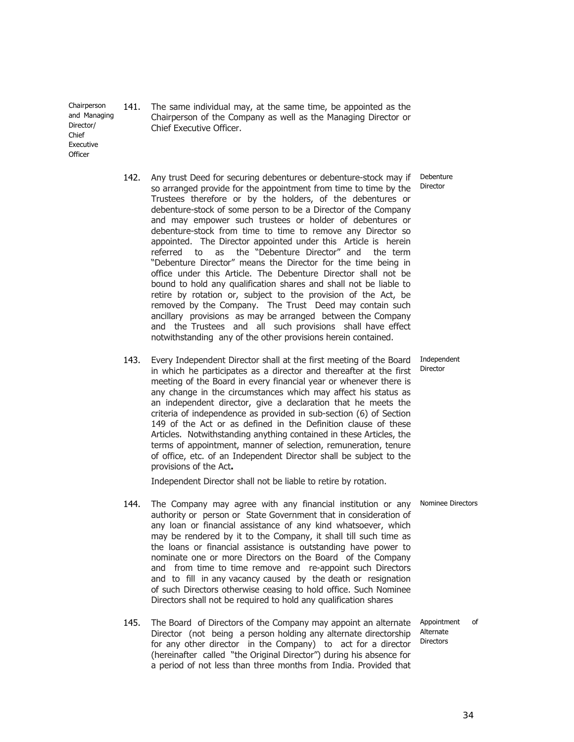Chairperson and Managing Director/ Chief Executive **Officer** 

> 142. Any trust Deed for securing debentures or debenture-stock may if so arranged provide for the appointment from time to time by the Trustees therefore or by the holders, of the debentures or debenture-stock of some person to be a Director of the Company and may empower such trustees or holder of debentures or debenture-stock from time to time to remove any Director so appointed. The Director appointed under this Article is herein referred to as the "Debenture Director" and the term "Debenture Director" means the Director for the time being in office under this Article. The Debenture Director shall not be bound to hold any qualification shares and shall not be liable to retire by rotation or, subject to the provision of the Act, be removed by the Company. The Trust Deed may contain such ancillary provisions as may be arranged between the Company and the Trustees and all such provisions shall have effect notwithstanding any of the other provisions herein contained.

141. The same individual may, at the same time, be appointed as the Chairperson of the Company as well as the Managing Director or

Chief Executive Officer.

143. Every Independent Director shall at the first meeting of the Board Independent in which he participates as a director and thereafter at the first meeting of the Board in every financial year or whenever there is any change in the circumstances which may affect his status as an independent director, give a declaration that he meets the criteria of independence as provided in sub-section (6) of Section 149 of the Act or as defined in the Definition clause of these Articles. Notwithstanding anything contained in these Articles, the terms of appointment, manner of selection, remuneration, tenure of office, etc. of an Independent Director shall be subject to the provisions of the Act**.** 

Independent Director shall not be liable to retire by rotation.

- 144. The Company may agree with any financial institution or any authority or person or State Government that in consideration of any loan or financial assistance of any kind whatsoever, which may be rendered by it to the Company, it shall till such time as the loans or financial assistance is outstanding have power to nominate one or more Directors on the Board of the Company and from time to time remove and re-appoint such Directors and to fill in any vacancy caused by the death or resignation of such Directors otherwise ceasing to hold office. Such Nominee Directors shall not be required to hold any qualification shares Nominee Directors
- 145. The Board of Directors of the Company may appoint an alternate Director (not being a person holding any alternate directorship for any other director in the Company) to act for a director (hereinafter called "the Original Director") during his absence for a period of not less than three months from India. Provided that Appointment of Alternate **Directors**

Director

Debenture Director

34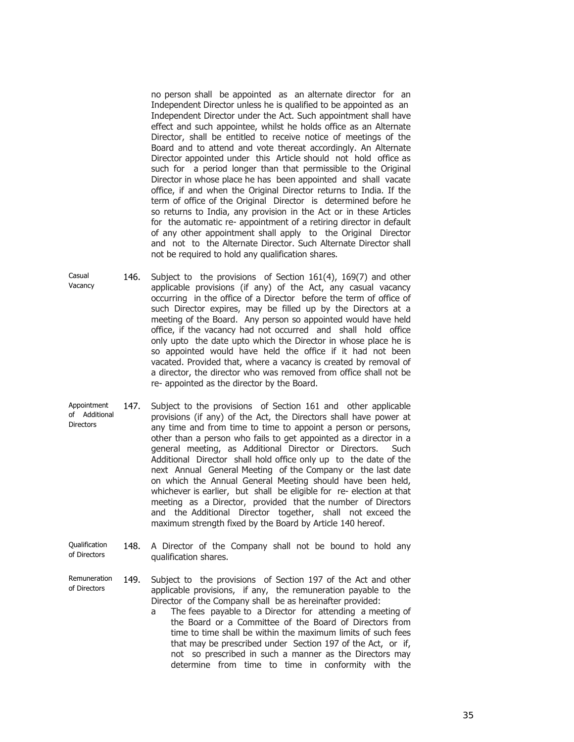no person shall be appointed as an alternate director for an Independent Director unless he is qualified to be appointed as an Independent Director under the Act. Such appointment shall have effect and such appointee, whilst he holds office as an Alternate Director, shall be entitled to receive notice of meetings of the Board and to attend and vote thereat accordingly. An Alternate Director appointed under this Article should not hold office as such for a period longer than that permissible to the Original Director in whose place he has been appointed and shall vacate office, if and when the Original Director returns to India. If the term of office of the Original Director is determined before he so returns to India, any provision in the Act or in these Articles for the automatic re- appointment of a retiring director in default of any other appointment shall apply to the Original Director and not to the Alternate Director. Such Alternate Director shall not be required to hold any qualification shares.

- Casual Vacancy 146. Subject to the provisions of Section 161(4), 169(7) and other applicable provisions (if any) of the Act, any casual vacancy occurring in the office of a Director before the term of office of such Director expires, may be filled up by the Directors at a meeting of the Board. Any person so appointed would have held office, if the vacancy had not occurred and shall hold office only upto the date upto which the Director in whose place he is so appointed would have held the office if it had not been vacated. Provided that, where a vacancy is created by removal of a director, the director who was removed from office shall not be re- appointed as the director by the Board.
- Appointment of Additional **Directors** 147. Subject to the provisions of Section 161 and other applicable provisions (if any) of the Act, the Directors shall have power at any time and from time to time to appoint a person or persons, other than a person who fails to get appointed as a director in a general meeting, as Additional Director or Directors. Such Additional Director shall hold office only up to the date of the next Annual General Meeting of the Company or the last date on which the Annual General Meeting should have been held, whichever is earlier, but shall be eligible for re- election at that meeting as a Director, provided that the number of Directors and the Additional Director together, shall not exceed the maximum strength fixed by the Board by Article 140 hereof.
- Qualification of Directors 148. A Director of the Company shall not be bound to hold any qualification shares.
- Remuneration of Directors 149. Subject to the provisions of Section 197 of the Act and other applicable provisions, if any, the remuneration payable to the Director of the Company shall be as hereinafter provided:
	- a The fees payable to a Director for attending a meeting of the Board or a Committee of the Board of Directors from time to time shall be within the maximum limits of such fees that may be prescribed under Section 197 of the Act, or if, not so prescribed in such a manner as the Directors may determine from time to time in conformity with the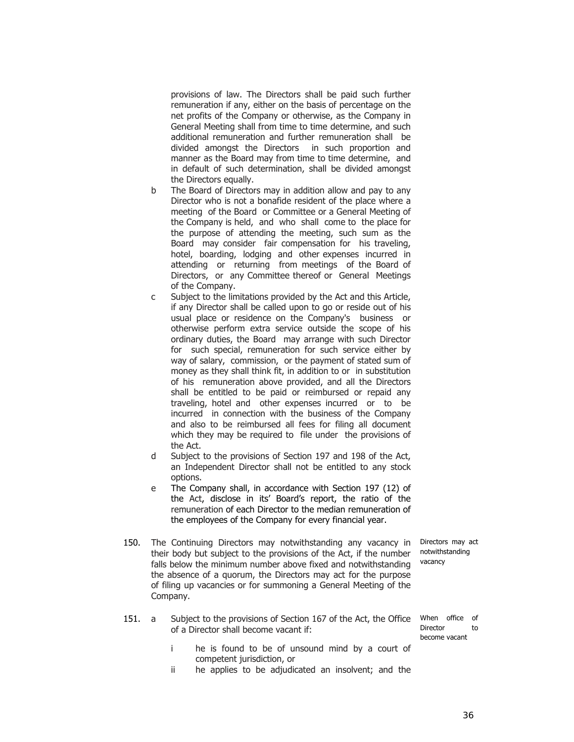provisions of law. The Directors shall be paid such further remuneration if any, either on the basis of percentage on the net profits of the Company or otherwise, as the Company in General Meeting shall from time to time determine, and such additional remuneration and further remuneration shall be divided amongst the Directors in such proportion and manner as the Board may from time to time determine, and in default of such determination, shall be divided amongst the Directors equally.

- b The Board of Directors may in addition allow and pay to any Director who is not a bonafide resident of the place where a meeting of the Board or Committee or a General Meeting of the Company is held, and who shall come to the place for the purpose of attending the meeting, such sum as the Board may consider fair compensation for his traveling, hotel, boarding, lodging and other expenses incurred in attending or returning from meetings of the Board of Directors, or any Committee thereof or General Meetings of the Company.
- c Subject to the limitations provided by the Act and this Article, if any Director shall be called upon to go or reside out of his usual place or residence on the Company's business or otherwise perform extra service outside the scope of his ordinary duties, the Board may arrange with such Director for such special, remuneration for such service either by way of salary, commission, or the payment of stated sum of money as they shall think fit, in addition to or in substitution of his remuneration above provided, and all the Directors shall be entitled to be paid or reimbursed or repaid any traveling, hotel and other expenses incurred or to be incurred in connection with the business of the Company and also to be reimbursed all fees for filing all document which they may be required to file under the provisions of the Act.
- d Subject to the provisions of Section 197 and 198 of the Act, an Independent Director shall not be entitled to any stock options.
- e The Company shall, in accordance with Section 197 (12) of the Act, disclose in its' Board's report, the ratio of the remuneration of each Director to the median remuneration of the employees of the Company for every financial year.
- 150. The Continuing Directors may notwithstanding any vacancy in their body but subject to the provisions of the Act, if the number falls below the minimum number above fixed and notwithstanding the absence of a quorum, the Directors may act for the purpose of filing up vacancies or for summoning a General Meeting of the Company.
- 151. a Subject to the provisions of Section 167 of the Act, the Office of a Director shall become vacant if:
	- i he is found to be of unsound mind by a court of competent jurisdiction, or
	- ii he applies to be adjudicated an insolvent; and the

Directors may act notwithstanding vacancy

When office of Director to become vacant

36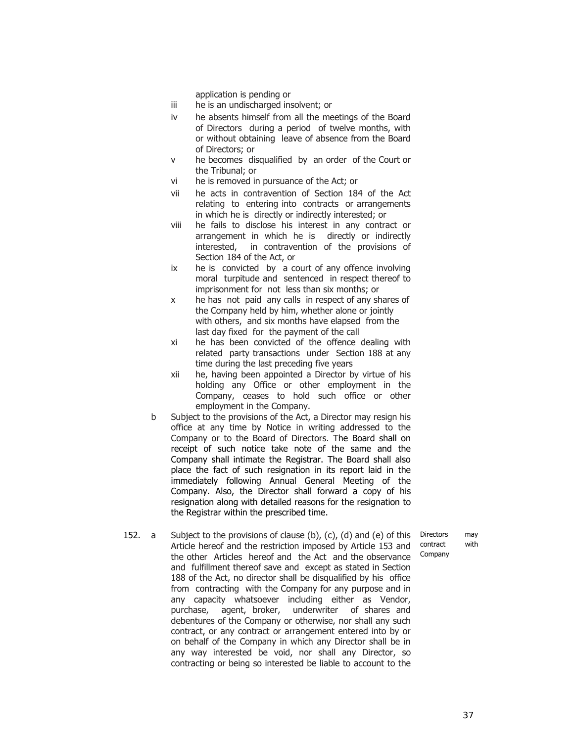application is pending or

- iii he is an undischarged insolvent; or
- iv he absents himself from all the meetings of the Board of Directors during a period of twelve months, with or without obtaining leave of absence from the Board of Directors; or
- v he becomes disqualified by an order of the Court or the Tribunal; or
- vi he is removed in pursuance of the Act; or
- vii he acts in contravention of Section 184 of the Act relating to entering into contracts or arrangements in which he is directly or indirectly interested; or
- viii he fails to disclose his interest in any contract or arrangement in which he is directly or indirectly interested, in contravention of the provisions of Section 184 of the Act, or
- ix he is convicted by a court of any offence involving moral turpitude and sentenced in respect thereof to imprisonment for not less than six months; or
- x he has not paid any calls in respect of any shares of the Company held by him, whether alone or jointly with others, and six months have elapsed from the last day fixed for the payment of the call
- xi he has been convicted of the offence dealing with related party transactions under Section 188 at any time during the last preceding five years
- xii he, having been appointed a Director by virtue of his holding any Office or other employment in the Company, ceases to hold such office or other employment in the Company.
- b Subject to the provisions of the Act, a Director may resign his office at any time by Notice in writing addressed to the Company or to the Board of Directors. The Board shall on receipt of such notice take note of the same and the Company shall intimate the Registrar. The Board shall also place the fact of such resignation in its report laid in the immediately following Annual General Meeting of the Company. Also, the Director shall forward a copy of his resignation along with detailed reasons for the resignation to the Registrar within the prescribed time.
- 152. a Subject to the provisions of clause (b), (c), (d) and (e) of this Article hereof and the restriction imposed by Article 153 and the other Articles hereof and the Act and the observance and fulfillment thereof save and except as stated in Section 188 of the Act, no director shall be disqualified by his office from contracting with the Company for any purpose and in any capacity whatsoever including either as Vendor, purchase, agent, broker, underwriter of shares and debentures of the Company or otherwise, nor shall any such contract, or any contract or arrangement entered into by or on behalf of the Company in which any Director shall be in any way interested be void, nor shall any Director, so contracting or being so interested be liable to account to the

Directors may contract with Company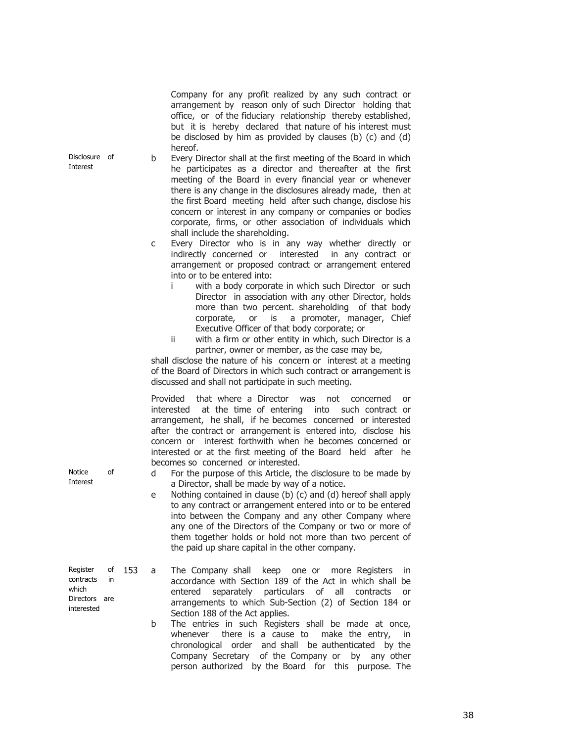Company for any profit realized by any such contract or arrangement by reason only of such Director holding that office, or of the fiduciary relationship thereby established, but it is hereby declared that nature of his interest must be disclosed by him as provided by clauses (b) (c) and (d) hereof.

- b Every Director shall at the first meeting of the Board in which he participates as a director and thereafter at the first meeting of the Board in every financial year or whenever there is any change in the disclosures already made, then at the first Board meeting held after such change, disclose his concern or interest in any company or companies or bodies corporate, firms, or other association of individuals which shall include the shareholding.
	- c Every Director who is in any way whether directly or indirectly concerned or interested in any contract or arrangement or proposed contract or arrangement entered into or to be entered into:
		- i with a body corporate in which such Director or such Director in association with any other Director, holds more than two percent. shareholding of that body corporate, or is a promoter, manager, Chief Executive Officer of that body corporate; or
		- ii with a firm or other entity in which, such Director is a partner, owner or member, as the case may be,

shall disclose the nature of his concern or interest at a meeting of the Board of Directors in which such contract or arrangement is discussed and shall not participate in such meeting.

Provided that where a Director was not concerned or interested at the time of entering into such contract or arrangement, he shall, if he becomes concerned or interested after the contract or arrangement is entered into, disclose his concern or interest forthwith when he becomes concerned or interested or at the first meeting of the Board held after he becomes so concerned or interested.

- d For the purpose of this Article, the disclosure to be made by a Director, shall be made by way of a notice.
- e Nothing contained in clause (b) (c) and (d) hereof shall apply to any contract or arrangement entered into or to be entered into between the Company and any other Company where any one of the Directors of the Company or two or more of them together holds or hold not more than two percent of the paid up share capital in the other company.
- 153 a The Company shall keep one or more Registers in accordance with Section 189 of the Act in which shall be entered separately particulars of all contracts or arrangements to which Sub-Section (2) of Section 184 or Section 188 of the Act applies.
	- b The entries in such Registers shall be made at once, whenever there is a cause to make the entry, in chronological order and shall be authenticated by the Company Secretary of the Company or by any other person authorized by the Board for this purpose. The

Disclosure of Interest

Notice of Interest

Register of contracts in which Directors are interested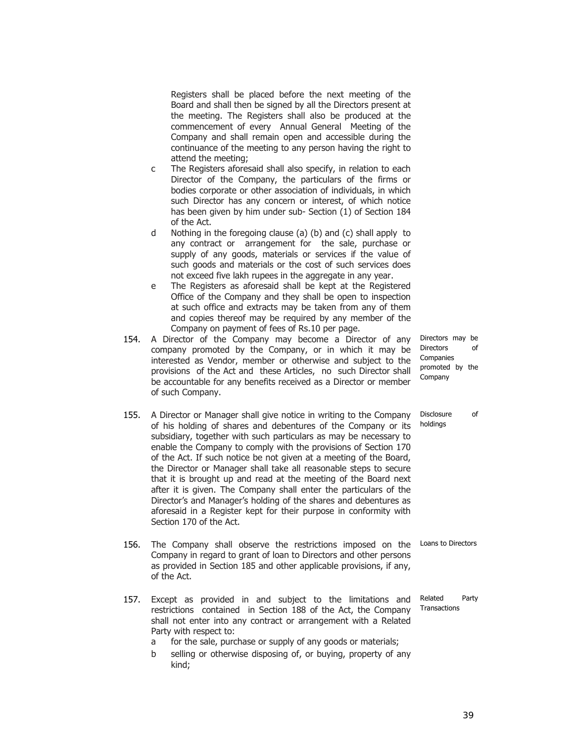Registers shall be placed before the next meeting of the Board and shall then be signed by all the Directors present at the meeting. The Registers shall also be produced at the commencement of every Annual General Meeting of the Company and shall remain open and accessible during the continuance of the meeting to any person having the right to attend the meeting;

- c The Registers aforesaid shall also specify, in relation to each Director of the Company, the particulars of the firms or bodies corporate or other association of individuals, in which such Director has any concern or interest, of which notice has been given by him under sub- Section (1) of Section 184 of the Act.
- d Nothing in the foregoing clause (a) (b) and (c) shall apply to any contract or arrangement for the sale, purchase or supply of any goods, materials or services if the value of such goods and materials or the cost of such services does not exceed five lakh rupees in the aggregate in any year.
- e The Registers as aforesaid shall be kept at the Registered Office of the Company and they shall be open to inspection at such office and extracts may be taken from any of them and copies thereof may be required by any member of the Company on payment of fees of Rs.10 per page.
- 154. A Director of the Company may become a Director of any company promoted by the Company, or in which it may be interested as Vendor, member or otherwise and subject to the provisions of the Act and these Articles, no such Director shall be accountable for any benefits received as a Director or member of such Company.
- 155. A Director or Manager shall give notice in writing to the Company of his holding of shares and debentures of the Company or its subsidiary, together with such particulars as may be necessary to enable the Company to comply with the provisions of Section 170 of the Act. If such notice be not given at a meeting of the Board, the Director or Manager shall take all reasonable steps to secure that it is brought up and read at the meeting of the Board next after it is given. The Company shall enter the particulars of the Director's and Manager's holding of the shares and debentures as aforesaid in a Register kept for their purpose in conformity with Section 170 of the Act.
- 156. The Company shall observe the restrictions imposed on the Company in regard to grant of loan to Directors and other persons as provided in Section 185 and other applicable provisions, if any, of the Act.
- 157. Except as provided in and subject to the limitations and restrictions contained in Section 188 of the Act, the Company shall not enter into any contract or arrangement with a Related Party with respect to:
	- a for the sale, purchase or supply of any goods or materials;
	- b selling or otherwise disposing of, or buying, property of any kind;

Directors may be Directors of Companies promoted by the Company

Disclosure of

holdings

Loans to Directors

Related Party Transactions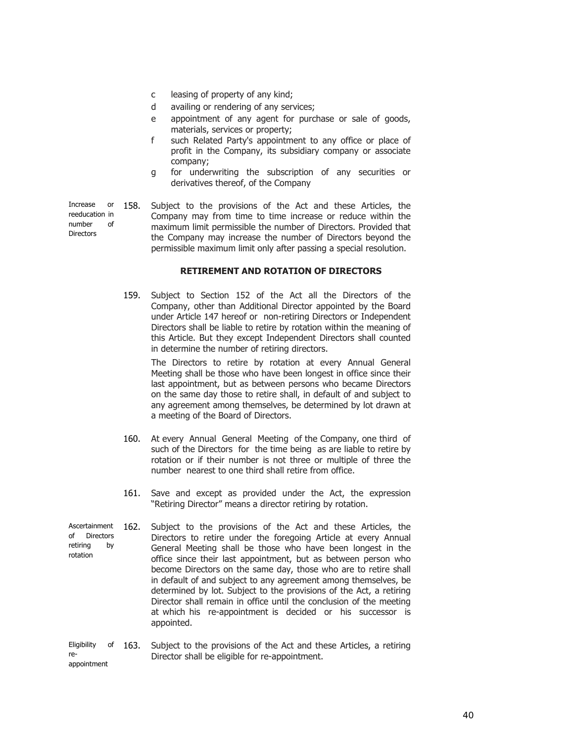- c leasing of property of any kind;
- d availing or rendering of any services;
- e appointment of any agent for purchase or sale of goods, materials, services or property;
- f such Related Party's appointment to any office or place of profit in the Company, its subsidiary company or associate company;
- g for underwriting the subscription of any securities or derivatives thereof, of the Company

Increase or reeducation in number of **Directors** 158. Subject to the provisions of the Act and these Articles, the Company may from time to time increase or reduce within the maximum limit permissible the number of Directors. Provided that the Company may increase the number of Directors beyond the permissible maximum limit only after passing a special resolution.

# **RETIREMENT AND ROTATION OF DIRECTORS**

159. Subject to Section 152 of the Act all the Directors of the Company, other than Additional Director appointed by the Board under Article 147 hereof or non-retiring Directors or Independent Directors shall be liable to retire by rotation within the meaning of this Article. But they except Independent Directors shall counted in determine the number of retiring directors.

> The Directors to retire by rotation at every Annual General Meeting shall be those who have been longest in office since their last appointment, but as between persons who became Directors on the same day those to retire shall, in default of and subject to any agreement among themselves, be determined by lot drawn at a meeting of the Board of Directors.

- 160. At every Annual General Meeting of the Company, one third of such of the Directors for the time being as are liable to retire by rotation or if their number is not three or multiple of three the number nearest to one third shall retire from office.
- 161. Save and except as provided under the Act, the expression "Retiring Director" means a director retiring by rotation.
- Ascertainment of Directors retiring by rotation 162. Subject to the provisions of the Act and these Articles, the Directors to retire under the foregoing Article at every Annual General Meeting shall be those who have been longest in the office since their last appointment, but as between person who become Directors on the same day, those who are to retire shall in default of and subject to any agreement among themselves, be determined by lot. Subject to the provisions of the Act, a retiring Director shall remain in office until the conclusion of the meeting at which his re-appointment is decided or his successor is appointed.
- Eligibility of 163. reappointment Subject to the provisions of the Act and these Articles, a retiring Director shall be eligible for re-appointment.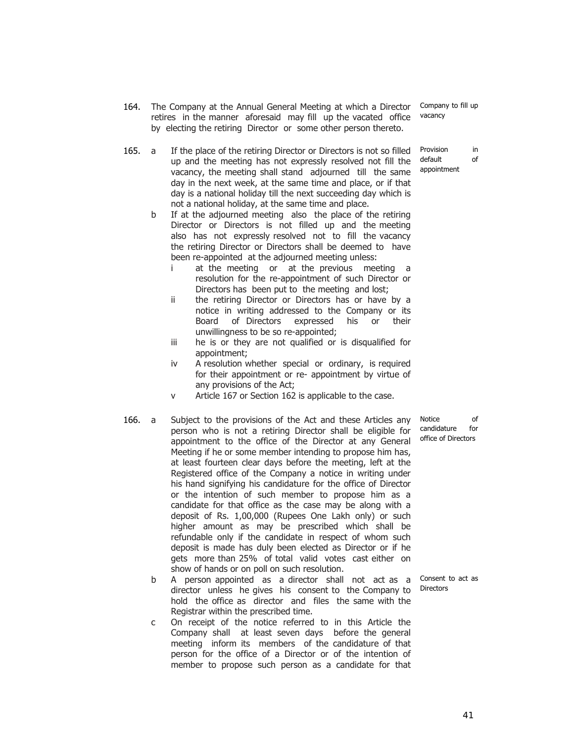41

- 164. The Company at the Annual General Meeting at which a Director retires in the manner aforesaid may fill up the vacated office by electing the retiring Director or some other person thereto. Company to fill up vacancy
- 165. a If the place of the retiring Director or Directors is not so filled up and the meeting has not expressly resolved not fill the vacancy, the meeting shall stand adjourned till the same day in the next week, at the same time and place, or if that day is a national holiday till the next succeeding day which is not a national holiday, at the same time and place.
	- b If at the adjourned meeting also the place of the retiring Director or Directors is not filled up and the meeting also has not expressly resolved not to fill the vacancy the retiring Director or Directors shall be deemed to have been re-appointed at the adjourned meeting unless:
		- i at the meeting or at the previous meeting a resolution for the re-appointment of such Director or Directors has been put to the meeting and lost;
		- ii the retiring Director or Directors has or have by a notice in writing addressed to the Company or its Board of Directors expressed his or their unwillingness to be so re-appointed;
		- iii he is or they are not qualified or is disqualified for appointment;
		- iv A resolution whether special or ordinary, is required for their appointment or re- appointment by virtue of any provisions of the Act;
		- v Article 167 or Section 162 is applicable to the case.
- 166. a Subject to the provisions of the Act and these Articles any person who is not a retiring Director shall be eligible for appointment to the office of the Director at any General Meeting if he or some member intending to propose him has, at least fourteen clear days before the meeting, left at the Registered office of the Company a notice in writing under his hand signifying his candidature for the office of Director or the intention of such member to propose him as a candidate for that office as the case may be along with a deposit of Rs. 1,00,000 (Rupees One Lakh only) or such higher amount as may be prescribed which shall be refundable only if the candidate in respect of whom such deposit is made has duly been elected as Director or if he gets more than 25% of total valid votes cast either on show of hands or on poll on such resolution.
	- b A person appointed as a director shall not act as a director unless he gives his consent to the Company to hold the office as director and files the same with the Registrar within the prescribed time.
	- c On receipt of the notice referred to in this Article the Company shall at least seven days before the general meeting inform its members of the candidature of that person for the office of a Director or of the intention of member to propose such person as a candidate for that

Notice of candidature for office of Directors

Consent to act as Directors

Provision in default of appointment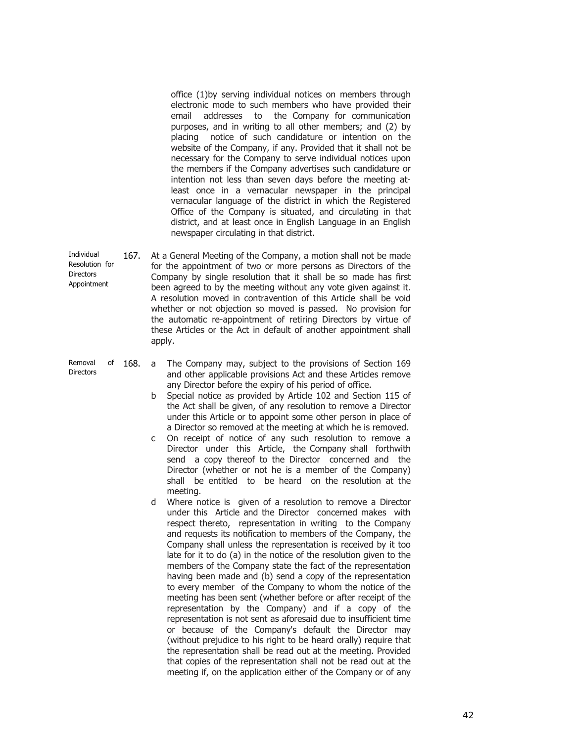office (1)by serving individual notices on members through electronic mode to such members who have provided their email addresses to the Company for communication purposes, and in writing to all other members; and (2) by placing notice of such candidature or intention on the website of the Company, if any. Provided that it shall not be necessary for the Company to serve individual notices upon the members if the Company advertises such candidature or intention not less than seven days before the meeting atleast once in a vernacular newspaper in the principal vernacular language of the district in which the Registered Office of the Company is situated, and circulating in that district, and at least once in English Language in an English newspaper circulating in that district.

- Individual Resolution for **Directors** Appointment 167. At a General Meeting of the Company, a motion shall not be made for the appointment of two or more persons as Directors of the Company by single resolution that it shall be so made has first been agreed to by the meeting without any vote given against it. A resolution moved in contravention of this Article shall be void whether or not objection so moved is passed. No provision for the automatic re-appointment of retiring Directors by virtue of these Articles or the Act in default of another appointment shall apply.
- Removal of 168. **Directors** a The Company may, subject to the provisions of Section 169 and other applicable provisions Act and these Articles remove any Director before the expiry of his period of office.
	- b Special notice as provided by Article 102 and Section 115 of the Act shall be given, of any resolution to remove a Director under this Article or to appoint some other person in place of a Director so removed at the meeting at which he is removed.
	- c On receipt of notice of any such resolution to remove a Director under this Article, the Company shall forthwith send a copy thereof to the Director concerned and the Director (whether or not he is a member of the Company) shall be entitled to be heard on the resolution at the meeting.
	- d Where notice is given of a resolution to remove a Director under this Article and the Director concerned makes with respect thereto, representation in writing to the Company and requests its notification to members of the Company, the Company shall unless the representation is received by it too late for it to do (a) in the notice of the resolution given to the members of the Company state the fact of the representation having been made and (b) send a copy of the representation to every member of the Company to whom the notice of the meeting has been sent (whether before or after receipt of the representation by the Company) and if a copy of the representation is not sent as aforesaid due to insufficient time or because of the Company's default the Director may (without prejudice to his right to be heard orally) require that the representation shall be read out at the meeting. Provided that copies of the representation shall not be read out at the meeting if, on the application either of the Company or of any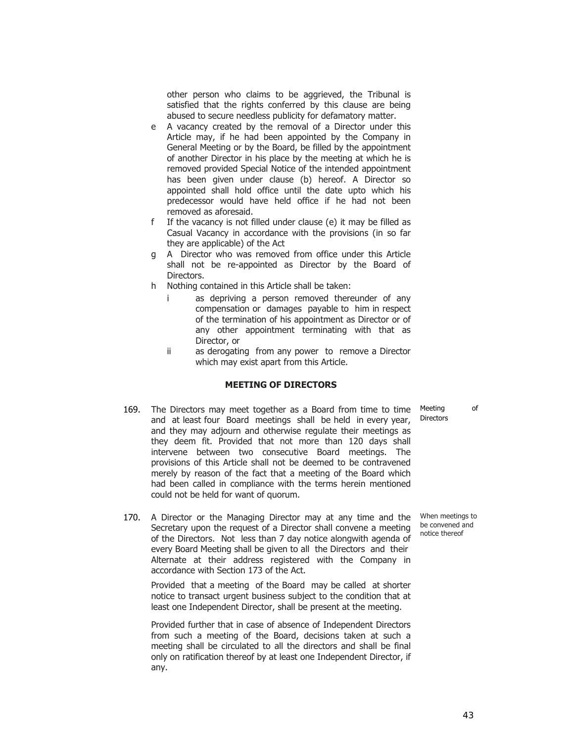other person who claims to be aggrieved, the Tribunal is satisfied that the rights conferred by this clause are being abused to secure needless publicity for defamatory matter.

- e A vacancy created by the removal of a Director under this Article may, if he had been appointed by the Company in General Meeting or by the Board, be filled by the appointment of another Director in his place by the meeting at which he is removed provided Special Notice of the intended appointment has been given under clause (b) hereof. A Director so appointed shall hold office until the date upto which his predecessor would have held office if he had not been removed as aforesaid.
- f If the vacancy is not filled under clause (e) it may be filled as Casual Vacancy in accordance with the provisions (in so far they are applicable) of the Act
- g A Director who was removed from office under this Article shall not be re-appointed as Director by the Board of Directors.
- h Nothing contained in this Article shall be taken:
	- i as depriving a person removed thereunder of any compensation or damages payable to him in respect of the termination of his appointment as Director or of any other appointment terminating with that as Director, or
	- ii as derogating from any power to remove a Director which may exist apart from this Article.

## **MEETING OF DIRECTORS**

- 169. The Directors may meet together as a Board from time to time and at least four Board meetings shall be held in every year, and they may adjourn and otherwise regulate their meetings as they deem fit. Provided that not more than 120 days shall intervene between two consecutive Board meetings. The provisions of this Article shall not be deemed to be contravened merely by reason of the fact that a meeting of the Board which had been called in compliance with the terms herein mentioned could not be held for want of quorum.
- 170. A Director or the Managing Director may at any time and the Secretary upon the request of a Director shall convene a meeting of the Directors. Not less than 7 day notice alongwith agenda of every Board Meeting shall be given to all the Directors and their Alternate at their address registered with the Company in accordance with Section 173 of the Act.

Provided that a meeting of the Board may be called at shorter notice to transact urgent business subject to the condition that at least one Independent Director, shall be present at the meeting.

Provided further that in case of absence of Independent Directors from such a meeting of the Board, decisions taken at such a meeting shall be circulated to all the directors and shall be final only on ratification thereof by at least one Independent Director, if any.

Meeting of Directors

When meetings to be convened and notice thereof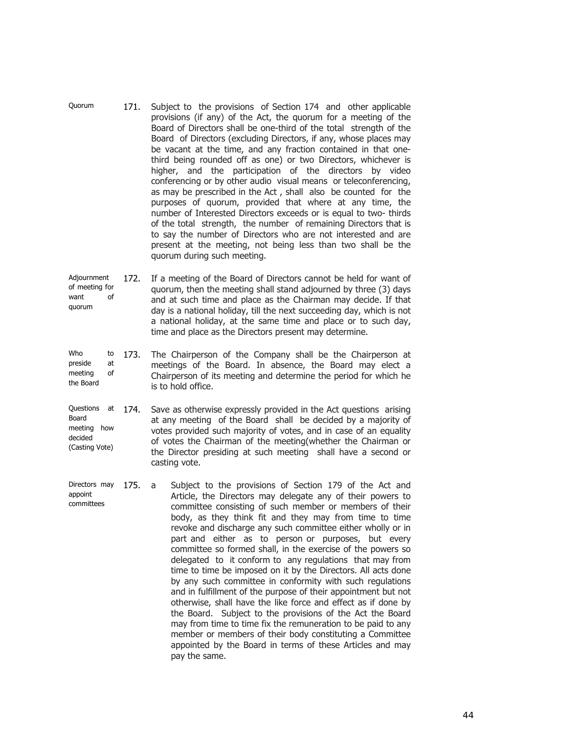- Quorum 171. Subject to the provisions of Section 174 and other applicable provisions (if any) of the Act, the quorum for a meeting of the Board of Directors shall be one-third of the total strength of the Board of Directors (excluding Directors, if any, whose places may be vacant at the time, and any fraction contained in that onethird being rounded off as one) or two Directors, whichever is higher, and the participation of the directors by video conferencing or by other audio visual means or teleconferencing, as may be prescribed in the Act , shall also be counted for the purposes of quorum, provided that where at any time, the number of Interested Directors exceeds or is equal to two- thirds of the total strength, the number of remaining Directors that is to say the number of Directors who are not interested and are present at the meeting, not being less than two shall be the quorum during such meeting.
- Adjournment of meeting for want of quorum 172. If a meeting of the Board of Directors cannot be held for want of quorum, then the meeting shall stand adjourned by three (3) days and at such time and place as the Chairman may decide. If that day is a national holiday, till the next succeeding day, which is not a national holiday, at the same time and place or to such day, time and place as the Directors present may determine.
- Who to preside at meeting of the Board 173. The Chairperson of the Company shall be the Chairperson at meetings of the Board. In absence, the Board may elect a Chairperson of its meeting and determine the period for which he is to hold office.
- Questions at 174. Board meeting how decided (Casting Vote) Save as otherwise expressly provided in the Act questions arising at any meeting of the Board shall be decided by a majority of votes provided such majority of votes, and in case of an equality of votes the Chairman of the meeting(whether the Chairman or the Director presiding at such meeting shall have a second or casting vote.
- Directors may 175. a appoint committees Subject to the provisions of Section 179 of the Act and Article, the Directors may delegate any of their powers to committee consisting of such member or members of their body, as they think fit and they may from time to time revoke and discharge any such committee either wholly or in part and either as to person or purposes, but every committee so formed shall, in the exercise of the powers so delegated to it conform to any regulations that may from time to time be imposed on it by the Directors. All acts done by any such committee in conformity with such regulations and in fulfillment of the purpose of their appointment but not otherwise, shall have the like force and effect as if done by the Board. Subject to the provisions of the Act the Board may from time to time fix the remuneration to be paid to any member or members of their body constituting a Committee appointed by the Board in terms of these Articles and may pay the same.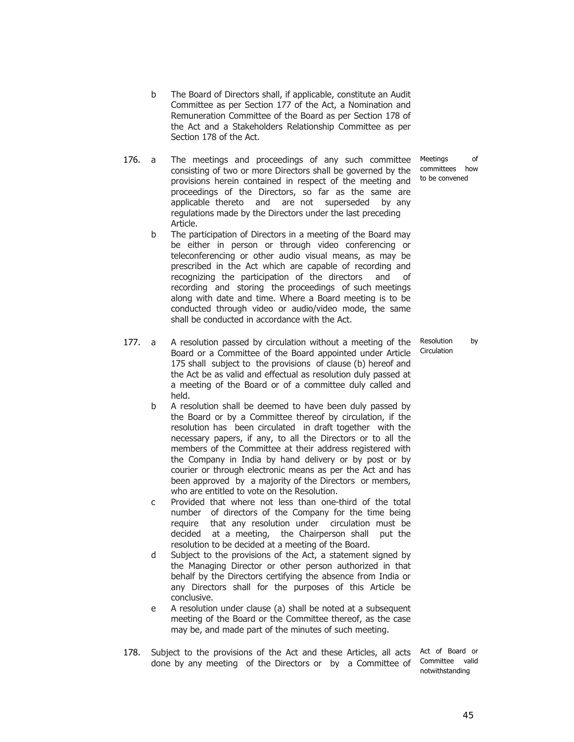- b The Board of Directors shall, if applicable, constitute an Audit Committee as per Section 177 of the Act, a Nomination and Remuneration Committee of the Board as per Section 178 of the Act and a Stakeholders Relationship Committee as per Section 178 of the Act.
- 176. a The meetings and proceedings of any such committee consisting of two or more Directors shall be governed by the provisions herein contained in respect of the meeting and proceedings of the Directors, so far as the same are applicable thereto and are not superseded by any regulations made by the Directors under the last preceding Article.
	- b The participation of Directors in a meeting of the Board may be either in person or through video conferencing or teleconferencing or other audio visual means, as may be prescribed in the Act which are capable of recording and recognizing the participation of the directors and of recording and storing the proceedings of such meetings along with date and time. Where a Board meeting is to be conducted through video or audio/video mode, the same shall be conducted in accordance with the Act.
- 177. a A resolution passed by circulation without a meeting of the Board or a Committee of the Board appointed under Article 175 shall subject to the provisions of clause (b) hereof and the Act be as valid and effectual as resolution duly passed at a meeting of the Board or of a committee duly called and held.
	- b A resolution shall be deemed to have been duly passed by the Board or by a Committee thereof by circulation, if the resolution has been circulated in draft together with the necessary papers, if any, to all the Directors or to all the members of the Committee at their address registered with the Company in India by hand delivery or by post or by courier or through electronic means as per the Act and has been approved by a majority of the Directors or members, who are entitled to vote on the Resolution.
	- c Provided that where not less than one-third of the total number of directors of the Company for the time being require that any resolution under circulation must be decided at a meeting, the Chairperson shall put the resolution to be decided at a meeting of the Board.
	- d Subject to the provisions of the Act, a statement signed by the Managing Director or other person authorized in that behalf by the Directors certifying the absence from India or any Directors shall for the purposes of this Article be conclusive.
	- e A resolution under clause (a) shall be noted at a subsequent meeting of the Board or the Committee thereof, as the case may be, and made part of the minutes of such meeting.
- 178. Subject to the provisions of the Act and these Articles, all acts Act of Board or done by any meeting of the Directors or by a Committee of

Committee valid notwithstanding

Meetings of committees how to be convened

Resolution by Circulation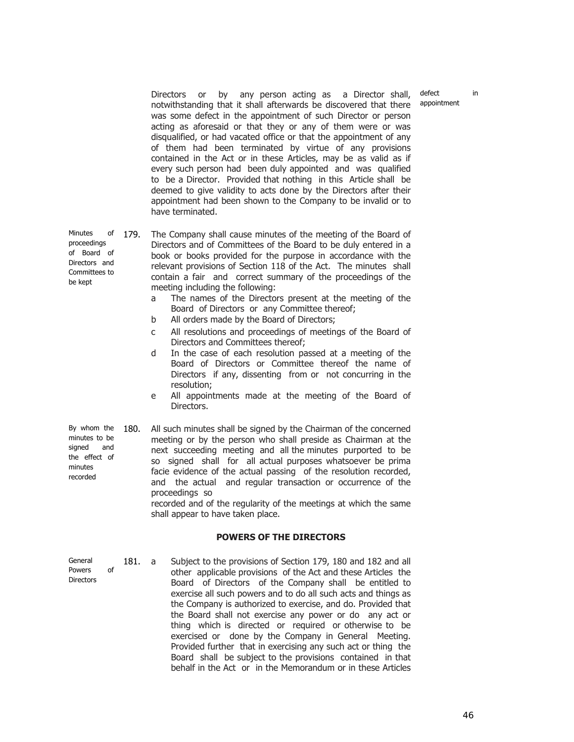defect in appointment

Directors or by any person acting as a Director shall, notwithstanding that it shall afterwards be discovered that there was some defect in the appointment of such Director or person acting as aforesaid or that they or any of them were or was disqualified, or had vacated office or that the appointment of any of them had been terminated by virtue of any provisions contained in the Act or in these Articles, may be as valid as if every such person had been duly appointed and was qualified to be a Director. Provided that nothing in this Article shall be deemed to give validity to acts done by the Directors after their appointment had been shown to the Company to be invalid or to have terminated.

Minutes of 179. The Company shall cause minutes of the meeting of the Board of Directors and of Committees of the Board to be duly entered in a book or books provided for the purpose in accordance with the relevant provisions of Section 118 of the Act. The minutes shall contain a fair and correct summary of the proceedings of the meeting including the following:

- a The names of the Directors present at the meeting of the Board of Directors or any Committee thereof;
- b All orders made by the Board of Directors;
- c All resolutions and proceedings of meetings of the Board of Directors and Committees thereof;
- d In the case of each resolution passed at a meeting of the Board of Directors or Committee thereof the name of Directors if any, dissenting from or not concurring in the resolution;
- e All appointments made at the meeting of the Board of Directors.

| By whom the                          | 180.                                                                                                                                                                                           | All such minutes shall be signed by the Chairman of the concerned                                                            |
|--------------------------------------|------------------------------------------------------------------------------------------------------------------------------------------------------------------------------------------------|------------------------------------------------------------------------------------------------------------------------------|
| minutes to be<br>signed and          |                                                                                                                                                                                                | meeting or by the person who shall preside as Chairman at the<br>next succeeding meeting and all the minutes purported to be |
| the effect of<br>minutes<br>recorded | so signed shall for all actual purposes whatsoever be prima<br>facie evidence of the actual passing of the resolution recorded,<br>and the actual and regular transaction or occurrence of the |                                                                                                                              |
|                                      |                                                                                                                                                                                                | proceedings so<br>recorded and of the requierity of the meetings at which the same                                           |

corded and of the regularity of the meetings at which the same shall appear to have taken place.

## **POWERS OF THE DIRECTORS**

Powers of **Directors** 181. a Subject to the provisions of Section 179, 180 and 182 and all other applicable provisions of the Act and these Articles the Board of Directors of the Company shall be entitled to exercise all such powers and to do all such acts and things as the Company is authorized to exercise, and do. Provided that the Board shall not exercise any power or do any act or thing which is directed or required or otherwise to be exercised or done by the Company in General Meeting. Provided further that in exercising any such act or thing the Board shall be subject to the provisions contained in that behalf in the Act or in the Memorandum or in these Articles

proceedings of Board of Directors and Committees to be kept

General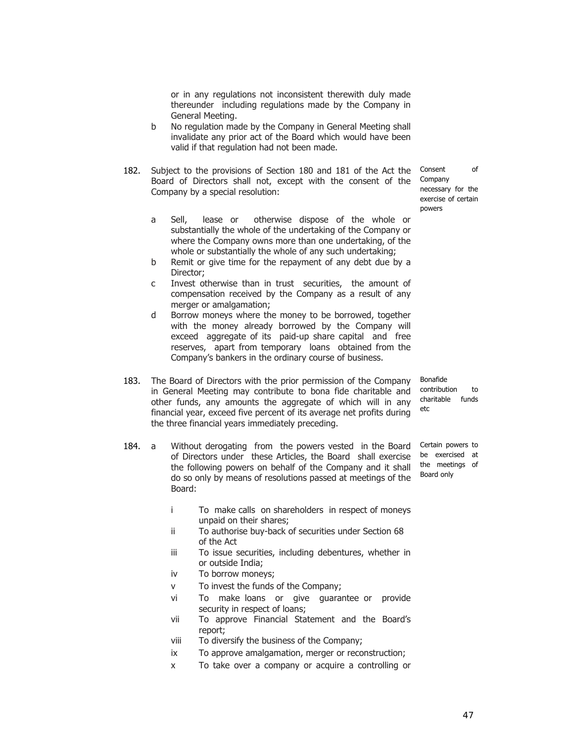or in any regulations not inconsistent therewith duly made thereunder including regulations made by the Company in General Meeting.

- b No regulation made by the Company in General Meeting shall invalidate any prior act of the Board which would have been valid if that regulation had not been made.
- 182. Subject to the provisions of Section 180 and 181 of the Act the Consent of Board of Directors shall not, except with the consent of the Company Company by a special resolution:
	- a Sell, lease or otherwise dispose of the whole or substantially the whole of the undertaking of the Company or where the Company owns more than one undertaking, of the whole or substantially the whole of any such undertaking;
	- b Remit or give time for the repayment of any debt due by a Director;
	- c Invest otherwise than in trust securities, the amount of compensation received by the Company as a result of any merger or amalgamation;
	- d Borrow moneys where the money to be borrowed, together with the money already borrowed by the Company will exceed aggregate of its paid-up share capital and free reserves, apart from temporary loans obtained from the Company's bankers in the ordinary course of business.
- 183. The Board of Directors with the prior permission of the Company in General Meeting may contribute to bona fide charitable and other funds, any amounts the aggregate of which will in any financial year, exceed five percent of its average net profits during the three financial years immediately preceding.
- 184. a Without derogating from the powers vested in the Board of Directors under these Articles, the Board shall exercise the following powers on behalf of the Company and it shall do so only by means of resolutions passed at meetings of the Board:
	- i To make calls on shareholders in respect of moneys unpaid on their shares;
	- ii To authorise buy-back of securities under Section 68 of the Act
	- iii To issue securities, including debentures, whether in or outside India;
	- iv To borrow moneys;
	- v To invest the funds of the Company;
	- vi To make loans or give guarantee or provide security in respect of loans;
	- vii To approve Financial Statement and the Board's report;
	- viii To diversify the business of the Company;
	- ix To approve amalgamation, merger or reconstruction;
	- x To take over a company or acquire a controlling or

necessary for the exercise of certain powers

Bonafide contribution to charitable funds etc

Certain powers to be exercised at the meetings of Board only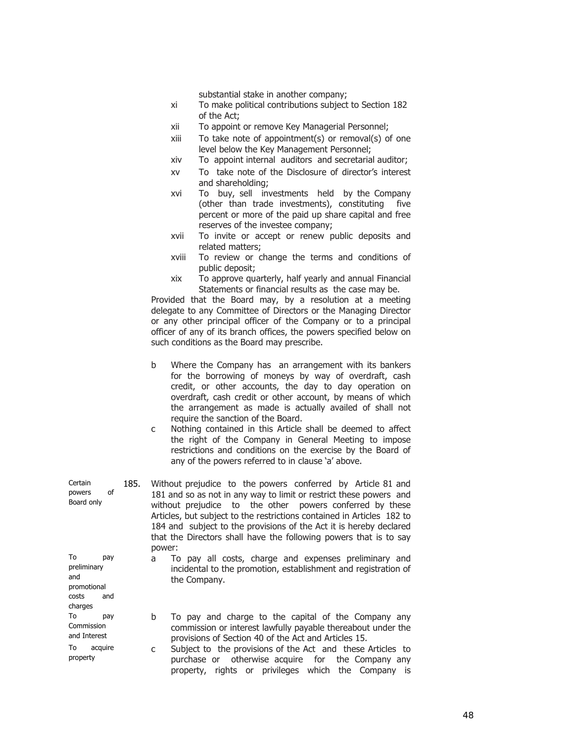substantial stake in another company;

- xi To make political contributions subject to Section 182 of the Act;
- xii To appoint or remove Key Managerial Personnel;
- xiii To take note of appointment(s) or removal(s) of one level below the Key Management Personnel;
- xiv To appoint internal auditors and secretarial auditor;
- xv To take note of the Disclosure of director's interest and shareholding;
- xvi To buy, sell investments held by the Company (other than trade investments), constituting five percent or more of the paid up share capital and free reserves of the investee company;
- xvii To invite or accept or renew public deposits and related matters;
- xviii To review or change the terms and conditions of public deposit;
- xix To approve quarterly, half yearly and annual Financial Statements or financial results as the case may be.

Provided that the Board may, by a resolution at a meeting delegate to any Committee of Directors or the Managing Director or any other principal officer of the Company or to a principal officer of any of its branch offices, the powers specified below on such conditions as the Board may prescribe.

- b Where the Company has an arrangement with its bankers for the borrowing of moneys by way of overdraft, cash credit, or other accounts, the day to day operation on overdraft, cash credit or other account, by means of which the arrangement as made is actually availed of shall not require the sanction of the Board.
- c Nothing contained in this Article shall be deemed to affect the right of the Company in General Meeting to impose restrictions and conditions on the exercise by the Board of any of the powers referred to in clause 'a' above.

**Certain** powers of Board only 185. Without prejudice to the powers conferred by Article 81 and 181 and so as not in any way to limit or restrict these powers and without prejudice to the other powers conferred by these Articles, but subject to the restrictions contained in Articles 182 to 184 and subject to the provisions of the Act it is hereby declared that the Directors shall have the following powers that is to say power: To pay

preliminary and promotional costs and charges

To pay **Commission** and Interest

To acquire property

- a To pay all costs, charge and expenses preliminary and incidental to the promotion, establishment and registration of the Company.
- b To pay and charge to the capital of the Company any commission or interest lawfully payable thereabout under the provisions of Section 40 of the Act and Articles 15.
- c Subject to the provisions of the Act and these Articles to purchase or otherwise acquire for the Company any property, rights or privileges which the Company is

48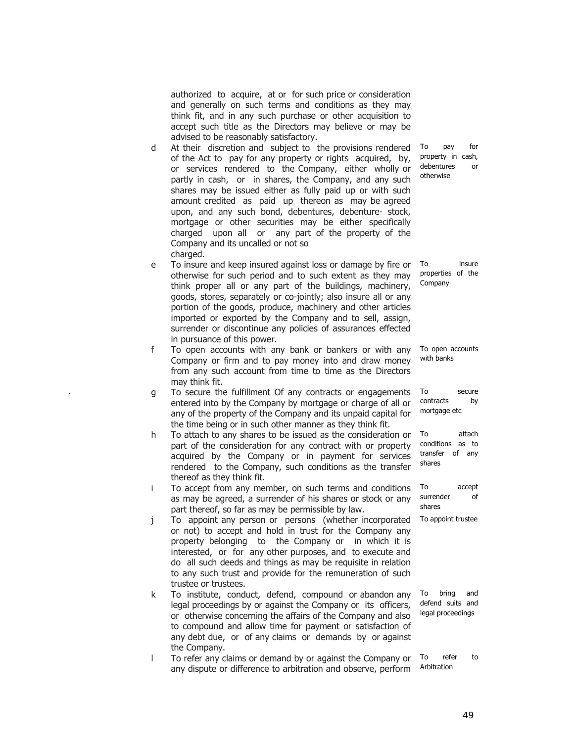authorized to acquire, at or for such price or consideration and generally on such terms and conditions as they may think fit, and in any such purchase or other acquisition to accept such title as the Directors may believe or may be advised to be reasonably satisfactory.

- d At their discretion and subject to the provisions rendered of the Act to pay for any property or ri ghts acquired, by, or services rendered to the Company, either wholly or partly in cash, or in shares, the Company, and any such shares may be issued either as fully paid up or with such amount credited as paid up thereon as may be agreed upon, and any such bond, debentures, debenture- stock, mortgage or other securities may be either specifically charged upon all or any part of the property of the Company and its uncalled or not so charged.
- e To insure and keep insured against loss or damage by fire or otherwise for such period and to such extent as they may think proper all or any part of the buildings, machinery, goods, stores, separately or co-jointly; also insure all or any portion of the goods, produce, machinery and other articles imported or exported by the Company and to sell, assign, surrender or discontinue any policies of assurances effected in pursuance of this power.
- f To open accounts with any bank or bankers or with any Company or firm and to pay money into and draw money from any such account from time to time as the Directors may think fit.
- q To secure the fulfillment Of any contracts or engagements entered into by the Company by mortgage or charge of all or any of the property of the Company and its unpaid capital for the time being or in such other manner as they think fit.
- h To attach to any shares to be issued as the consideration or part of the consideration for any contract with or property acquired by the Company or in payment for services rendered to the Company, such conditions as the transfer thereof as they think fit.
- i To accept from any member, on such terms and conditions as may be agreed, a surrender of his shares or stock or any part thereof, so far as may be permissible by law.
- j To appoint any person or persons (whether incorporated or not) to accept and hold in trust for the Company any property belonging to the Company or in which it is interested, or for any other purposes, and to execute and do all such deeds and things as may be requisite in relation to any such trust and provide for the remuneration of such trustee or trustees.
- k To institute, conduct, defend, compound or abandon any legal proceedings by or against the Company or its officers, or otherwise concerning the affairs of the Company and also to compound and allow time for payment or satisfaction of any debt due, or of any claims or demands by or against the Company.
- l To refer any claims or demand by or against the Company or any dispute or difference to arbitration and observe, perform

To pay for property in cash, debentures or otherwise

To insure properties of the Company

To open accounts with banks

To secure contracts by mortgage etc

To attach conditions as to transfer of any shares

To accept surrender of shares

To appoint trustee

To bring and defend suits and legal proceedings

To refer to Arbitration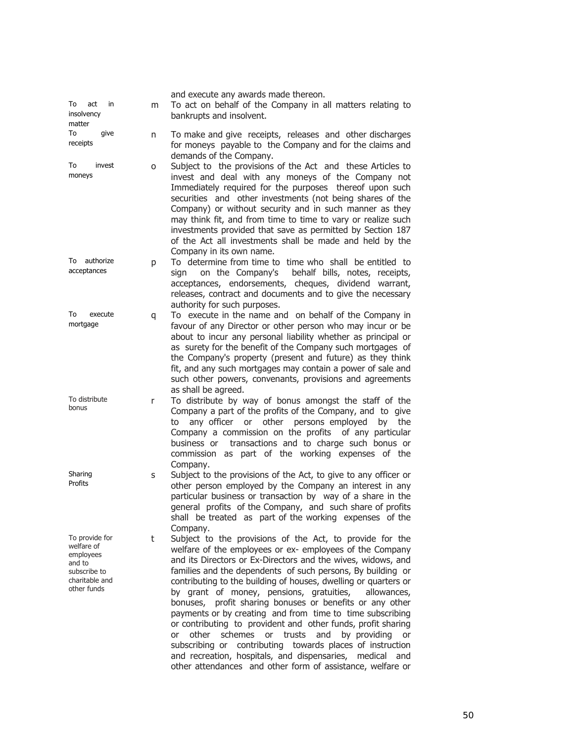| To<br>act<br>in<br>insolvency<br>matter                                                              | m | and execute any awards made thereon.<br>To act on behalf of the Company in all matters relating to<br>bankrupts and insolvent.                                                                                                                                                                                                                                                                                                                                                                                                                                                                                                                                                                                                                                                                                                              |
|------------------------------------------------------------------------------------------------------|---|---------------------------------------------------------------------------------------------------------------------------------------------------------------------------------------------------------------------------------------------------------------------------------------------------------------------------------------------------------------------------------------------------------------------------------------------------------------------------------------------------------------------------------------------------------------------------------------------------------------------------------------------------------------------------------------------------------------------------------------------------------------------------------------------------------------------------------------------|
| To<br>give<br>receipts                                                                               | n | To make and give receipts, releases and other discharges<br>for moneys payable to the Company and for the claims and<br>demands of the Company.                                                                                                                                                                                                                                                                                                                                                                                                                                                                                                                                                                                                                                                                                             |
| To<br>invest<br>moneys                                                                               | о | Subject to the provisions of the Act and these Articles to<br>invest and deal with any moneys of the Company not<br>Immediately required for the purposes thereof upon such<br>securities and other investments (not being shares of the<br>Company) or without security and in such manner as they<br>may think fit, and from time to time to vary or realize such<br>investments provided that save as permitted by Section 187<br>of the Act all investments shall be made and held by the<br>Company in its own name.                                                                                                                                                                                                                                                                                                                   |
| authorize<br>To<br>acceptances                                                                       | р | To determine from time to time who shall be entitled to<br>behalf bills, notes, receipts,<br>on the Company's<br>sign<br>acceptances, endorsements, cheques, dividend warrant,<br>releases, contract and documents and to give the necessary<br>authority for such purposes.                                                                                                                                                                                                                                                                                                                                                                                                                                                                                                                                                                |
| To<br>execute<br>mortgage                                                                            | q | To execute in the name and on behalf of the Company in<br>favour of any Director or other person who may incur or be<br>about to incur any personal liability whether as principal or<br>as surety for the benefit of the Company such mortgages of<br>the Company's property (present and future) as they think<br>fit, and any such mortgages may contain a power of sale and<br>such other powers, convenants, provisions and agreements<br>as shall be agreed.                                                                                                                                                                                                                                                                                                                                                                          |
| To distribute<br>bonus                                                                               | r | To distribute by way of bonus amongst the staff of the<br>Company a part of the profits of the Company, and to give<br>any officer or other<br>persons employed<br>by the<br>to<br>Company a commission on the profits of any particular<br>business or transactions and to charge such bonus or<br>commission as part of the working expenses of the<br>Company.                                                                                                                                                                                                                                                                                                                                                                                                                                                                           |
| Sharing<br>Profits                                                                                   | S | Subject to the provisions of the Act, to give to any officer or<br>other person employed by the Company an interest in any<br>particular business or transaction by way of a share in the<br>general profits of the Company, and such share of profits<br>shall be treated as part of the working expenses of the<br>Company.                                                                                                                                                                                                                                                                                                                                                                                                                                                                                                               |
| To provide for<br>welfare of<br>employees<br>and to<br>subscribe to<br>charitable and<br>other funds | t | Subject to the provisions of the Act, to provide for the<br>welfare of the employees or ex- employees of the Company<br>and its Directors or Ex-Directors and the wives, widows, and<br>families and the dependents of such persons, By building or<br>contributing to the building of houses, dwelling or quarters or<br>by grant of money, pensions, gratuities,<br>allowances,<br>profit sharing bonuses or benefits or any other<br>bonuses,<br>payments or by creating and from time to time subscribing<br>or contributing to provident and other funds, profit sharing<br>other<br>schemes<br>or trusts<br>and<br>by providing<br>or<br>or<br>subscribing or contributing towards places of instruction<br>and recreation, hospitals, and dispensaries, medical<br>and<br>other attendances and other form of assistance, welfare or |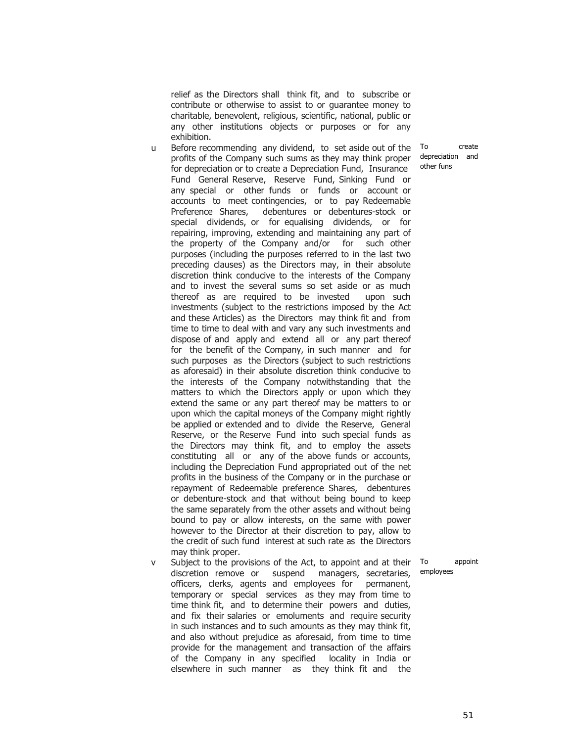relief as the Directors shall think fit, and to subscribe or contribute or otherwise to assist to or guarantee money to charitable, benevolent, religious, scientific, national, public or any other institutions objects or purposes or for any exhibition.

- u Before recommending any dividend, to set aside out of the profits of the Company such sums as they may think proper for depreciation or to create a Depreciation Fund, Insurance Fund General Reserve, Reserve Fund, Sinking Fund or any special or other funds or funds or account or accounts to meet contingencies, or to pay Redeemable Preference Shares, debentures or debentures-stock or special dividends, or for equalising dividends, or for repairing, improving, extending and maintaining any part of the property of the Company and/or for such other purposes (including the purposes referred to in the last two preceding clauses) as the Directors may, in their absolute discretion think conducive to the interests of the Company and to invest the several sums so set aside or as much thereof as are required to be invested upon such investments (subject to the restrictions imposed by the Act and these Articles) as the Directors may think fit and from time to time to deal with and vary any such investments and dispose of and apply and extend all or any part thereof for the benefit of the Company, in such manner and for such purposes as the Directors (subject to such restrictions as aforesaid) in their absolute discretion think conducive to the interests of the Company notwithstanding that the matters to which the Directors apply or upon which they extend the same or any part thereof may be matters to or upon which the capital moneys of the Company might rightly be applied or extended and to divide the Reserve, General Reserve, or the Reserve Fund into such special funds as the Directors may think fit, and to employ the assets constituting all or any of the above funds or accounts, including the Depreciation Fund appropriated out of the net profits in the business of the Company or in the purchase or repayment of Redeemable preference Shares, debentures or debenture-stock and that without being bound to keep the same separately from the other assets and without being bound to pay or allow interests, on the same with power however to the Director at their discretion to pay, allow to the credit of such fund interest at such rate as the Directors may think proper.
- v Subject to the provisions of the Act, to appoint and at their discretion remove or suspend managers, secretaries, officers, clerks, agents and employees for permanent, temporary or special services as they may from time to time think fit, and to determine their powers and duties, and fix their salaries or emoluments and require security in such instances and to such amounts as they may think fit, and also without prejudice as aforesaid, from time to time provide for the management and transaction of the affairs of the Company in any specified locality in India or elsewhere in such manner as they think fit and the

To create depreciation and other funs

To appoint employees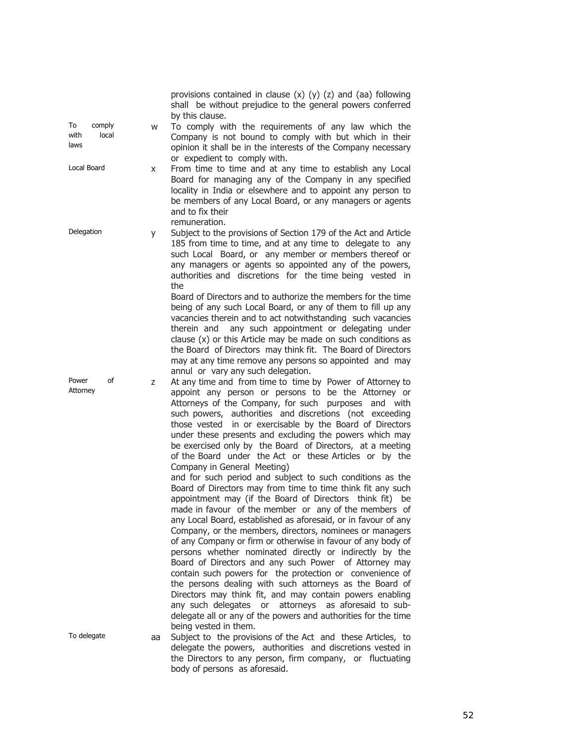|                                       |    | provisions contained in clause $(x)$ $(y)$ $(z)$ and $(aa)$ following<br>shall be without prejudice to the general powers conferred<br>by this clause.                                                                                                                                                                                                                                                                                                                                                                                                                                                                                                                                                                                                                                                                                                                                                                                                                                                                                                                                                                                                                                                                                                                                                                                                                                                                       |
|---------------------------------------|----|------------------------------------------------------------------------------------------------------------------------------------------------------------------------------------------------------------------------------------------------------------------------------------------------------------------------------------------------------------------------------------------------------------------------------------------------------------------------------------------------------------------------------------------------------------------------------------------------------------------------------------------------------------------------------------------------------------------------------------------------------------------------------------------------------------------------------------------------------------------------------------------------------------------------------------------------------------------------------------------------------------------------------------------------------------------------------------------------------------------------------------------------------------------------------------------------------------------------------------------------------------------------------------------------------------------------------------------------------------------------------------------------------------------------------|
| comply<br>To<br>with<br>local<br>laws | W  | To comply with the requirements of any law which the<br>Company is not bound to comply with but which in their<br>opinion it shall be in the interests of the Company necessary<br>or expedient to comply with.                                                                                                                                                                                                                                                                                                                                                                                                                                                                                                                                                                                                                                                                                                                                                                                                                                                                                                                                                                                                                                                                                                                                                                                                              |
| Local Board                           | X  | From time to time and at any time to establish any Local<br>Board for managing any of the Company in any specified<br>locality in India or elsewhere and to appoint any person to<br>be members of any Local Board, or any managers or agents<br>and to fix their<br>remuneration.                                                                                                                                                                                                                                                                                                                                                                                                                                                                                                                                                                                                                                                                                                                                                                                                                                                                                                                                                                                                                                                                                                                                           |
| Delegation<br>У                       |    | Subject to the provisions of Section 179 of the Act and Article<br>185 from time to time, and at any time to delegate to any<br>such Local Board, or any member or members thereof or<br>any managers or agents so appointed any of the powers,<br>authorities and discretions for the time being vested in<br>the                                                                                                                                                                                                                                                                                                                                                                                                                                                                                                                                                                                                                                                                                                                                                                                                                                                                                                                                                                                                                                                                                                           |
|                                       |    | Board of Directors and to authorize the members for the time<br>being of any such Local Board, or any of them to fill up any<br>vacancies therein and to act notwithstanding such vacancies<br>any such appointment or delegating under<br>therein and<br>clause $(x)$ or this Article may be made on such conditions as<br>the Board of Directors may think fit. The Board of Directors<br>may at any time remove any persons so appointed and may<br>annul or vary any such delegation.                                                                                                                                                                                                                                                                                                                                                                                                                                                                                                                                                                                                                                                                                                                                                                                                                                                                                                                                    |
| Power<br>of<br>Attorney               | Z  | At any time and from time to time by Power of Attorney to<br>appoint any person or persons to be the Attorney or<br>Attorneys of the Company, for such purposes and with<br>such powers, authorities and discretions (not exceeding<br>those vested in or exercisable by the Board of Directors<br>under these presents and excluding the powers which may<br>be exercised only by the Board of Directors, at a meeting<br>of the Board under the Act or these Articles or by the<br>Company in General Meeting)<br>and for such period and subject to such conditions as the<br>Board of Directors may from time to time think fit any such<br>appointment may (if the Board of Directors think fit) be<br>made in favour of the member or any of the members of<br>any Local Board, established as aforesaid, or in favour of any<br>Company, or the members, directors, nominees or managers<br>of any Company or firm or otherwise in favour of any body of<br>persons whether nominated directly or indirectly by the<br>Board of Directors and any such Power of Attorney may<br>contain such powers for the protection or convenience of<br>the persons dealing with such attorneys as the Board of<br>Directors may think fit, and may contain powers enabling<br>attorneys as aforesaid to sub-<br>any such delegates or<br>delegate all or any of the powers and authorities for the time<br>being vested in them. |
| To delegate                           | aa | Subject to the provisions of the Act and these Articles, to<br>delegate the powers, authorities and discretions vested in<br>the Directors to any person, firm company, or fluctuating<br>body of persons as aforesaid.                                                                                                                                                                                                                                                                                                                                                                                                                                                                                                                                                                                                                                                                                                                                                                                                                                                                                                                                                                                                                                                                                                                                                                                                      |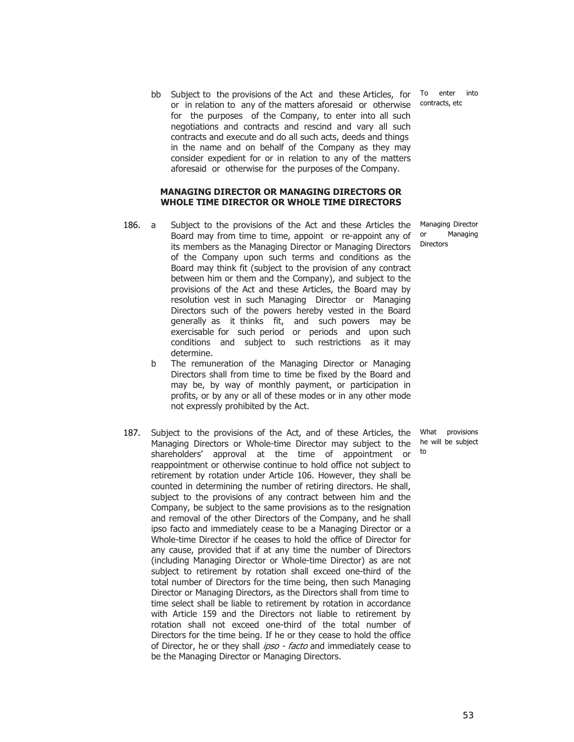bb Subject to the provisions of the Act and these Articles, for To enter into or in relation to any of the matters aforesaid or otherwise for the purposes of the Company, to enter into all such negotiations and contracts and rescind and vary all such contracts and execute and do all such acts, deeds and things in the name and on behalf of the Company as they may consider expedient for or in relation to any of the matters aforesaid or otherwise for the purposes of the Company.

#### **MANAGING DIRECTOR OR MANAGING DIRECTORS OR WHOLE TIME DIRECTOR OR WHOLE TIME DIRECTORS**

- 186. a Subject to the provisions of the Act and these Articles the Board may from time to time, appoint or re-appoint any of its members as the Managing Director or Managing Directors of the Company upon such terms and conditions as the Board may think fit (subject to the provision of any contract between him or them and the Company), and subject to the provisions of the Act and these Articles, the Board may by resolution vest in such Managing Director or Managing Directors such of the powers hereby vested in the Board generally as it thinks fit, and such powers may be exercisable for such period or periods and upon such conditions and subject to such restrictions as it may determine.
	- b The remuneration of the Managing Director or Managing Directors shall from time to time be fixed by the Board and may be, by way of monthly payment, or participation in profits, or by any or all of these modes or in any other mode not expressly prohibited by the Act.
- 187. Subject to the provisions of the Act, and of these Articles, the Managing Directors or Whole-time Director may subject to the shareholders' approval at the time of appointment or reappointment or otherwise continue to hold office not subject to retirement by rotation under Article 106. However, they shall be counted in determining the number of retiring directors. He shall, subject to the provisions of any contract between him and the Company, be subject to the same provisions as to the resignation and removal of the other Directors of the Company, and he shall ipso facto and immediately cease to be a Managing Director or a Whole-time Director if he ceases to hold the office of Director for any cause, provided that if at any time the number of Directors (including Managing Director or Whole-time Director) as are not subject to retirement by rotation shall exceed one-third of the total number of Directors for the time being, then such Managing Director or Managing Directors, as the Directors shall from time to time select shall be liable to retirement by rotation in accordance with Article 159 and the Directors not liable to retirement by rotation shall not exceed one-third of the total number of Directors for the time being. If he or they cease to hold the office of Director, he or they shall *ipso - facto* and immediately cease to be the Managing Director or Managing Directors.

contracts, etc

Managing Director or Managing Directors

What provisions he will be subject to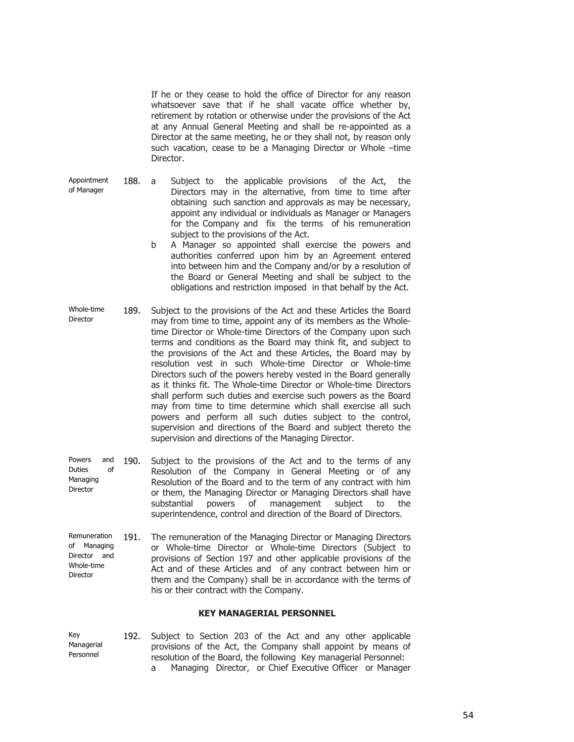If he or they cease to hold the office of Director for any reason whatsoever save that if he shall vacate office whether by, retirement by rotation or otherwise under the provisions of the Act at any Annual General Meeting and shall be re-appointed as a Director at the same meeting, he or they shall not, by reason only such vacation, cease to be a Managing Director or Whole –time Director.

Appointment of Manager

- 188. a Subject to the applicable provisions of the Act, the Directors may in the alternative, from time to time after obtaining such sanction and approvals as may be necessary, appoint any individual or individuals as Manager or Managers for the Company and fix the terms of his remuneration subject to the provisions of the Act.
	- b A Manager so appointed shall exercise the powers and authorities conferred upon him by an Agreement entered into between him and the Company and/or by a resolution of the Board or General Meeting and shall be subject to the obligations and restriction imposed in that behalf by the Act.
- Whole-time Director 189. Subject to the provisions of the Act and these Articles the Board may from time to time, appoint any of its members as the Wholetime Director or Whole-time Directors of the Company upon such terms and conditions as the Board may think fit, and subject to the provisions of the Act and these Articles, the Board may by resolution vest in such Whole-time Director or Whole-time Directors such of the powers hereby vested in the Board generally as it thinks fit. The Whole-time Director or Whole-time Directors shall perform such duties and exercise such powers as the Board may from time to time determine which shall exercise all such powers and perform all such duties subject to the control, supervision and directions of the Board and subject thereto the supervision and directions of the Managing Director.
- Powers and Duties of Managing Director 190. Subject to the provisions of the Act and to the terms of any Resolution of the Company in General Meeting or of any Resolution of the Board and to the term of any contract with him or them, the Managing Director or Managing Directors shall have substantial powers of management subject to the superintendence, control and direction of the Board of Directors.
- Remuneration of Managing Director and Whole-time Director 191. The remuneration of the Managing Director or Managing Directors or Whole-time Director or Whole-time Directors (Subject to provisions of Section 197 and other applicable provisions of the Act and of these Articles and of any contract between him or them and the Company) shall be in accordance with the terms of his or their contract with the Company.

# **KEY MANAGERIAL PERSONNEL**

| Kev        |  |  |  |  |  |  | 192. Subject to Section 203 of the Act and any other applicable  |
|------------|--|--|--|--|--|--|------------------------------------------------------------------|
| Managerial |  |  |  |  |  |  | provisions of the Act, the Company shall appoint by means of     |
| Personnel  |  |  |  |  |  |  | resolution of the Board, the following Key managerial Personnel: |
|            |  |  |  |  |  |  | Managing Director, or Chief Executive Officer or Manager         |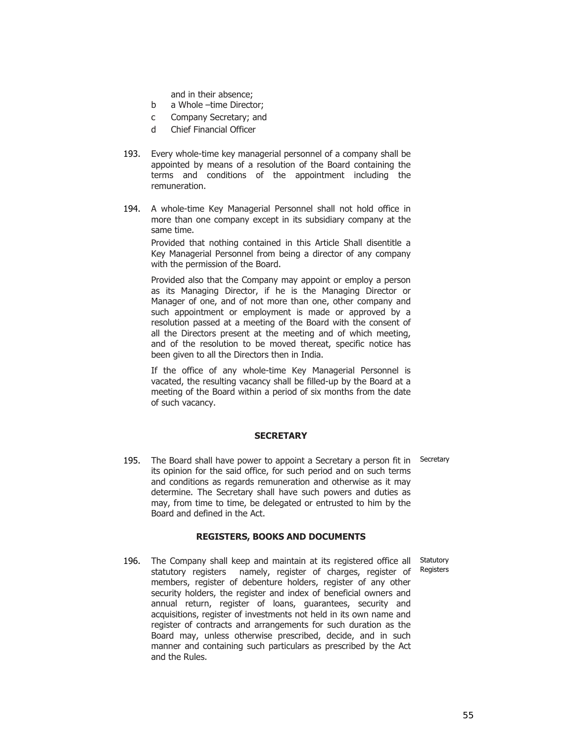and in their absence;

- b a Whole –time Director;
- c Company Secretary; and
- d Chief Financial Officer
- 193. Every whole-time key managerial personnel of a company shall be appointed by means of a resolution of the Board containing the terms and conditions of the appointment including the remuneration.
- 194. A whole-time Key Managerial Personnel shall not hold office in more than one company except in its subsidiary company at the same time.

Provided that nothing contained in this Article Shall disentitle a Key Managerial Personnel from being a director of any company with the permission of the Board.

Provided also that the Company may appoint or employ a person as its Managing Director, if he is the Managing Director or Manager of one, and of not more than one, other company and such appointment or employment is made or approved by a resolution passed at a meeting of the Board with the consent of all the Directors present at the meeting and of which meeting, and of the resolution to be moved thereat, specific notice has been given to all the Directors then in India.

If the office of any whole-time Key Managerial Personnel is vacated, the resulting vacancy shall be filled-up by the Board at a meeting of the Board within a period of six months from the date of such vacancy.

### **SECRETARY**

195. The Board shall have power to appoint a Secretary a person fit in Secretary its opinion for the said office, for such period and on such terms and conditions as regards remuneration and otherwise as it may determine. The Secretary shall have such powers and duties as may, from time to time, be delegated or entrusted to him by the Board and defined in the Act.

#### **REGISTERS, BOOKS AND DOCUMENTS**

Statutory Registers

196. The Company shall keep and maintain at its registered office all statutory registers namely, register of charges, register of members, register of debenture holders, register of any other security holders, the register and index of beneficial owners and annual return, register of loans, guarantees, security and acquisitions, register of investments not held in its own name and register of contracts and arrangements for such duration as the Board may, unless otherwise prescribed, decide, and in such manner and containing such particulars as prescribed by the Act and the Rules.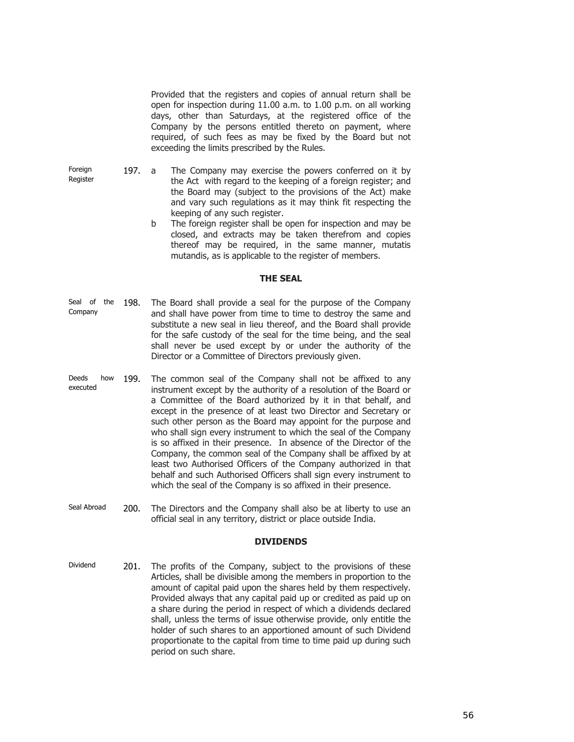Provided that the registers and copies of annual return shall be open for inspection during 11.00 a.m. to 1.00 p.m. on all working days, other than Saturdays, at the registered office of the Company by the persons entitled thereto on payment, where required, of such fees as may be fixed by the Board but not exceeding the limits prescribed by the Rules.

Foreign Register

- 197. a The Company may exercise the powers conferred on it by the Act with regard to the keeping of a foreign register; and the Board may (subject to the provisions of the Act) make and vary such regulations as it may think fit respecting the keeping of any such register.
	- b The foreign register shall be open for inspection and may be closed, and extracts may be taken therefrom and copies thereof may be required, in the same manner, mutatis mutandis, as is applicable to the register of members.

# **THE SEAL**

- Seal of the Company 198. The Board shall provide a seal for the purpose of the Company and shall have power from time to time to destroy the same and substitute a new seal in lieu thereof, and the Board shall provide for the safe custody of the seal for the time being, and the seal shall never be used except by or under the authority of the Director or a Committee of Directors previously given.
- Deeds how executed 199. The common seal of the Company shall not be affixed to any instrument except by the authority of a resolution of the Board or a Committee of the Board authorized by it in that behalf, and except in the presence of at least two Director and Secretary or such other person as the Board may appoint for the purpose and who shall sign every instrument to which the seal of the Company is so affixed in their presence. In absence of the Director of the Company, the common seal of the Company shall be affixed by at least two Authorised Officers of the Company authorized in that behalf and such Authorised Officers shall sign every instrument to which the seal of the Company is so affixed in their presence.
- Seal Abroad 200. The Directors and the Company shall also be at liberty to use an official seal in any territory, district or place outside India.

# **DIVIDENDS**

Dividend 201. The profits of the Company, subject to the provisions of these Articles, shall be divisible among the members in proportion to the amount of capital paid upon the shares held by them respectively. Provided always that any capital paid up or credited as paid up on a share during the period in respect of which a dividends declared shall, unless the terms of issue otherwise provide, only entitle the holder of such shares to an apportioned amount of such Dividend proportionate to the capital from time to time paid up during such period on such share.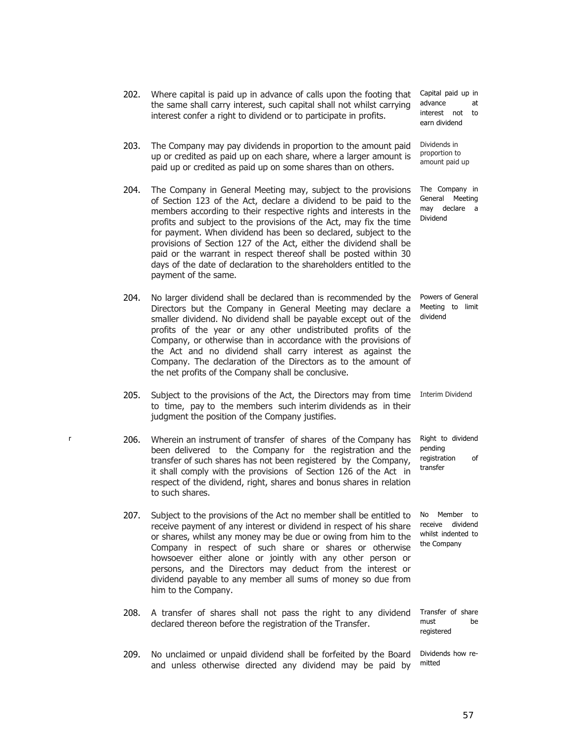provisions of Section 127 of the Act, either the dividend shall be paid or the warrant in respect thereof shall be posted within 30 days of the date of declaration to the shareholders entitled to the payment of the same. 204. No larger dividend shall be declared than is recommended by the Directors but the Company in General Meeting may declare a smaller dividend. No dividend shall be payable except out of the profits of the year or any other undistributed profits of the Company, or otherwise than in accordance with the provisions of the Act and no dividend shall carry interest as against the Company. The declaration of the Directors as to the amount of the net profits of the Company shall be conclusive. 205. Subject to the provisions of the Act, the Directors may from time to time, pay to the members such interim dividends as in their judgment the position of the Company justifies. r 206. Wherein an instrument of transfer of shares of the Company has been delivered to the Company for the registration and the transfer of such shares has not been registered by the Company, it shall comply with the provisions of Section 126 of the Act in respect of the dividend, right, shares and bonus shares in relation to such shares. 207. Subject to the provisions of the Act no member shall be entitled to receive payment of any interest or dividend in respect of his share or shares, whilst any money may be due or owing from him to the Company in respect of such share or shares or otherwise howsoever either alone or jointly with any other person or persons, and the Directors may deduct from the interest or dividend payable to any member all sums of money so due from him to the Company. 208. A transfer of shares shall not pass the right to any dividend declared thereon before the registration of the Transfer. Transfer of share must be 209. No unclaimed or unpaid dividend shall be forfeited by the Board and unless otherwise directed any dividend may be paid by

the same shall carry interest, such capital shall not whilst carrying interest confer a right to dividend or to participate in profits.

203. The Company may pay dividends in proportion to the amount paid up or credited as paid up on each share, where a larger amount is paid up or credited as paid up on some shares than on others.

204. The Company in General Meeting may, subject to the provisions of Section 123 of the Act, declare a dividend to be paid to the members according to their respective rights and interests in the profits and subject to the provisions of the Act, may fix the time for payment. When dividend has been so declared, subject to the

202. Where capital is paid up in advance of calls upon the footing that Capital paid up in advance at interest not to earn dividend

> Dividends in proportion to amount paid up

The Company in General Meeting may declare a Dividend

Powers of General Meeting to limit dividend

Interim Dividend

Right to dividend pending registration of transfer

No Member to receive dividend whilst indented to the Company

registered

Dividends how remitted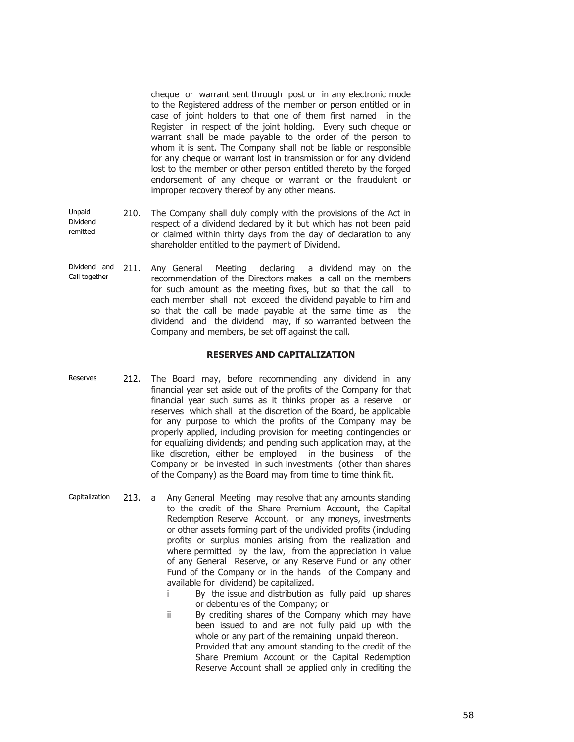cheque or warrant sent through post or in any electronic mode to the Registered address of the member or person entitled or in case of joint holders to that one of them first named in the Register in respect of the joint holding. Every such cheque or warrant shall be made payable to the order of the person to whom it is sent. The Company shall not be liable or responsible for any cheque or warrant lost in transmission or for any dividend lost to the member or other person entitled thereto by the forged endorsement of any cheque or warrant or the fraudulent or improper recovery thereof by any other means.

- Unpaid Dividend remitted 210. The Company shall duly comply with the provisions of the Act in respect of a dividend declared by it but which has not been paid or claimed within thirty days from the day of declaration to any shareholder entitled to the payment of Dividend.
- Dividend and Call together 211. Any General Meeting declaring a dividend may on the recommendation of the Directors makes a call on the members for such amount as the meeting fixes, but so that the call to each member shall not exceed the dividend payable to him and so that the call be made payable at the same time as the dividend and the dividend may, if so warranted between the Company and members, be set off against the call.

### **RESERVES AND CAPITALIZATION**

- Reserves 212. The Board may, before recommending any dividend in any financial year set aside out of the profits of the Company for that financial year such sums as it thinks proper as a reserve or reserves which shall at the discretion of the Board, be applicable for any purpose to which the profits of the Company may be properly applied, including provision for meeting contingencies or for equalizing dividends; and pending such application may, at the like discretion, either be employed in the business of the Company or be invested in such investments (other than shares of the Company) as the Board may from time to time think fit.
- Capitalization 213. a Any General Meeting may resolve that any amounts standing to the credit of the Share Premium Account, the Capital Redemption Reserve Account, or any moneys, investments or other assets forming part of the undivided profits (including profits or surplus monies arising from the realization and where permitted by the law, from the appreciation in value of any General Reserve, or any Reserve Fund or any other Fund of the Company or in the hands of the Company and available for dividend) be capitalized.
	- i By the issue and distribution as fully paid up shares or debentures of the Company; or
	- ii By crediting shares of the Company which may have been issued to and are not fully paid up with the whole or any part of the remaining unpaid thereon. Provided that any amount standing to the credit of the Share Premium Account or the Capital Redemption Reserve Account shall be applied only in crediting the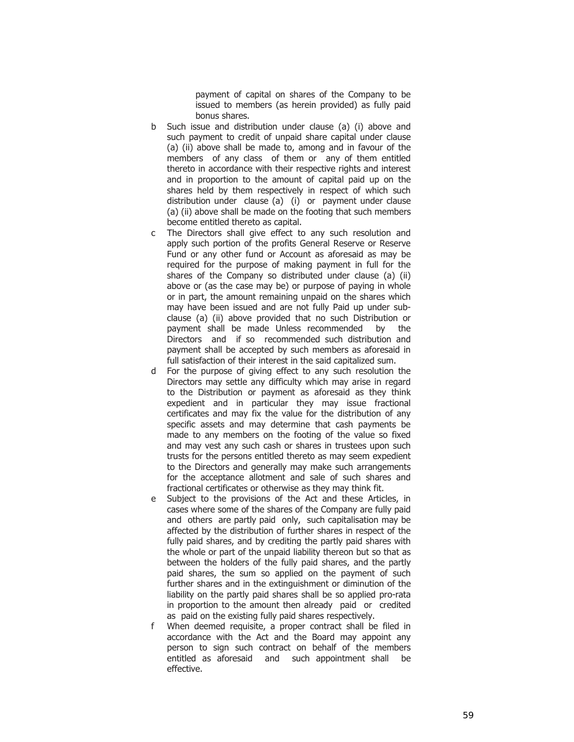payment of capital on shares of the Company to be issued to members (as herein provided) as fully paid bonus shares.

- b Such issue and distribution under clause (a) (i) above and such payment to credit of unpaid share capital under clause (a) (ii) above shall be made to, among and in favour of the members of any class of them or any of them entitled thereto in accordance with their respective rights and interest and in proportion to the amount of capital paid up on the shares held by them respectively in respect of which such distribution under clause (a) (i) or payment under clause (a) (ii) above shall be made on the footing that such members become entitled thereto as capital.
- c The Directors shall give effect to any such resolution and apply such portion of the profits General Reserve or Reserve Fund or any other fund or Account as aforesaid as may be required for the purpose of making payment in full for the shares of the Company so distributed under clause (a) (ii) above or (as the case may be) or purpose of paying in whole or in part, the amount remaining unpaid on the shares which may have been issued and are not fully Paid up under subclause (a) (ii) above provided that no such Distribution or payment shall be made Unless recommended by the Directors and if so recommended such distribution and payment shall be accepted by such members as aforesaid in full satisfaction of their interest in the said capitalized sum.
- d For the purpose of giving effect to any such resolution the Directors may settle any difficulty which may arise in regard to the Distribution or payment as aforesaid as they think expedient and in particular they may issue fractional certificates and may fix the value for the distribution of any specific assets and may determine that cash payments be made to any members on the footing of the value so fixed and may vest any such cash or shares in trustees upon such trusts for the persons entitled thereto as may seem expedient to the Directors and generally may make such arrangements for the acceptance allotment and sale of such shares and fractional certificates or otherwise as they may think fit.
- e Subject to the provisions of the Act and these Articles, in cases where some of the shares of the Company are fully paid and others are partly paid only, such capitalisation may be affected by the distribution of further shares in respect of the fully paid shares, and by crediting the partly paid shares with the whole or part of the unpaid liability thereon but so that as between the holders of the fully paid shares, and the partly paid shares, the sum so applied on the payment of such further shares and in the extinguishment or diminution of the liability on the partly paid shares shall be so applied pro-rata in proportion to the amount then already paid or credited as paid on the existing fully paid shares respectively.
- f When deemed requisite, a proper contract shall be filed in accordance with the Act and the Board may appoint any person to sign such contract on behalf of the members entitled as aforesaid and such appointment shall be effective.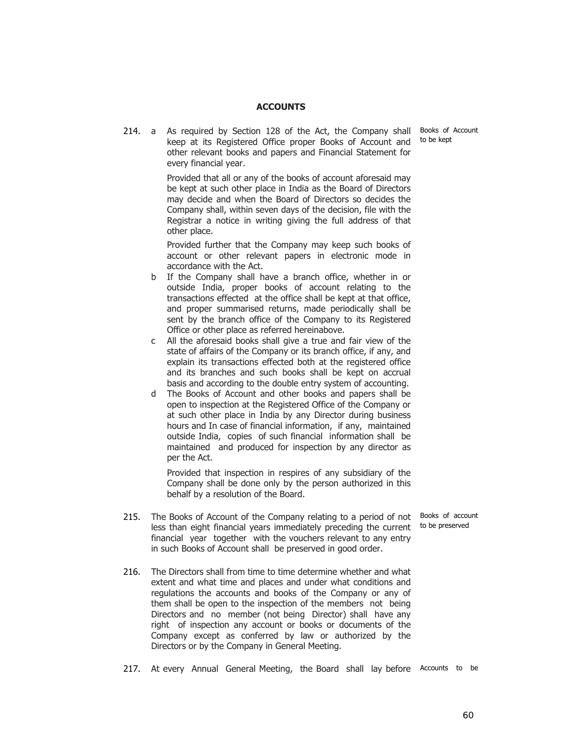### **ACCOUNTS**

to be kept

214. a As required by Section 128 of the Act, the Company shall Books of Account keep at its Registered Office proper Books of Account and other relevant books and papers and Financial Statement for every financial year.

> Provided that all or any of the books of account aforesaid may be kept at such other place in India as the Board of Directors may decide and when the Board of Directors so decides the Company shall, within seven days of the decision, file with the Registrar a notice in writing giving the full address of that other place.

> Provided further that the Company may keep such books of account or other relevant papers in electronic mode in accordance with the Act.

- b If the Company shall have a branch office, whether in or outside India, proper books of account relating to the transactions effected at the office shall be kept at that office, and proper summarised returns, made periodically shall be sent by the branch office of the Company to its Registered Office or other place as referred hereinabove.
- c All the aforesaid books shall give a true and fair view of the state of affairs of the Company or its branch office, if any, and explain its transactions effected both at the registered office and its branches and such books shall be kept on accrual basis and according to the double entry system of accounting.
- d The Books of Account and other books and papers shall be open to inspection at the Registered Office of the Company or at such other place in India by any Director during business hours and In case of financial information, if any, maintained outside India, copies of such financial information shall be maintained and produced for inspection by any director as per the Act.

Provided that inspection in respires of any subsidiary of the Company shall be done only by the person authorized in this behalf by a resolution of the Board.

to be preserved

- 215. The Books of Account of the Company relating to a period of not Books of account less than eight financial years immediately preceding the current financial year together with the vouchers relevant to any entry in such Books of Account shall be preserved in good order.
- 216. The Directors shall from time to time determine whether and what extent and what time and places and under what conditions and regulations the accounts and books of the Company or any of them shall be open to the inspection of the members not being Directors and no member (not being Director) shall have any right of inspection any account or books or documents of the Company except as conferred by law or authorized by the Directors or by the Company in General Meeting.
- 217. At every Annual General Meeting, the Board shall lay before Accounts to be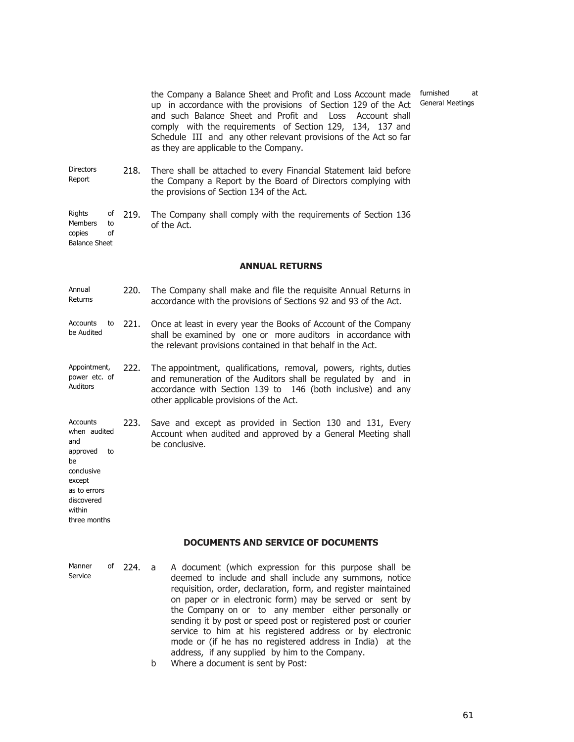the Company a Balance Sheet and Profit and Loss Account made up in accordance with the provisions of Section 129 of the Act and such Balance Sheet and Profit and Loss Account shall comply with the requirements of Section 129, 134, 137 and Schedule III and any other relevant provisions of the Act so far as they are applicable to the Company.

- **Directors** Report 218. There shall be attached to every Financial Statement laid before the Company a Report by the Board of Directors complying with the provisions of Section 134 of the Act.
- Rights of Members to copies of 219. The Company shall comply with the requirements of Section 136 of the Act.

Balance Sheet

be conclusive except as to errors discovered within three months

#### **ANNUAL RETURNS**

- Annual Returns 220. The Company shall make and file the requisite Annual Returns in accordance with the provisions of Sections 92 and 93 of the Act.
- Accounts to be Audited 221. Once at least in every year the Books of Account of the Company shall be examined by one or more auditors in accordance with the relevant provisions contained in that behalf in the Act.
- Appointment, power etc. of Auditors 222. The appointment, qualifications, removal, powers, rights, duties and remuneration of the Auditors shall be regulated by and in accordance with Section 139 to 146 (both inclusive) and any other applicable provisions of the Act.
- **Accounts** when audited and approved to 223. Save and except as provided in Section 130 and 131, Every Account when audited and approved by a General Meeting shall be conclusive.

#### **DOCUMENTS AND SERVICE OF DOCUMENTS**

- Manner of Service 224. a A document (which expression for this purpose shall be deemed to include and shall include any summons, notice requisition, order, declaration, form, and register maintained on paper or in electronic form) may be served or sent by the Company on or to any member either personally or sending it by post or speed post or registered post or courier service to him at his registered address or by electronic mode or (if he has no registered address in India) at the address, if any supplied by him to the Company.
	- b Where a document is sent by Post:

furnished at General Meetings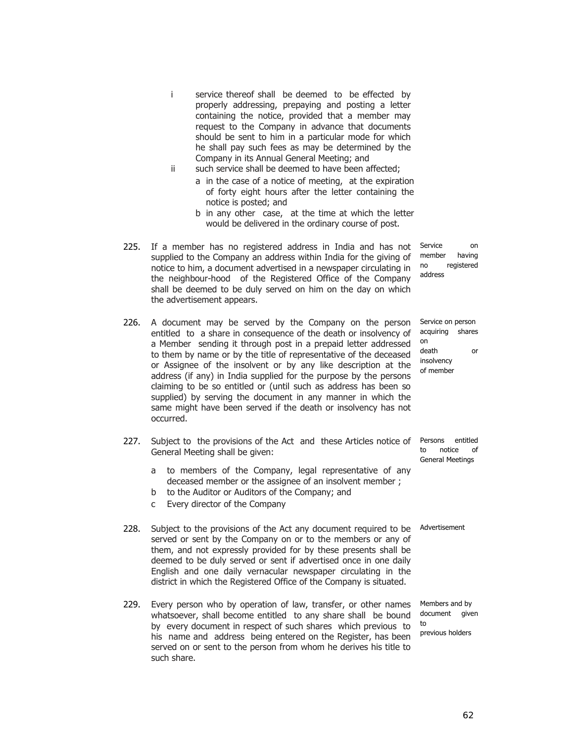- i service thereof shall be deemed to be effected by properly addressing, prepaying and posting a letter containing the notice, provided that a member may request to the Company in advance that documents should be sent to him in a particular mode for which he shall pay such fees as may be determined by the Company in its Annual General Meeting; and
- ii such service shall be deemed to have been affected;
	- a in the case of a notice of meeting, at the expiration of forty eight hours after the letter containing the notice is posted; and
	- b in any other case, at the time at which the letter would be delivered in the ordinary course of post.
- 225. If a member has no registered address in India and has not supplied to the Company an address within India for the giving of notice to him, a document advertised in a newspaper circulating in the neighbour-hood of the Registered Office of the Company shall be deemed to be duly served on him on the day on which the advertisement appears.
- 226. A document may be served by the Company on the person entitled to a share in consequence of the death or insolvency of a Member sending it through post in a prepaid letter addressed to them by name or by the title of representative of the deceased or Assignee of the insolvent or by any like description at the address (if any) in India supplied for the purpose by the persons claiming to be so entitled or (until such as address has been so supplied) by serving the document in any manner in which the same might have been served if the death or insolvency has not occurred.
- 227. Subject to the provisions of the Act and these Articles notice of General Meeting shall be given:
	- a to members of the Company, legal representative of any deceased member or the assignee of an insolvent member ;
	- b to the Auditor or Auditors of the Company; and
	- c Every director of the Company
- 228. Subject to the provisions of the Act any document required to be Advertisement served or sent by the Company on or to the members or any of them, and not expressly provided for by these presents shall be deemed to be duly served or sent if advertised once in one daily English and one daily vernacular newspaper circulating in the district in which the Registered Office of the Company is situated.
- 229. Every person who by operation of law, transfer, or other names whatsoever, shall become entitled to any share shall be bound by every document in respect of such shares which previous to his name and address being entered on the Register, has been served on or sent to the person from whom he derives his title to such share. to

Service on member having no registered address

Service on person acquiring shares on death or insolvency of member

Persons entitled to notice of General Meetings

Members and by document given previous holders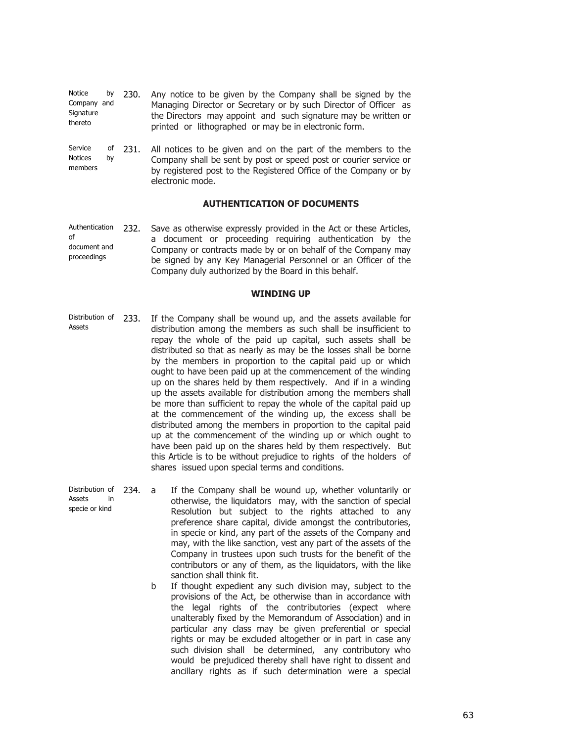| Notice<br>Company and<br>Signature<br>thereto | by       | 230. | Any notice to be given by the Company shall be signed by the<br>Managing Director or Secretary or by such Director of Officer as<br>the Directors may appoint and such signature may be written or<br>printed or lithographed or may be in electronic form. |
|-----------------------------------------------|----------|------|-------------------------------------------------------------------------------------------------------------------------------------------------------------------------------------------------------------------------------------------------------------|
| Service<br><b>Notices</b><br>members          | of<br>by | 231. | All notices to be given and on the part of the members to the<br>Company shall be sent by post or speed post or courier service or<br>by registered post to the Registered Office of the Company or by<br>electronic mode                                   |

#### **AUTHENTICATION OF DOCUMENTS**

Authentication  $\mathsf{f}$ document and proceedings 232. Save as otherwise expressly provided in the Act or these Articles, a document or proceeding requiring authentication by the Company or contracts made by or on behalf of the Company may be signed by any Key Managerial Personnel or an Officer of the Company duly authorized by the Board in this behalf.

#### **WINDING UP**

- Distribution of 233. Assets If the Company shall be wound up, and the assets available for distribution among the members as such shall be insufficient to repay the whole of the paid up capital, such assets shall be distributed so that as nearly as may be the losses shall be borne by the members in proportion to the capital paid up or which ought to have been paid up at the commencement of the winding up on the shares held by them respectively. And if in a winding up the assets available for distribution among the members shall be more than sufficient to repay the whole of the capital paid up at the commencement of the winding up, the excess shall be distributed among the members in proportion to the capital paid up at the commencement of the winding up or which ought to have been paid up on the shares held by them respectively. But this Article is to be without prejudice to rights of the holders of shares issued upon special terms and conditions.
- Distribution of 234. a Assets in specie or kind If the Company shall be wound up, whether voluntarily or otherwise, the liquidators may, with the sanction of special Resolution but subject to the rights attached to any preference share capital, divide amongst the contributories, in specie or kind, any part of the assets of the Company and may, with the like sanction, vest any part of the assets of the Company in trustees upon such trusts for the benefit of the contributors or any of them, as the liquidators, with the like sanction shall think fit.
	- b If thought expedient any such division may, subject to the provisions of the Act, be otherwise than in accordance with the legal rights of the contributories (expect where unalterably fixed by the Memorandum of Association) and in particular any class may be given preferential or special rights or may be excluded altogether or in part in case any such division shall be determined, any contributory who would be prejudiced thereby shall have right to dissent and ancillary rights as if such determination were a special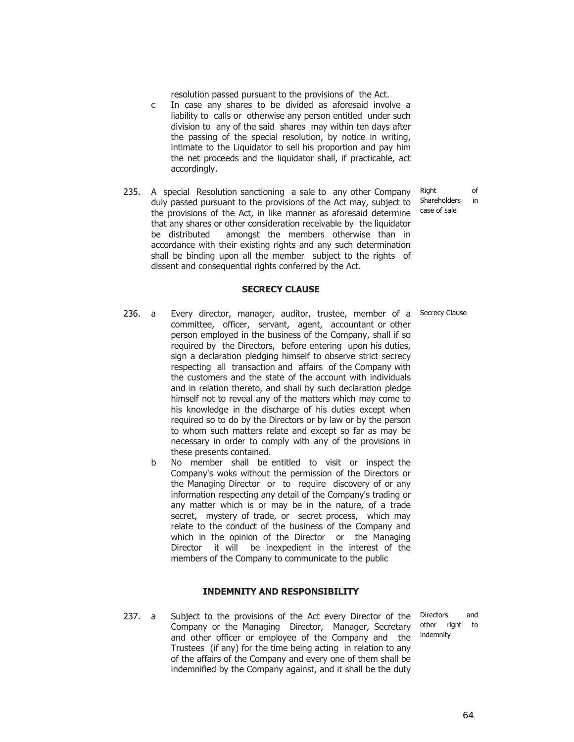resolution passed pursuant to the provisions of the Act.

- c In case any shares to be divided as aforesaid involve a liability to calls or otherwise any person entitled under such division to any of the said shares may within ten days after the passing of the special resolution, by notice in writing, intimate to the Liquidator to sell his proportion and pay him the net proceeds and the liquidator shall, if practicable, act accordingly.
- 235. A special Resolution sanctioning a sale to any other Company duly passed pursuant to the provisions of the Act may, subject to the provisions of the Act, in like manner as aforesaid determine that any shares or other consideration receivable by the liquidator be distributed amongst the members otherwise than in accordance with their existing rights and any such determination shall be binding upon all the member subject to the rights of dissent and consequential rights conferred by the Act.

Right of Shareholders in case of sale

#### **SECRECY CLAUSE**

- 236. a Every director, manager, auditor, trustee, member of a Secrecy Clause committee, officer, servant, agent, accountant or other person employed in the business of the Company, shall if so required by the Directors, before entering upon his duties, sign a declaration pledging himself to observe strict secrecy respecting all transaction and affairs of the Company with the customers and the state of the account with individuals and in relation thereto, and shall by such declaration pledge himself not to reveal any of the matters which may come to his knowledge in the discharge of his duties except when required so to do by the Directors or by law or by the person to whom such matters relate and except so far as may be necessary in order to comply with any of the provisions in these presents contained.
	- b No member shall be entitled to visit or inspect the Company's woks without the permission of the Directors or the Managing Director or to require discovery of or any information respecting any detail of the Company's trading or any matter which is or may be in the nature, of a trade secret, mystery of trade, or secret process, which may relate to the conduct of the business of the Company and which in the opinion of the Director or the Managing Director it will be inexpedient in the interest of the members of the Company to communicate to the public

## **INDEMNITY AND RESPONSIBILITY**

237. a Subject to the provisions of the Act every Director of the Company or the Managing Director, Manager, Secretary and other officer or employee of the Company and the Trustees (if any) for the time being acting in relation to any of the affairs of the Company and every one of them shall be indemnified by the Company against, and it shall be the duty

Directors and other right to indemnity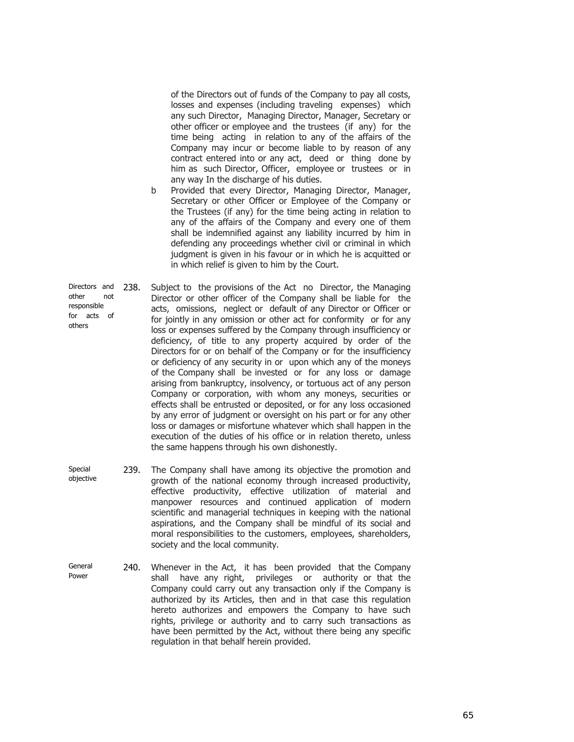of the Directors out of funds of the Company to pay all costs, losses and expenses (including traveling expenses) which any such Director, Managing Director, Manager, Secretary or other officer or employee and the trustees (if any) for the time being acting in relation to any of the affairs of the Company may incur or become liable to by reason of any contract entered into or any act, deed or thing done by him as such Director, Officer, employee or trustees or in any way In the discharge of his duties.

- b Provided that every Director, Managing Director, Manager, Secretary or other Officer or Employee of the Company or the Trustees (if any) for the time being acting in relation to any of the affairs of the Company and every one of them shall be indemnified against any liability incurred by him in defending any proceedings whether civil or criminal in which judgment is given in his favour or in which he is acquitted or in which relief is given to him by the Court.
- Directors and other not responsible for acts of others 238. Subject to the provisions of the Act no Director, the Managing Director or other officer of the Company shall be liable for the acts, omissions, neglect or default of any Director or Officer or for jointly in any omission or other act for conformity or for any loss or expenses suffered by the Company through insufficiency or deficiency, of title to any property acquired by order of the Directors for or on behalf of the Company or for the insufficiency or deficiency of any security in or upon which any of the moneys of the Company shall be invested or for any loss or damage arising from bankruptcy, insolvency, or tortuous act of any person Company or corporation, with whom any moneys, securities or effects shall be entrusted or deposited, or for any loss occasioned by any error of judgment or oversight on his part or for any other loss or damages or misfortune whatever which shall happen in the execution of the duties of his office or in relation thereto, unless the same happens through his own dishonestly.
- Special objective 239. The Company shall have among its objective the promotion and growth of the national economy through increased productivity, effective productivity, effective utilization of material and manpower resources and continued application of modern scientific and managerial techniques in keeping with the national aspirations, and the Company shall be mindful of its social and moral responsibilities to the customers, employees, shareholders, society and the local community.
- General Power 240. Whenever in the Act, it has been provided that the Company shall have any right, privileges or authority or that the Company could carry out any transaction only if the Company is authorized by its Articles, then and in that case this regulation hereto authorizes and empowers the Company to have such rights, privilege or authority and to carry such transactions as have been permitted by the Act, without there being any specific regulation in that behalf herein provided.